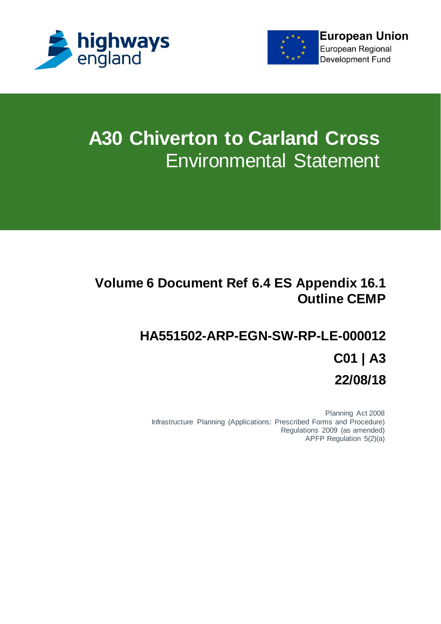

**European Union** 

European Regional **Development Fund** 



# **A30 Chiverton to Carland Cross** Environmental Statement

# **Volume 6 Document Ref 6.4 ES Appendix 16.1 Outline CEMP**

# **HA551502-ARP-EGN-SW-RP-LE-000012 C01 | A3 22/08/18**

Planning Act 2008 Infrastructure Planning (Applications: Prescribed Forms and Procedure) Regulations 2009 (as amended) APFP Regulation 5(2)(a)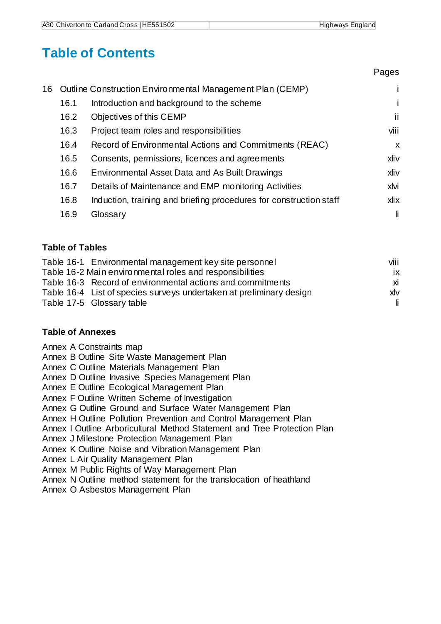Pages

## **Table of Contents**

|    |      |                                                                    | . agoo                    |
|----|------|--------------------------------------------------------------------|---------------------------|
| 16 |      | Outline Construction Environmental Management Plan (CEMP)          |                           |
|    | 16.1 | Introduction and background to the scheme                          |                           |
|    | 16.2 | Objectives of this CEMP                                            | ji                        |
|    | 16.3 | Project team roles and responsibilities                            | viii                      |
|    | 16.4 | Record of Environmental Actions and Commitments (REAC)             | $\boldsymbol{\mathsf{x}}$ |
|    | 16.5 | Consents, permissions, licences and agreements                     | xliv                      |
|    | 16.6 | Environmental Asset Data and As Built Drawings                     | xliv                      |
|    | 16.7 | Details of Maintenance and EMP monitoring Activities               | xlvi                      |
|    | 16.8 | Induction, training and briefing procedures for construction staff | xlix                      |
|    | 16.9 | Glossary                                                           | li                        |
|    |      |                                                                    |                           |

### **Table of Tables**

| Table 16-1 Environmental management key site personnel              | viii |
|---------------------------------------------------------------------|------|
| Table 16-2 Main environmental roles and responsibilities            | ix   |
| Table 16-3 Record of environmental actions and commitments          | xi   |
| Table 16-4 List of species surveys undertaken at preliminary design | xlv  |
| Table 17-5 Glossary table                                           | -li- |

### **Table of Annexes**

Annex A Constraints map

Annex B Outline Site Waste Management Plan

Annex C Outline Materials Management Plan

Annex D Outline Invasive Species Management Plan

Annex E Outline Ecological Management Plan

Annex F Outline Written Scheme of Investigation

Annex G Outline Ground and Surface Water Management Plan

Annex H Outline Pollution Prevention and Control Management Plan

Annex I Outline Arboricultural Method Statement and Tree Protection Plan

Annex J Milestone Protection Management Plan

Annex K Outline Noise and Vibration Management Plan

Annex L Air Quality Management Plan

Annex M Public Rights of Way Management Plan

Annex N Outline method statement for the translocation of heathland

Annex O Asbestos Management Plan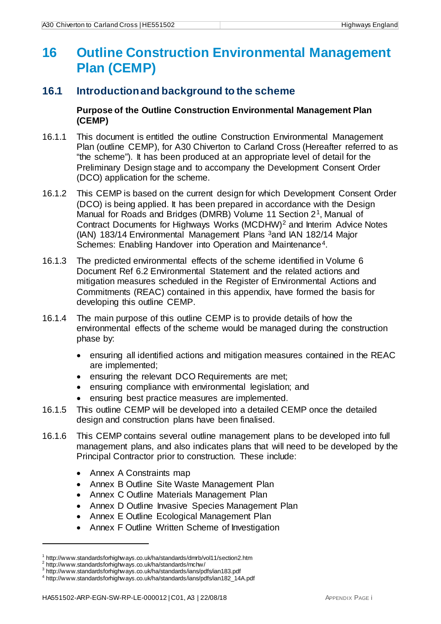## <span id="page-2-0"></span>**16 Outline Construction Environmental Management Plan (CEMP)**

### <span id="page-2-1"></span>**16.1 Introduction and background to the scheme**

**Purpose of the Outline Construction Environmental Management Plan (CEMP)**

- 16.1.1 This document is entitled the outline Construction Environmental Management Plan (outline CEMP), for A30 Chiverton to Carland Cross (Hereafter referred to as "the scheme"). It has been produced at an appropriate level of detail for the Preliminary Design stage and to accompany the Development Consent Order (DCO) application for the scheme.
- 16.1.2 This CEMP is based on the current design for which Development Consent Order (DCO) is being applied. It has been prepared in accordance with the Design Manual for Roads and Bridges (DMRB) Volume 11 Section 2[1](#page-2-2), Manual of Contract Documents for Highways Works (MCDHW)[2](#page-2-3) and Interim Advice Notes (IAN) 183/14 Environmental Management Plans [3a](#page-2-4)nd IAN 182/14 Major Schemes: Enabling Handover into Operation and Maintenance<sup>4</sup>.
- 16.1.3 The predicted environmental effects of the scheme identified in Volume 6 Document Ref 6.2 Environmental Statement and the related actions and mitigation measures scheduled in the Register of Environmental Actions and Commitments (REAC) contained in this appendix, have formed the basis for developing this outline CEMP.
- 16.1.4 The main purpose of this outline CEMP is to provide details of how the environmental effects of the scheme would be managed during the construction phase by:
	- ensuring all identified actions and mitigation measures contained in the REAC are implemented;
	- ensuring the relevant DCO Requirements are met;
	- ensuring compliance with environmental legislation; and
	- ensuring best practice measures are implemented.
- 16.1.5 This outline CEMP will be developed into a detailed CEMP once the detailed design and construction plans have been finalised.
- 16.1.6 This CEMP contains several outline management plans to be developed into full management plans, and also indicates plans that will need to be developed by the Principal Contractor prior to construction. These include:
	- Annex A Constraints map
	- Annex B Outline Site Waste Management Plan
	- Annex C Outline Materials Management Plan
	- Annex D Outline Invasive Species Management Plan
	- Annex E Outline Ecological Management Plan
	- Annex F Outline Written Scheme of Investigation

<span id="page-2-3"></span><span id="page-2-2"></span><sup>1</sup> http://www.standardsforhighways.co.uk/ha/standards/dmrb/vol11/section2.htm  $^2$  http://www.standardsforhighways.co.uk/ha/standards/mchw/  $^3$  http://www.standardsforhighways.co.uk/ha/standards/ians/pdfs/ian183.pdf

<span id="page-2-5"></span><span id="page-2-4"></span><sup>4</sup> http://www.standardsforhighways.co.uk/ha/standards/ians/pdfs/ian182\_14A.pdf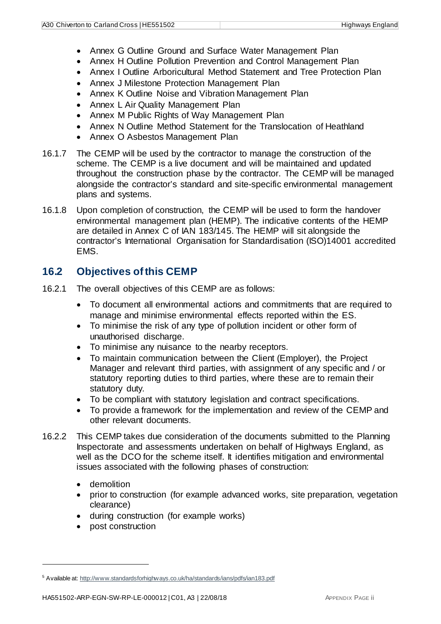- Annex G Outline Ground and Surface Water Management Plan
- Annex H Outline Pollution Prevention and Control Management Plan
- Annex I Outline Arboricultural Method Statement and Tree Protection Plan
- Annex J Milestone Protection Management Plan
- Annex K Outline Noise and Vibration Management Plan
- Annex L Air Quality Management Plan
- Annex M Public Rights of Way Management Plan
- Annex N Outline Method Statement for the Translocation of Heathland
- Annex O Asbestos Management Plan
- 16.1.7 The CEMP will be used by the contractor to manage the construction of the scheme. The CEMP is a live document and will be maintained and updated throughout the construction phase by the contractor. The CEMP will be managed alongside the contractor's standard and site-specific environmental management plans and systems.
- 16.1.8 Upon completion of construction, the CEMP will be used to form the handover environmental management plan (HEMP). The indicative contents of the HEMP are detailed in Annex C of IAN 183/14[5.](#page-3-1) The HEMP will sit alongside the contractor's International Organisation for Standardisation (ISO)14001 accredited EMS.

### <span id="page-3-0"></span>**16.2 Objectives of this CEMP**

- 16.2.1 The overall objectives of this CEMP are as follows:
	- To document all environmental actions and commitments that are required to manage and minimise environmental effects reported within the ES.
	- To minimise the risk of any type of pollution incident or other form of unauthorised discharge.
	- To minimise any nuisance to the nearby receptors.
	- To maintain communication between the Client (Employer), the Project Manager and relevant third parties, with assignment of any specific and / or statutory reporting duties to third parties, where these are to remain their statutory duty.
	- To be compliant with statutory legislation and contract specifications.
	- To provide a framework for the implementation and review of the CEMP and other relevant documents.
- 16.2.2 This CEMP takes due consideration of the documents submitted to the Planning Inspectorate and assessments undertaken on behalf of Highways England, as well as the DCO for the scheme itself. It identifies mitigation and environmental issues associated with the following phases of construction:
	- demolition

- prior to construction (for example advanced works, site preparation, vegetation clearance)
- during construction (for example works)
- post construction

<span id="page-3-1"></span><sup>5</sup> Available at[: http://www.standardsforhighways.co.uk/ha/standards/ians/pdfs/ian183.pdf](http://www.standardsforhighways.co.uk/ha/standards/ians/pdfs/ian183.pdf)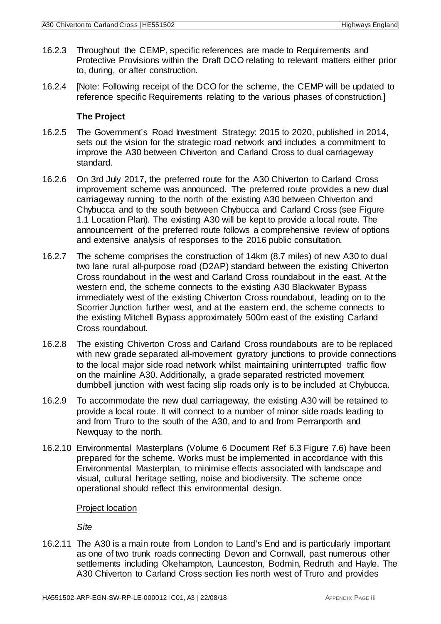- 16.2.3 Throughout the CEMP, specific references are made to Requirements and Protective Provisions within the Draft DCO relating to relevant matters either prior to, during, or after construction.
- 16.2.4 [Note: Following receipt of the DCO for the scheme, the CEMP will be updated to reference specific Requirements relating to the various phases of construction.]

### **The Project**

- 16.2.5 The Government's Road Investment Strategy: 2015 to 2020, published in 2014, sets out the vision for the strategic road network and includes a commitment to improve the A30 between Chiverton and Carland Cross to dual carriageway standard.
- 16.2.6 On 3rd July 2017, the preferred route for the A30 Chiverton to Carland Cross improvement scheme was announced. The preferred route provides a new dual carriageway running to the north of the existing A30 between Chiverton and Chybucca and to the south between Chybucca and Carland Cross (see Figure 1.1 Location Plan). The existing A30 will be kept to provide a local route. The announcement of the preferred route follows a comprehensive review of options and extensive analysis of responses to the 2016 public consultation.
- 16.2.7 The scheme comprises the construction of 14km (8.7 miles) of new A30 to dual two lane rural all-purpose road (D2AP) standard between the existing Chiverton Cross roundabout in the west and Carland Cross roundabout in the east. At the western end, the scheme connects to the existing A30 Blackwater Bypass immediately west of the existing Chiverton Cross roundabout, leading on to the Scorrier Junction further west, and at the eastern end, the scheme connects to the existing Mitchell Bypass approximately 500m east of the existing Carland Cross roundabout.
- 16.2.8 The existing Chiverton Cross and Carland Cross roundabouts are to be replaced with new grade separated all-movement gyratory junctions to provide connections to the local major side road network whilst maintaining uninterrupted traffic flow on the mainline A30. Additionally, a grade separated restricted movement dumbbell junction with west facing slip roads only is to be included at Chybucca.
- 16.2.9 To accommodate the new dual carriageway, the existing A30 will be retained to provide a local route. It will connect to a number of minor side roads leading to and from Truro to the south of the A30, and to and from Perranporth and Newquay to the north.
- 16.2.10 Environmental Masterplans (Volume 6 Document Ref 6.3 Figure 7.6) have been prepared for the scheme. Works must be implemented in accordance with this Environmental Masterplan, to minimise effects associated with landscape and visual, cultural heritage setting, noise and biodiversity. The scheme once operational should reflect this environmental design.

### Project location

*Site*

16.2.11 The A30 is a main route from London to Land's End and is particularly important as one of two trunk roads connecting Devon and Cornwall, past numerous other settlements including Okehampton, Launceston, Bodmin, Redruth and Hayle. The A30 Chiverton to Carland Cross section lies north west of Truro and provides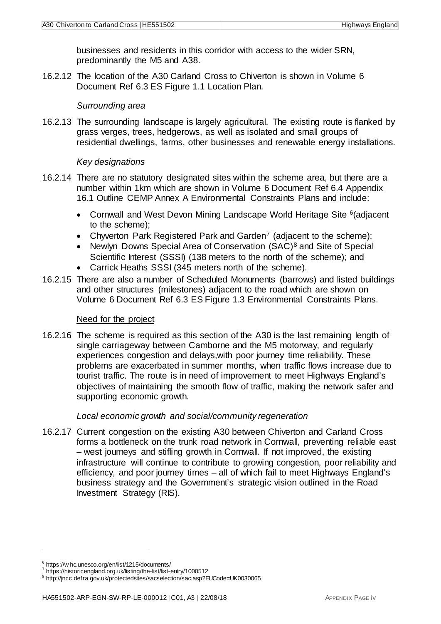businesses and residents in this corridor with access to the wider SRN, predominantly the M5 and A38.

16.2.12 The location of the A30 Carland Cross to Chiverton is shown in Volume 6 Document Ref 6.3 ES Figure 1.1 Location Plan.

### *Surrounding area*

16.2.13 The surrounding landscape is largely agricultural. The existing route is flanked by grass verges, trees, hedgerows, as well as isolated and small groups of residential dwellings, farms, other businesses and renewable energy installations.

### *Key designations*

- 16.2.14 There are no statutory designated sites within the scheme area, but there are a number within 1km which are shown in Volume 6 Document Ref 6.4 Appendix 16.1 Outline CEMP Annex A Environmental Constraints Plans and include:
	- Cornwall and West Devon Mining Landscape World Heritage Site [6](#page-5-0)(adjacent to the scheme);
	- Chyverton Park Registered Park and Garden<sup>[7](#page-5-1)</sup> (adjacent to the scheme);
	- Newlyn Downs Special Area of Conservation (SAC)<sup>[8](#page-5-2)</sup> and Site of Special Scientific Interest (SSSI) (138 meters to the north of the scheme); and
	- Carrick Heaths SSSI (345 meters north of the scheme).
- 16.2.15 There are also a number of Scheduled Monuments (barrows) and listed buildings and other structures (milestones) adjacent to the road which are shown on Volume 6 Document Ref 6.3 ES Figure 1.3 Environmental Constraints Plans.

### Need for the project

16.2.16 The scheme is required as this section of the A30 is the last remaining length of single carriageway between Camborne and the M5 motorway, and regularly experiences congestion and delays,with poor journey time reliability. These problems are exacerbated in summer months, when traffic flows increase due to tourist traffic. The route is in need of improvement to meet Highways England's objectives of maintaining the smooth flow of traffic, making the network safer and supporting economic growth.

### *Local economic growth and social/community regeneration*

16.2.17 Current congestion on the existing A30 between Chiverton and Carland Cross forms a bottleneck on the trunk road network in Cornwall, preventing reliable east – west journeys and stifling growth in Cornwall. If not improved, the existing infrastructure will continue to contribute to growing congestion, poor reliability and efficiency, and poor journey times – all of which fail to meet Highways England's business strategy and the Government's strategic vision outlined in the Road Investment Strategy (RIS).

<span id="page-5-0"></span><sup>&</sup>lt;sup>6</sup> https://w hc.unesco.org/en/list/1215/documents/<br><sup>7</sup> https://historicengland.org.uk/listing/the-list/list-entry/1000512

<span id="page-5-2"></span><span id="page-5-1"></span><sup>8</sup> http://jncc.defra.gov.uk/protectedsites/sacselection/sac.asp?EUCode=UK0030065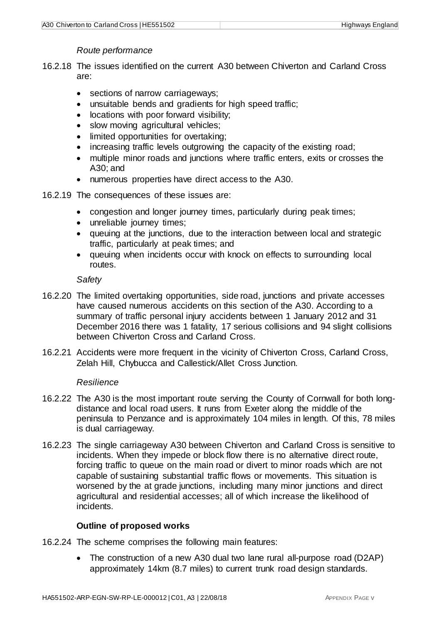### *Route performance*

- 16.2.18 The issues identified on the current A30 between Chiverton and Carland Cross are:
	- sections of narrow carriageways;
	- unsuitable bends and gradients for high speed traffic;
	- locations with poor forward visibility;
	- slow moving agricultural vehicles;
	- limited opportunities for overtaking;
	- increasing traffic levels outgrowing the capacity of the existing road;
	- multiple minor roads and junctions where traffic enters, exits or crosses the A30; and
	- numerous properties have direct access to the A30.
- 16.2.19 The consequences of these issues are:
	- congestion and longer journey times, particularly during peak times;
	- unreliable journey times;
	- queuing at the junctions, due to the interaction between local and strategic traffic, particularly at peak times; and
	- queuing when incidents occur with knock on effects to surrounding local routes.

*Safety*

- 16.2.20 The limited overtaking opportunities, side road, junctions and private accesses have caused numerous accidents on this section of the A30. According to a summary of traffic personal injury accidents between 1 January 2012 and 31 December 2016 there was 1 fatality, 17 serious collisions and 94 slight collisions between Chiverton Cross and Carland Cross.
- 16.2.21 Accidents were more frequent in the vicinity of Chiverton Cross, Carland Cross, Zelah Hill, Chybucca and Callestick/Allet Cross Junction.

### *Resilience*

- 16.2.22 The A30 is the most important route serving the County of Cornwall for both longdistance and local road users. It runs from Exeter along the middle of the peninsula to Penzance and is approximately 104 miles in length. Of this, 78 miles is dual carriageway.
- 16.2.23 The single carriageway A30 between Chiverton and Carland Cross is sensitive to incidents. When they impede or block flow there is no alternative direct route, forcing traffic to queue on the main road or divert to minor roads which are not capable of sustaining substantial traffic flows or movements. This situation is worsened by the at grade junctions, including many minor junctions and direct agricultural and residential accesses; all of which increase the likelihood of incidents.

### **Outline of proposed works**

- 16.2.24 The scheme comprises the following main features:
	- The construction of a new A30 dual two lane rural all-purpose road (D2AP) approximately 14km (8.7 miles) to current trunk road design standards.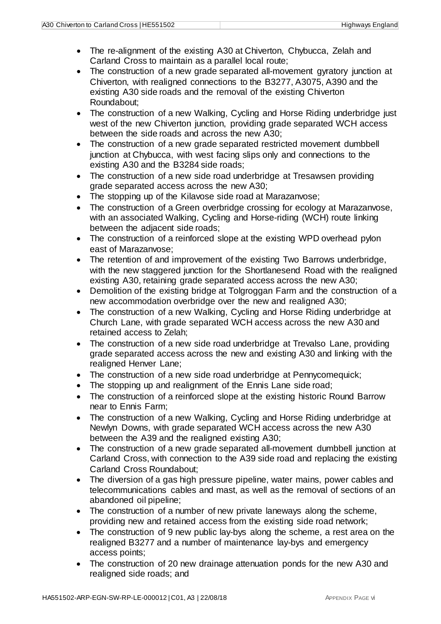- The re-alignment of the existing A30 at Chiverton, Chybucca, Zelah and Carland Cross to maintain as a parallel local route;
- The construction of a new grade separated all-movement gyratory junction at Chiverton, with realigned connections to the B3277, A3075, A390 and the existing A30 side roads and the removal of the existing Chiverton Roundabout;
- The construction of a new Walking, Cycling and Horse Riding underbridge just west of the new Chiverton junction, providing grade separated WCH access between the side roads and across the new A30;
- The construction of a new grade separated restricted movement dumbbell junction at Chybucca, with west facing slips only and connections to the existing A30 and the B3284 side roads;
- The construction of a new side road underbridge at Tresawsen providing grade separated access across the new A30;
- The stopping up of the Kilavose side road at Marazanvose;
- The construction of a Green overbridge crossing for ecology at Marazanvose, with an associated Walking, Cycling and Horse-riding (WCH) route linking between the adjacent side roads;
- The construction of a reinforced slope at the existing WPD overhead pylon east of Marazanvose;
- The retention of and improvement of the existing Two Barrows underbridge, with the new staggered junction for the Shortlanesend Road with the realigned existing A30, retaining grade separated access across the new A30;
- Demolition of the existing bridge at Tolgroggan Farm and the construction of a new accommodation overbridge over the new and realigned A30;
- The construction of a new Walking, Cycling and Horse Riding underbridge at Church Lane, with grade separated WCH access across the new A30 and retained access to Zelah;
- The construction of a new side road underbridge at Trevalso Lane, providing grade separated access across the new and existing A30 and linking with the realigned Henver Lane;
- The construction of a new side road underbridge at Pennycomequick;
- The stopping up and realignment of the Ennis Lane side road;
- The construction of a reinforced slope at the existing historic Round Barrow near to Ennis Farm;
- The construction of a new Walking, Cycling and Horse Riding underbridge at Newlyn Downs, with grade separated WCH access across the new A30 between the A39 and the realigned existing A30;
- The construction of a new grade separated all-movement dumbbell junction at Carland Cross, with connection to the A39 side road and replacing the existing Carland Cross Roundabout;
- The diversion of a gas high pressure pipeline, water mains, power cables and telecommunications cables and mast, as well as the removal of sections of an abandoned oil pipeline;
- The construction of a number of new private laneways along the scheme, providing new and retained access from the existing side road network;
- The construction of 9 new public lay-bys along the scheme, a rest area on the realigned B3277 and a number of maintenance lay-bys and emergency access points;
- The construction of 20 new drainage attenuation ponds for the new A30 and realigned side roads; and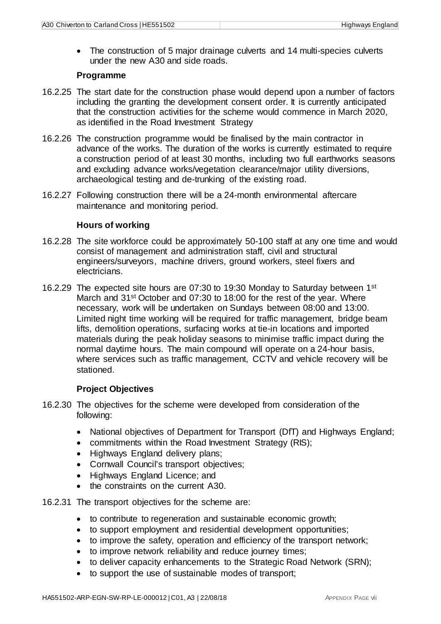• The construction of 5 major drainage culverts and 14 multi-species culverts under the new A30 and side roads.

### **Programme**

- 16.2.25 The start date for the construction phase would depend upon a number of factors including the granting the development consent order. It is currently anticipated that the construction activities for the scheme would commence in March 2020, as identified in the Road Investment Strategy
- 16.2.26 The construction programme would be finalised by the main contractor in advance of the works. The duration of the works is currently estimated to require a construction period of at least 30 months, including two full earthworks seasons and excluding advance works/vegetation clearance/major utility diversions, archaeological testing and de-trunking of the existing road.
- 16.2.27 Following construction there will be a 24-month environmental aftercare maintenance and monitoring period.

### **Hours of working**

- 16.2.28 The site workforce could be approximately 50-100 staff at any one time and would consist of management and administration staff, civil and structural engineers/surveyors, machine drivers, ground workers, steel fixers and electricians.
- 16.2.29 The expected site hours are 07:30 to 19:30 Monday to Saturday between 1st March and 31<sup>st</sup> October and 07:30 to 18:00 for the rest of the year. Where necessary, work will be undertaken on Sundays between 08:00 and 13:00. Limited night time working will be required for traffic management, bridge beam lifts, demolition operations, surfacing works at tie-in locations and imported materials during the peak holiday seasons to minimise traffic impact during the normal daytime hours. The main compound will operate on a 24-hour basis, where services such as traffic management, CCTV and vehicle recovery will be stationed.

### **Project Objectives**

- 16.2.30 The objectives for the scheme were developed from consideration of the following:
	- National objectives of Department for Transport (DfT) and Highways England;
	- commitments within the Road Investment Strategy (RIS);
	- Highways England delivery plans;
	- Cornwall Council's transport objectives;
	- Highways England Licence; and
	- the constraints on the current A30.
- 16.2.31 The transport objectives for the scheme are:
	- to contribute to regeneration and sustainable economic growth;
	- to support employment and residential development opportunities;
	- to improve the safety, operation and efficiency of the transport network;
	- to improve network reliability and reduce journey times;
	- to deliver capacity enhancements to the Strategic Road Network (SRN);
	- to support the use of sustainable modes of transport;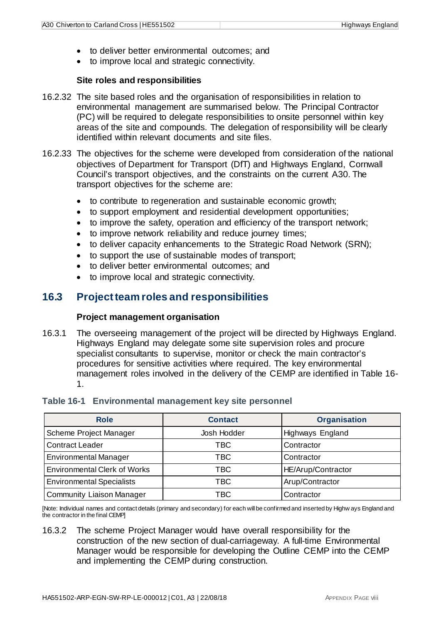- to deliver better environmental outcomes; and
- to improve local and strategic connectivity.

### **Site roles and responsibilities**

- 16.2.32 The site based roles and the organisation of responsibilities in relation to environmental management are summarised below. The Principal Contractor (PC) will be required to delegate responsibilities to onsite personnel within key areas of the site and compounds. The delegation of responsibility will be clearly identified within relevant documents and site files.
- 16.2.33 The objectives for the scheme were developed from consideration of the national objectives of Department for Transport (DfT) and Highways England, Cornwall Council's transport objectives, and the constraints on the current A30. The transport objectives for the scheme are:
	- to contribute to regeneration and sustainable economic growth;
	- to support employment and residential development opportunities;
	- to improve the safety, operation and efficiency of the transport network;
	- to improve network reliability and reduce journey times;
	- to deliver capacity enhancements to the Strategic Road Network (SRN);
	- to support the use of sustainable modes of transport;
	- to deliver better environmental outcomes; and
	- to improve local and strategic connectivity.

### <span id="page-9-0"></span>**16.3 Project team roles and responsibilities**

### **Project management organisation**

16.3.1 The overseeing management of the project will be directed by Highways England. Highways England may delegate some site supervision roles and procure specialist consultants to supervise, monitor or check the main contractor's procedures for sensitive activities where required. The key environmental management roles involved in the delivery of the CEMP are identified in Table 16- 1.

<span id="page-9-1"></span>

|  | Table 16-1 Environmental management key site personnel |  |  |  |  |
|--|--------------------------------------------------------|--|--|--|--|
|--|--------------------------------------------------------|--|--|--|--|

| <b>Role</b>                         | <b>Contact</b> | <b>Organisation</b> |
|-------------------------------------|----------------|---------------------|
| Scheme Project Manager              | Josh Hodder    | Highways England    |
| <b>Contract Leader</b>              | TBC            | Contractor          |
| <b>Environmental Manager</b>        | TBC            | Contractor          |
| <b>Environmental Clerk of Works</b> | TBC            | HE/Arup/Contractor  |
| <b>Environmental Specialists</b>    | TBC            | Arup/Contractor     |
| <b>Community Liaison Manager</b>    | TBC            | Contractor          |

[Note: Individual names and contact details (primary and secondary) for each will be confirmed and inserted by Highw ays England and the contractor in the final CEMP]

16.3.2 The scheme Project Manager would have overall responsibility for the construction of the new section of dual-carriageway. A full-time Environmental Manager would be responsible for developing the Outline CEMP into the CEMP and implementing the CEMP during construction.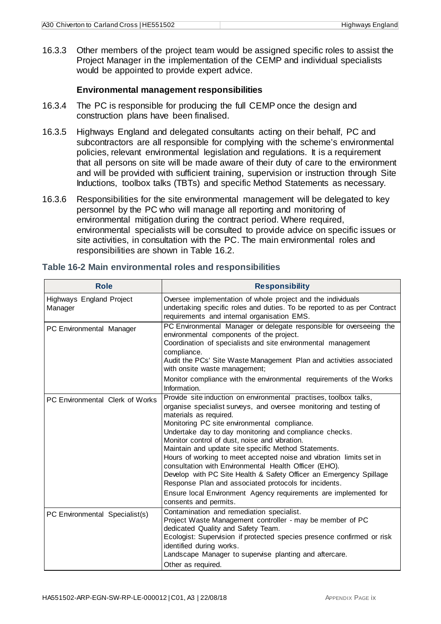16.3.3 Other members of the project team would be assigned specific roles to assist the Project Manager in the implementation of the CEMP and individual specialists would be appointed to provide expert advice.

#### **Environmental management responsibilities**

- 16.3.4 The PC is responsible for producing the full CEMP once the design and construction plans have been finalised.
- 16.3.5 Highways England and delegated consultants acting on their behalf, PC and subcontractors are all responsible for complying with the scheme's environmental policies, relevant environmental legislation and regulations. It is a requirement that all persons on site will be made aware of their duty of care to the environment and will be provided with sufficient training, supervision or instruction through Site Inductions, toolbox talks (TBTs) and specific Method Statements as necessary.
- 16.3.6 Responsibilities for the site environmental management will be delegated to key personnel by the PC who will manage all reporting and monitoring of environmental mitigation during the contract period. Where required, environmental specialists will be consulted to provide advice on specific issues or site activities, in consultation with the PC. The main environmental roles and responsibilities are shown in Table 16.2.

| <b>Role</b>                         | <b>Responsibility</b>                                                                                                                                                                                                                                                                                                                                                                                                                                                                                                                                                                                                                                                                                                                            |
|-------------------------------------|--------------------------------------------------------------------------------------------------------------------------------------------------------------------------------------------------------------------------------------------------------------------------------------------------------------------------------------------------------------------------------------------------------------------------------------------------------------------------------------------------------------------------------------------------------------------------------------------------------------------------------------------------------------------------------------------------------------------------------------------------|
| Highways England Project<br>Manager | Oversee implementation of whole project and the individuals<br>undertaking specific roles and duties. To be reported to as per Contract<br>requirements and internal organisation EMS.                                                                                                                                                                                                                                                                                                                                                                                                                                                                                                                                                           |
| PC Environmental Manager            | PC Environmental Manager or delegate responsible for overseeing the<br>environmental components of the project.<br>Coordination of specialists and site environmental management<br>compliance.<br>Audit the PCs' Site Waste Management Plan and activities associated<br>with onsite waste management;                                                                                                                                                                                                                                                                                                                                                                                                                                          |
|                                     | Monitor compliance with the environmental requirements of the Works<br>Information.                                                                                                                                                                                                                                                                                                                                                                                                                                                                                                                                                                                                                                                              |
| PC Environmental Clerk of Works     | Provide site induction on environmental practises, toolbox talks,<br>organise specialist surveys, and oversee monitoring and testing of<br>materials as required.<br>Monitoring PC site environmental compliance.<br>Undertake day to day monitoring and compliance checks.<br>Monitor control of dust, noise and vibration.<br>Maintain and update site specific Method Statements.<br>Hours of working to meet accepted noise and vibration limits set in<br>consultation with Environmental Health Officer (EHO).<br>Develop with PC Site Health & Safety Officer an Emergency Spillage<br>Response Plan and associated protocols for incidents.<br>Ensure local Environment Agency requirements are implemented for<br>consents and permits. |
| PC Environmental Specialist(s)      | Contamination and remediation specialist.<br>Project Waste Management controller - may be member of PC<br>dedicated Quality and Safety Team.<br>Ecologist: Supervision if protected species presence confirmed or risk<br>identified during works.<br>Landscape Manager to supervise planting and aftercare.<br>Other as required.                                                                                                                                                                                                                                                                                                                                                                                                               |

#### <span id="page-10-0"></span>**Table 16-2 Main environmental roles and responsibilities**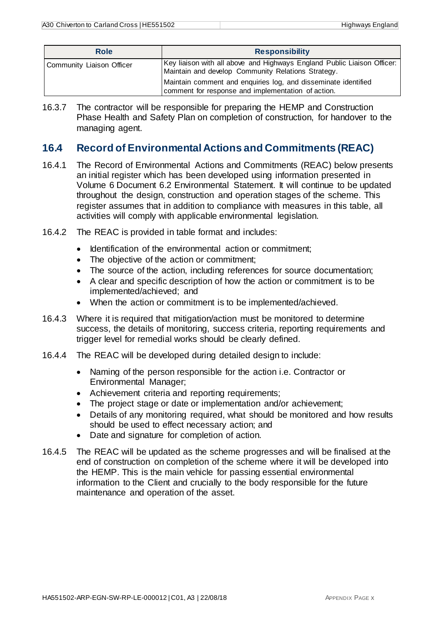| <b>Role</b>               | <b>Responsibility</b>                                                                                                         |  |  |
|---------------------------|-------------------------------------------------------------------------------------------------------------------------------|--|--|
| Community Liaison Officer | Key liaison with all above and Highways England Public Liaison Officer:<br>Maintain and develop Community Relations Strategy. |  |  |
|                           | Maintain comment and enquiries log, and disseminate identified<br>comment for response and implementation of action.          |  |  |

16.3.7 The contractor will be responsible for preparing the HEMP and Construction Phase Health and Safety Plan on completion of construction, for handover to the managing agent.

### <span id="page-11-0"></span>**16.4 Record of Environmental Actions and Commitments (REAC)**

- 16.4.1 The Record of Environmental Actions and Commitments (REAC) below presents an initial register which has been developed using information presented in Volume 6 Document 6.2 Environmental Statement. It will continue to be updated throughout the design, construction and operation stages of the scheme. This register assumes that in addition to compliance with measures in this table, all activities will comply with applicable environmental legislation.
- 16.4.2 The REAC is provided in table format and includes:
	- Identification of the environmental action or commitment;
	- The objective of the action or commitment;
	- The source of the action, including references for source documentation;
	- A clear and specific description of how the action or commitment is to be implemented/achieved; and
	- When the action or commitment is to be implemented/achieved.
- 16.4.3 Where it is required that mitigation/action must be monitored to determine success, the details of monitoring, success criteria, reporting requirements and trigger level for remedial works should be clearly defined.
- 16.4.4 The REAC will be developed during detailed design to include:
	- Naming of the person responsible for the action *i.e.* Contractor or Environmental Manager;
	- Achievement criteria and reporting requirements;
	- The project stage or date or implementation and/or achievement;
	- Details of any monitoring required, what should be monitored and how results should be used to effect necessary action; and
	- Date and signature for completion of action.
- 16.4.5 The REAC will be updated as the scheme progresses and will be finalised at the end of construction on completion of the scheme where it will be developed into the HEMP. This is the main vehicle for passing essential environmental information to the Client and crucially to the body responsible for the future maintenance and operation of the asset.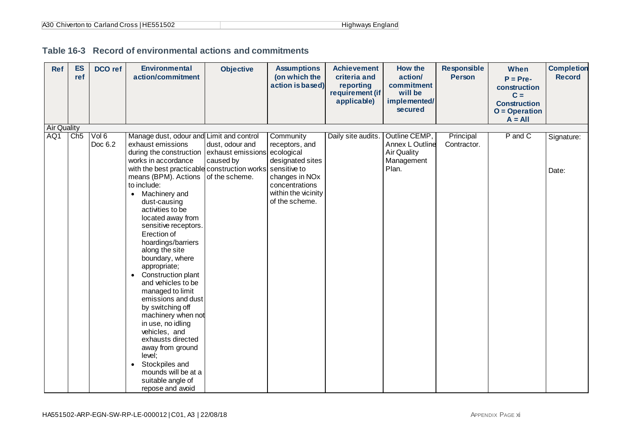<span id="page-12-0"></span>

| Ref                | <b>ES</b><br>ref | <b>DCO</b> ref   | <b>Environmental</b><br>action/commitment                                                                                                                                                                                                                                                                                                                                                                                                                                                                                                      | <b>Objective</b>                                                               | <b>Assumptions</b><br>(on which the<br>action is based)                       | <b>Achievement</b><br>criteria and<br>reporting<br>requirement (if<br>applicable) | How the<br>action/<br>commitment<br>will be<br>implemented/<br>secured        | <b>Responsible</b><br><b>Person</b> | When<br>$P = Pre-$<br>construction<br>$C =$<br><b>Construction</b><br>$O = Operation$<br>$A = All$ | <b>Completion</b><br><b>Record</b> |
|--------------------|------------------|------------------|------------------------------------------------------------------------------------------------------------------------------------------------------------------------------------------------------------------------------------------------------------------------------------------------------------------------------------------------------------------------------------------------------------------------------------------------------------------------------------------------------------------------------------------------|--------------------------------------------------------------------------------|-------------------------------------------------------------------------------|-----------------------------------------------------------------------------------|-------------------------------------------------------------------------------|-------------------------------------|----------------------------------------------------------------------------------------------------|------------------------------------|
| <b>Air Quality</b> |                  |                  |                                                                                                                                                                                                                                                                                                                                                                                                                                                                                                                                                |                                                                                |                                                                               |                                                                                   |                                                                               |                                     |                                                                                                    |                                    |
| AQ1                | Ch5              | Vol 6<br>Doc 6.2 | Manage dust, odour and Limit and control<br>exhaust emissions<br>during the construction<br>works in accordance<br>with the best practicable construction works sensitive to<br>means (BPM). Actions                                                                                                                                                                                                                                                                                                                                           | dust, odour and<br>exhaust emissions ecological<br>caused by<br>of the scheme. | Community<br>receptors, and<br>designated sites<br>changes in NO <sub>x</sub> | Daily site audits.                                                                | Outline CEMP,<br>Annex L Outline<br><b>Air Quality</b><br>Management<br>Plan. | Principal<br>Contractor.            | P and C                                                                                            | Signature:<br>Date:                |
|                    |                  |                  | to include:<br>• Machinery and<br>dust-causing<br>activities to be<br>located away from<br>sensitive receptors.<br>Erection of<br>hoardings/barriers<br>along the site<br>boundary, where<br>appropriate;<br>Construction plant<br>$\bullet$<br>and vehicles to be<br>managed to limit<br>emissions and dust<br>by switching off<br>machinery when not<br>in use, no idling<br>vehicles, and<br>exhausts directed<br>away from ground<br>level;<br>Stockpiles and<br>$\bullet$<br>mounds will be at a<br>suitable angle of<br>repose and avoid |                                                                                | concentrations<br>within the vicinity<br>of the scheme.                       |                                                                                   |                                                                               |                                     |                                                                                                    |                                    |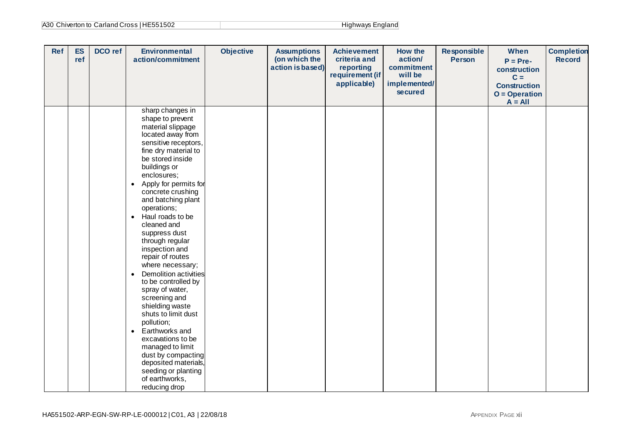| A30 Chiverton to Carland Cross   HE551502 | Highways England |
|-------------------------------------------|------------------|
|-------------------------------------------|------------------|

| Ref | <b>ES</b><br>ref | DCO ref | <b>Environmental</b><br>action/commitment                                                                                                                                                                                                                                                                                                                                                                                                                                                                                                                                                                                                                                                                                                                                | <b>Objective</b> | <b>Assumptions</b><br>(on which the<br>action is based) | <b>Achievement</b><br>criteria and<br>reporting<br>requirement (if<br>applicable) | <b>How the</b><br>action/<br>commitment<br>will be<br>implemented/<br>secured | <b>Responsible</b><br><b>Person</b> | When<br>$P = Pre-$<br>construction<br>$C =$<br><b>Construction</b><br>$O = Operator$<br>$A = All$ | <b>Completion</b><br><b>Record</b> |
|-----|------------------|---------|--------------------------------------------------------------------------------------------------------------------------------------------------------------------------------------------------------------------------------------------------------------------------------------------------------------------------------------------------------------------------------------------------------------------------------------------------------------------------------------------------------------------------------------------------------------------------------------------------------------------------------------------------------------------------------------------------------------------------------------------------------------------------|------------------|---------------------------------------------------------|-----------------------------------------------------------------------------------|-------------------------------------------------------------------------------|-------------------------------------|---------------------------------------------------------------------------------------------------|------------------------------------|
|     |                  |         | sharp changes in<br>shape to prevent<br>material slippage<br>located away from<br>sensitive receptors,<br>fine dry material to<br>be stored inside<br>buildings or<br>enclosures;<br>Apply for permits for<br>$\bullet$<br>concrete crushing<br>and batching plant<br>operations;<br>Haul roads to be<br>$\bullet$<br>cleaned and<br>suppress dust<br>through regular<br>inspection and<br>repair of routes<br>where necessary;<br>Demolition activities<br>$\bullet$<br>to be controlled by<br>spray of water,<br>screening and<br>shielding waste<br>shuts to limit dust<br>pollution;<br>Earthworks and<br>$\bullet$<br>excavations to be<br>managed to limit<br>dust by compacting<br>deposited materials,<br>seeding or planting<br>of earthworks,<br>reducing drop |                  |                                                         |                                                                                   |                                                                               |                                     |                                                                                                   |                                    |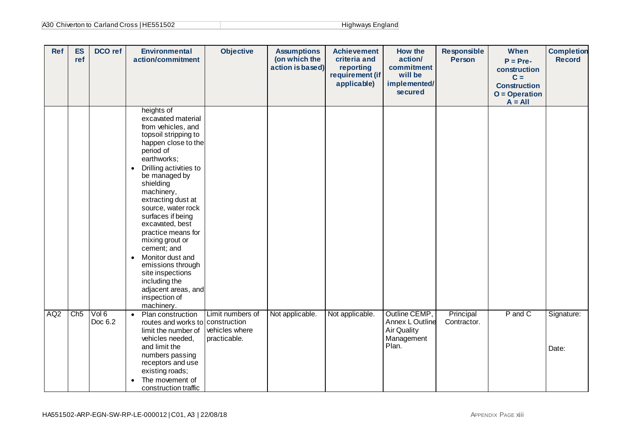| A30 Chiverton to Carland Cross   HE551502 | Highways England |
|-------------------------------------------|------------------|
|-------------------------------------------|------------------|

| <b>Ref</b>      | <b>ES</b><br>ref | DCO ref          | <b>Environmental</b><br>action/commitment                                                                                                                                                                                                                                                                                                                                                                                                                                                                         | <b>Objective</b>                                   | <b>Assumptions</b><br>(on which the<br>action is based) | <b>Achievement</b><br>criteria and<br>reporting<br>requirement (if<br>applicable) | <b>How the</b><br>action/<br>commitment<br>will be<br>implemented/<br>secured | <b>Responsible</b><br><b>Person</b> | When<br>$P = Pre-$<br>construction<br>$C =$<br><b>Construction</b><br>$O = Operation$<br>$A = All$ | <b>Completion</b><br><b>Record</b> |
|-----------------|------------------|------------------|-------------------------------------------------------------------------------------------------------------------------------------------------------------------------------------------------------------------------------------------------------------------------------------------------------------------------------------------------------------------------------------------------------------------------------------------------------------------------------------------------------------------|----------------------------------------------------|---------------------------------------------------------|-----------------------------------------------------------------------------------|-------------------------------------------------------------------------------|-------------------------------------|----------------------------------------------------------------------------------------------------|------------------------------------|
|                 |                  |                  | heights of<br>excavated material<br>from vehicles, and<br>topsoil stripping to<br>happen close to the<br>period of<br>earthworks;<br>Drilling activities to<br>$\bullet$<br>be managed by<br>shielding<br>machinery,<br>extracting dust at<br>source, water rock<br>surfaces if being<br>excavated, best<br>practice means for<br>mixing grout or<br>cement; and<br>Monitor dust and<br>$\bullet$<br>emissions through<br>site inspections<br>including the<br>adjacent areas, and<br>inspection of<br>machinery. |                                                    |                                                         |                                                                                   |                                                                               |                                     |                                                                                                    |                                    |
| AQ <sub>2</sub> | Ch5              | Vol 6<br>Doc 6.2 | Plan construction<br>$\bullet$<br>routes and works to construction<br>limit the number of<br>vehicles needed,<br>and limit the<br>numbers passing<br>receptors and use<br>existing roads;<br>The movement of<br>$\bullet$<br>construction traffic                                                                                                                                                                                                                                                                 | Limit numbers of<br>vehicles where<br>practicable. | Not applicable.                                         | Not applicable.                                                                   | Outline CEMP,<br>Annex L Outline<br><b>Air Quality</b><br>Management<br>Plan. | Principal<br>Contractor.            | P and C                                                                                            | Signature:<br>Date:                |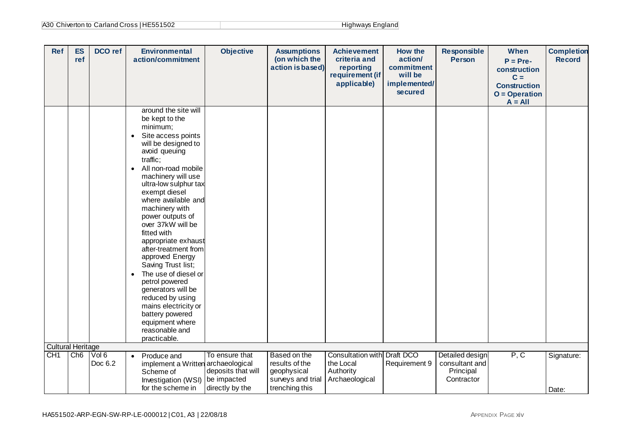| A30 Chiverton to Carland Cross   HE551502 | Highways England |
|-------------------------------------------|------------------|
|-------------------------------------------|------------------|

| <b>Ref</b>               | <b>ES</b><br>ref | DCO ref          | <b>Environmental</b><br>action/commitment                                                                                                                                                                                                                                                                                                                                                                                                                                                                                                                                                                                               | <b>Objective</b>                                                       | <b>Assumptions</b><br>(on which the<br>action is based)                              | <b>Achievement</b><br>criteria and<br>reporting<br>requirement (if<br>applicable) | <b>How the</b><br>action/<br>commitment<br>will be<br>implemented/<br>secured | <b>Responsible</b><br><b>Person</b>                          | When<br>$P = Pre-$<br>construction<br>$C =$<br><b>Construction</b><br>$O = Operation$<br>$A = All$ | <b>Completion</b><br><b>Record</b> |
|--------------------------|------------------|------------------|-----------------------------------------------------------------------------------------------------------------------------------------------------------------------------------------------------------------------------------------------------------------------------------------------------------------------------------------------------------------------------------------------------------------------------------------------------------------------------------------------------------------------------------------------------------------------------------------------------------------------------------------|------------------------------------------------------------------------|--------------------------------------------------------------------------------------|-----------------------------------------------------------------------------------|-------------------------------------------------------------------------------|--------------------------------------------------------------|----------------------------------------------------------------------------------------------------|------------------------------------|
|                          |                  |                  | around the site will<br>be kept to the<br>minimum;<br>Site access points<br>$\bullet$<br>will be designed to<br>avoid queuing<br>traffic;<br>All non-road mobile<br>$\bullet$<br>machinery will use<br>ultra-low sulphur tax<br>exempt diesel<br>where available and<br>machinery with<br>power outputs of<br>over 37kW will be<br>fitted with<br>appropriate exhaust<br>after-treatment from<br>approved Energy<br>Saving Trust list;<br>The use of diesel or<br>$\bullet$<br>petrol powered<br>generators will be<br>reduced by using<br>mains electricity or<br>battery powered<br>equipment where<br>reasonable and<br>practicable. |                                                                        |                                                                                      |                                                                                   |                                                                               |                                                              |                                                                                                    |                                    |
| <b>Cultural Heritage</b> |                  |                  |                                                                                                                                                                                                                                                                                                                                                                                                                                                                                                                                                                                                                                         |                                                                        |                                                                                      |                                                                                   |                                                                               |                                                              |                                                                                                    |                                    |
| CH <sub>1</sub>          | Ch6              | Vol 6<br>Doc 6.2 | Produce and<br>$\bullet$<br>implement a Written archaeological<br>Scheme of<br>Investigation (WSI)<br>for the scheme in                                                                                                                                                                                                                                                                                                                                                                                                                                                                                                                 | To ensure that<br>deposits that will<br>be impacted<br>directly by the | Based on the<br>results of the<br>geophysical<br>surveys and trial<br>trenching this | Consultation with<br>the Local<br>Authority<br>Archaeological                     | Draft DCO<br>Requirement 9                                                    | Detailed design<br>consultant and<br>Principal<br>Contractor | P, C                                                                                               | Signature:<br>Date:                |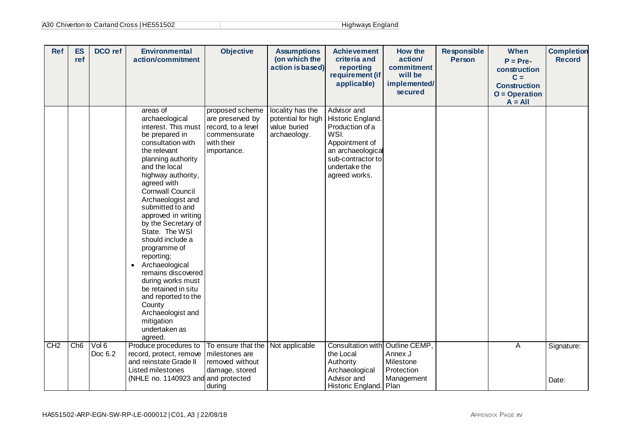| Ref | <b>ES</b><br>ref | DCO ref          | <b>Environmental</b><br>action/commitment                                                                                                                                                                                                                                                                                                                                                                                                                                                                                                                                   | <b>Objective</b>                                                                                       | <b>Assumptions</b><br>(on which the<br>action is based)                | <b>Achievement</b><br>criteria and<br>reporting<br>requirement (if<br>applicable)                                                                         | How the<br>action/<br>commitment<br>will be<br>implemented/<br>secured | <b>Responsible</b><br><b>Person</b> | When<br>$P = Pre-$<br>construction<br>$C =$<br><b>Construction</b><br>$O = Operation$<br>$A = All$ | <b>Completion</b><br><b>Record</b> |
|-----|------------------|------------------|-----------------------------------------------------------------------------------------------------------------------------------------------------------------------------------------------------------------------------------------------------------------------------------------------------------------------------------------------------------------------------------------------------------------------------------------------------------------------------------------------------------------------------------------------------------------------------|--------------------------------------------------------------------------------------------------------|------------------------------------------------------------------------|-----------------------------------------------------------------------------------------------------------------------------------------------------------|------------------------------------------------------------------------|-------------------------------------|----------------------------------------------------------------------------------------------------|------------------------------------|
|     |                  |                  | areas of<br>archaeological<br>interest. This must<br>be prepared in<br>consultation with<br>the relevant<br>planning authority<br>and the local<br>highway authority,<br>agreed with<br><b>Cornwall Council</b><br>Archaeologist and<br>submitted to and<br>approved in writing<br>by the Secretary of<br>State. The WSI<br>should include a<br>programme of<br>reporting;<br>Archaeological<br>$\bullet$<br>remains discovered<br>during works must<br>be retained in situ<br>and reported to the<br>County<br>Archaeologist and<br>mitigation<br>undertaken as<br>agreed. | proposed scheme<br>are preserved by<br>record, to a level<br>commensurate<br>with their<br>importance. | locality has the<br>potential for high<br>value buried<br>archaeology. | Advisor and<br>Historic England.<br>Production of a<br>WSI.<br>Appointment of<br>an archaeological<br>sub-contractor to<br>undertake the<br>agreed works. |                                                                        |                                     |                                                                                                    |                                    |
| CH2 | Ch6              | Vol 6<br>Doc 6.2 | Produce procedures to<br>record, protect, remove<br>and reinstate Grade II<br>Listed milestones<br>(NHLE no. 1140923 and and protected                                                                                                                                                                                                                                                                                                                                                                                                                                      | To ensure that the<br>milestones are<br>removed without<br>damage, stored<br>during                    | Not applicable                                                         | Consultation with Outline CEMP,<br>the Local<br>Authority<br>Archaeological<br>Advisor and<br>Historic England. Plan                                      | Annex J<br>Milestone<br>Protection<br>Management                       |                                     | A                                                                                                  | Signature:<br>Date:                |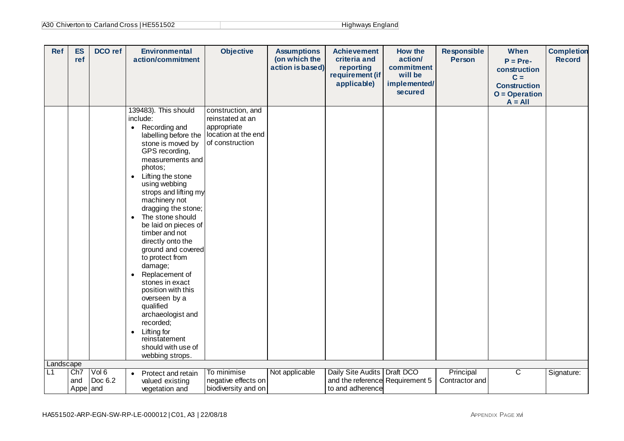| A30 Chiverton to Carland Cross   HE551502 | Highways England |
|-------------------------------------------|------------------|
|-------------------------------------------|------------------|

| <b>Ref</b> | <b>ES</b><br>ref       | DCO ref          | <b>Environmental</b><br>action/commitment                                                                                                                                                                                                                                                                                                                                                                                                                                                                                                                                                                                                                          | <b>Objective</b>                                                                               | <b>Assumptions</b><br>(on which the<br>action is based) | <b>Achievement</b><br>criteria and<br>reporting<br>requirement (if<br>applicable)    | How the<br>action/<br>commitment<br>will be<br>implemented/<br>secured | <b>Responsible</b><br><b>Person</b> | When<br>$P = Pre-$<br>construction<br>$C =$<br><b>Construction</b><br>$O = Operation$<br>$A = All$ | <b>Completion</b><br><b>Record</b> |
|------------|------------------------|------------------|--------------------------------------------------------------------------------------------------------------------------------------------------------------------------------------------------------------------------------------------------------------------------------------------------------------------------------------------------------------------------------------------------------------------------------------------------------------------------------------------------------------------------------------------------------------------------------------------------------------------------------------------------------------------|------------------------------------------------------------------------------------------------|---------------------------------------------------------|--------------------------------------------------------------------------------------|------------------------------------------------------------------------|-------------------------------------|----------------------------------------------------------------------------------------------------|------------------------------------|
|            |                        |                  | 139483). This should<br>include:<br>Recording and<br>$\bullet$<br>labelling before the<br>stone is moved by<br>GPS recording,<br>measurements and<br>photos;<br>Lifting the stone<br>$\bullet$<br>using webbing<br>strops and lifting my<br>machinery not<br>dragging the stone;<br>The stone should<br>$\bullet$<br>be laid on pieces of<br>timber and not<br>directly onto the<br>ground and covered<br>to protect from<br>damage;<br>Replacement of<br>$\bullet$<br>stones in exact<br>position with this<br>overseen by a<br>qualified<br>archaeologist and<br>recorded;<br>Lifting for<br>$\bullet$<br>reinstatement<br>should with use of<br>webbing strops. | construction, and<br>reinstated at an<br>appropriate<br>location at the end<br>of construction |                                                         |                                                                                      |                                                                        |                                     |                                                                                                    |                                    |
| Landscape  |                        |                  |                                                                                                                                                                                                                                                                                                                                                                                                                                                                                                                                                                                                                                                                    |                                                                                                |                                                         |                                                                                      |                                                                        |                                     |                                                                                                    |                                    |
| L1         | Ch7<br>and<br>Appe and | Vol 6<br>Doc 6.2 | Protect and retain<br>$\bullet$<br>valued existing<br>vegetation and                                                                                                                                                                                                                                                                                                                                                                                                                                                                                                                                                                                               | To minimise<br>negative effects on<br>biodiversity and on                                      | Not applicable                                          | Daily Site Audits   Draft DCO<br>and the reference Requirement 5<br>to and adherence |                                                                        | Principal<br>Contractor and         | $\overline{\text{c}}$                                                                              | Signature:                         |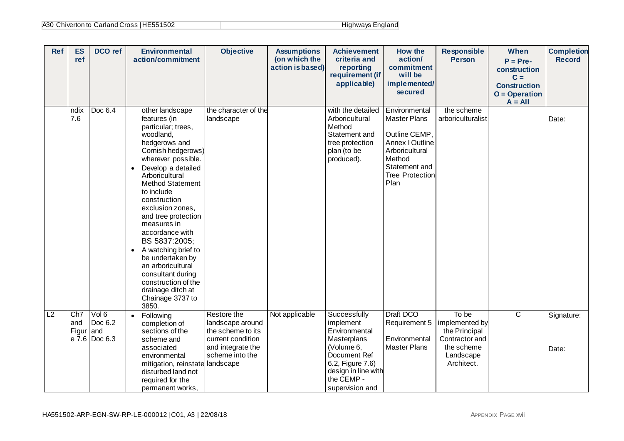| A30 Chiverton to Carland Cross   HE551502 | Highways England |
|-------------------------------------------|------------------|
|-------------------------------------------|------------------|

| <b>Ref</b> | <b>ES</b><br>ref        | <b>DCO</b> ref                                | <b>Environmental</b><br>action/commitment                                                                                                                                                                                                                                                                                                                                                                                                                                                                              | <b>Objective</b>                                                                                                  | <b>Assumptions</b><br>(on which the<br>action is based) | <b>Achievement</b><br>criteria and<br>reporting<br>requirement (if<br>applicable)                                                                                   | How the<br>action/<br>commitment<br>will be<br>implemented/<br>secured                                                                                  | <b>Responsible</b><br><b>Person</b>                                                                 | When<br>$P = Pre-$<br>construction<br>$C =$<br><b>Construction</b><br>$O = Operation$<br>$A = All$ | <b>Completion</b><br><b>Record</b> |
|------------|-------------------------|-----------------------------------------------|------------------------------------------------------------------------------------------------------------------------------------------------------------------------------------------------------------------------------------------------------------------------------------------------------------------------------------------------------------------------------------------------------------------------------------------------------------------------------------------------------------------------|-------------------------------------------------------------------------------------------------------------------|---------------------------------------------------------|---------------------------------------------------------------------------------------------------------------------------------------------------------------------|---------------------------------------------------------------------------------------------------------------------------------------------------------|-----------------------------------------------------------------------------------------------------|----------------------------------------------------------------------------------------------------|------------------------------------|
|            | ndix<br>7.6             | Doc 6.4                                       | other landscape<br>features (in<br>particular; trees,<br>woodland,<br>hedgerows and<br>Cornish hedgerows)<br>wherever possible.<br>Develop a detailed<br>$\bullet$<br>Arboricultural<br><b>Method Statement</b><br>to include<br>construction<br>exclusion zones,<br>and tree protection<br>measures in<br>accordance with<br>BS 5837:2005;<br>A watching brief to<br>$\bullet$<br>be undertaken by<br>an arboricultural<br>consultant during<br>construction of the<br>drainage ditch at<br>Chainage 3737 to<br>3850. | the character of the<br>landscape                                                                                 |                                                         | with the detailed<br>Arboricultural<br>Method<br>Statement and<br>tree protection<br>plan (to be<br>produced).                                                      | Environmental<br><b>Master Plans</b><br>Outline CEMP,<br>Annex I Outline<br>Arboricultural<br>Method<br>Statement and<br><b>Tree Protection</b><br>Plan | the scheme<br>arboriculturalist                                                                     |                                                                                                    | Date:                              |
| L2         | Ch7<br>and<br>Figur and | Vol 6<br>Doc 6.2<br>$e\overline{7.6}$ Doc 6.3 | Following<br>$\bullet$<br>completion of<br>sections of the<br>scheme and<br>associated<br>environmental<br>mitigation, reinstate landscape<br>disturbed land not<br>required for the<br>permanent works,                                                                                                                                                                                                                                                                                                               | Restore the<br>landscape around<br>the scheme to its<br>current condition<br>and integrate the<br>scheme into the | Not applicable                                          | Successfully<br>implement<br>Environmental<br>Masterplans<br>(Volume 6,<br>Document Ref<br>6.2, Figure 7.6)<br>design in line with<br>the CEMP -<br>supervision and | Draft DCO<br>Requirement 5<br>Environmental<br><b>Master Plans</b>                                                                                      | To be<br>implemented by<br>the Principal<br>Contractor and<br>the scheme<br>Landscape<br>Architect. | $\overline{\mathsf{c}}$                                                                            | Signature:<br>Date:                |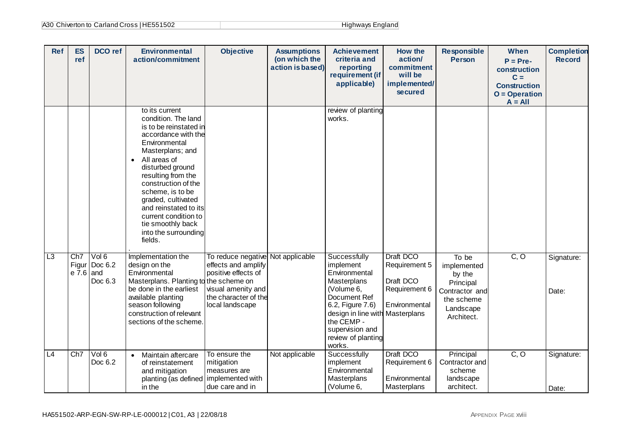| A30 Chiverton to Carland Cross   HE551502 | Highways England |
|-------------------------------------------|------------------|
|-------------------------------------------|------------------|

| <b>Ref</b> | <b>ES</b><br>ref        | DCO ref                           | <b>Environmental</b><br>action/commitment                                                                                                                                                                                                                                                                                                                                    | <b>Objective</b>                                                                                                                                 | <b>Assumptions</b><br>(on which the<br>action is based) | <b>Achievement</b><br>criteria and<br>reporting<br>requirement (if<br>applicable)                                                                                                                               | <b>How the</b><br>action/<br>commitment<br>will be<br>implemented/<br>secured | <b>Responsible</b><br><b>Person</b>                                                                    | When<br>$P = Pre-$<br>construction<br>$C =$<br><b>Construction</b><br>$O = Operation$<br>$A = All$ | <b>Completion</b><br><b>Record</b> |
|------------|-------------------------|-----------------------------------|------------------------------------------------------------------------------------------------------------------------------------------------------------------------------------------------------------------------------------------------------------------------------------------------------------------------------------------------------------------------------|--------------------------------------------------------------------------------------------------------------------------------------------------|---------------------------------------------------------|-----------------------------------------------------------------------------------------------------------------------------------------------------------------------------------------------------------------|-------------------------------------------------------------------------------|--------------------------------------------------------------------------------------------------------|----------------------------------------------------------------------------------------------------|------------------------------------|
|            |                         |                                   | to its current<br>condition. The land<br>is to be reinstated in<br>accordance with the<br>Environmental<br>Masterplans; and<br>All areas of<br>$\bullet$<br>disturbed ground<br>resulting from the<br>construction of the<br>scheme, is to be<br>graded, cultivated<br>and reinstated to its<br>current condition to<br>tie smoothly back<br>into the surrounding<br>fields. |                                                                                                                                                  |                                                         | review of planting<br>works.                                                                                                                                                                                    |                                                                               |                                                                                                        |                                                                                                    |                                    |
| L3         | Ch7<br>$e\bar{7}.6$ and | Vol 6<br>Figur Doc 6.2<br>Doc 6.3 | Implementation the<br>design on the<br>Environmental<br>Masterplans. Planting to the scheme on<br>be done in the earliest<br>available planting<br>season following<br>construction of relevant<br>sections of the scheme.                                                                                                                                                   | To reduce negative Not applicable<br>effects and amplify<br>positive effects of<br>visual amenity and<br>the character of the<br>local landscape |                                                         | Successfully<br>implement<br>Environmental<br>Masterplans<br>(Volume 6,<br>Document Ref<br>6.2, Figure 7.6)<br>design in line with Masterplans<br>the CEMP -<br>supervision and<br>review of planting<br>works. | Draft DCO<br>Requirement 5<br>Draft DCO<br>Requirement 6<br>Environmental     | To be<br>implemented<br>by the<br>Principal<br>Contractor and<br>the scheme<br>Landscape<br>Architect. | C, O                                                                                               | Signature:<br>Date:                |
| L4         | Ch <sub>7</sub>         | Vol 6<br>Doc 6.2                  | Maintain aftercare<br>$\bullet$<br>of reinstatement<br>and mitigation<br>planting (as defined   implemented with<br>in the                                                                                                                                                                                                                                                   | To ensure the<br>mitigation<br>measures are<br>due care and in                                                                                   | Not applicable                                          | Successfully<br>implement<br>Environmental<br>Masterplans<br>(Volume 6,                                                                                                                                         | Draft DCO<br>Requirement 6<br>Environmental<br>Masterplans                    | Principal<br>Contractor and<br>scheme<br>landscape<br>architect.                                       | $\overline{C, O}$                                                                                  | Signature:<br>Date:                |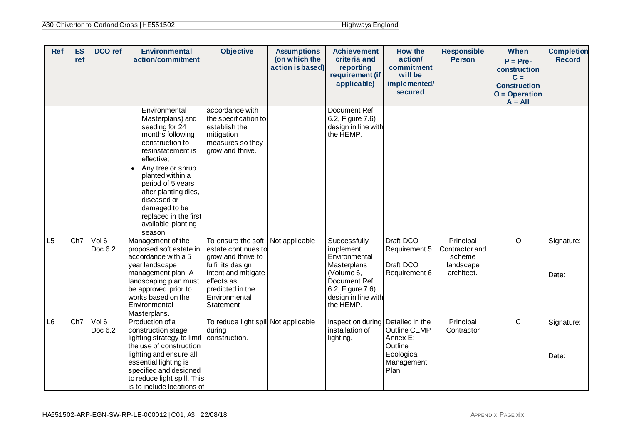| A30 Chiverton to Carland Cross   HE551502 | Highways England |
|-------------------------------------------|------------------|
|-------------------------------------------|------------------|

| <b>Ref</b> | <b>ES</b><br>ref | DCO ref          | <b>Environmental</b><br>action/commitment                                                                                                                                                                                                                                                                                          | <b>Objective</b>                                                                                                                                      | <b>Assumptions</b><br>(on which the<br>action is based) | <b>Achievement</b><br>criteria and<br>reporting<br>requirement (if<br>applicable)                                               | How the<br>action/<br>commitment<br>will be<br>implemented/<br>secured  | <b>Responsible</b><br><b>Person</b>                 | When<br>$P = Pre-$<br>construction<br>$C =$<br><b>Construction</b><br>$O = Operation$<br>$A = All$ | <b>Completion</b><br><b>Record</b> |
|------------|------------------|------------------|------------------------------------------------------------------------------------------------------------------------------------------------------------------------------------------------------------------------------------------------------------------------------------------------------------------------------------|-------------------------------------------------------------------------------------------------------------------------------------------------------|---------------------------------------------------------|---------------------------------------------------------------------------------------------------------------------------------|-------------------------------------------------------------------------|-----------------------------------------------------|----------------------------------------------------------------------------------------------------|------------------------------------|
| L5         | Ch7              | Vol 6            | Environmental<br>Masterplans) and<br>seeding for 24<br>months following<br>construction to<br>resinstatement is<br>effective;<br>Any tree or shrub<br>planted within a<br>period of 5 years<br>after planting dies,<br>diseased or<br>damaged to be<br>replaced in the first<br>available planting<br>season.<br>Management of the | accordance with<br>the specification to<br>establish the<br>mitigation<br>measures so they<br>grow and thrive.<br>To ensure the soft                  | Not applicable                                          | <b>Document Ref</b><br>6.2, Figure 7.6)<br>design in line with<br>the HEMP.<br>Successfully                                     | Draft DCO                                                               | Principal                                           | $\overline{\circ}$                                                                                 | Signature:                         |
|            |                  | Doc 6.2          | proposed soft estate in<br>accordance with a 5<br>year landscape<br>management plan. A<br>landscaping plan must<br>be approved prior to<br>works based on the<br>Environmental<br>Masterplans.                                                                                                                                     | estate continues to<br>grow and thrive to<br>fulfil its design<br>intent and mitigate<br>effects as<br>predicted in the<br>Environmental<br>Statement |                                                         | implement<br>Environmental<br>Masterplans<br>(Volume 6,<br>Document Ref<br>6.2, Figure 7.6)<br>design in line with<br>the HEMP. | Requirement 5<br>Draft DCO<br>Requirement 6                             | Contractor and<br>scheme<br>landscape<br>architect. |                                                                                                    | Date:                              |
| L6         | Ch7              | Vol 6<br>Doc 6.2 | Production of a<br>construction stage<br>lighting strategy to limit   construction.<br>the use of construction<br>lighting and ensure all<br>essential lighting is<br>specified and designed<br>to reduce light spill. This<br>is to include locations of                                                                          | To reduce light spill Not applicable<br>during                                                                                                        |                                                         | Inspection during Detailed in the<br>installation of<br>lighting.                                                               | Outline CEMP<br>Annex E:<br>Outline<br>Ecological<br>Management<br>Plan | Principal<br>Contractor                             | $\overline{\mathsf{C}}$                                                                            | Signature:<br>Date:                |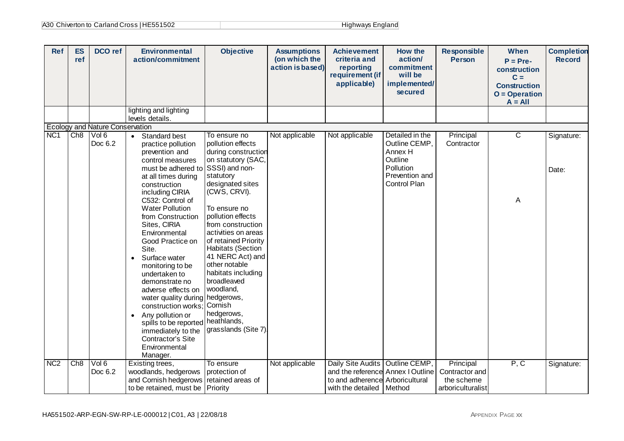| <b>Ref</b>      | <b>ES</b><br>ref | <b>DCO</b> ref                         | <b>Environmental</b><br>action/commitment                                                                                                                                                                                                                                                                                                                                                                                                                                                                                                                                                           | <b>Objective</b>                                                                                                                                                                                                                                                                                                                                                                                                                                     | <b>Assumptions</b><br>(on which the<br>action is based) | <b>Achievement</b><br>criteria and<br>reporting<br>requirement (if<br>applicable)                  | <b>How the</b><br>action/<br>commitment<br>will be<br>implemented/<br>secured                         | <b>Responsible</b><br><b>Person</b>               | When<br>$P = Pre-$<br>construction<br>$C =$<br><b>Construction</b><br>$O = Operation$ | <b>Completion</b><br><b>Record</b> |
|-----------------|------------------|----------------------------------------|-----------------------------------------------------------------------------------------------------------------------------------------------------------------------------------------------------------------------------------------------------------------------------------------------------------------------------------------------------------------------------------------------------------------------------------------------------------------------------------------------------------------------------------------------------------------------------------------------------|------------------------------------------------------------------------------------------------------------------------------------------------------------------------------------------------------------------------------------------------------------------------------------------------------------------------------------------------------------------------------------------------------------------------------------------------------|---------------------------------------------------------|----------------------------------------------------------------------------------------------------|-------------------------------------------------------------------------------------------------------|---------------------------------------------------|---------------------------------------------------------------------------------------|------------------------------------|
|                 |                  |                                        |                                                                                                                                                                                                                                                                                                                                                                                                                                                                                                                                                                                                     |                                                                                                                                                                                                                                                                                                                                                                                                                                                      |                                                         |                                                                                                    |                                                                                                       |                                                   | $A = All$                                                                             |                                    |
|                 |                  |                                        | lighting and lighting<br>levels details.                                                                                                                                                                                                                                                                                                                                                                                                                                                                                                                                                            |                                                                                                                                                                                                                                                                                                                                                                                                                                                      |                                                         |                                                                                                    |                                                                                                       |                                                   |                                                                                       |                                    |
|                 |                  | <b>Ecology and Nature Conservation</b> |                                                                                                                                                                                                                                                                                                                                                                                                                                                                                                                                                                                                     |                                                                                                                                                                                                                                                                                                                                                                                                                                                      |                                                         |                                                                                                    |                                                                                                       |                                                   |                                                                                       |                                    |
| NC <sub>1</sub> | Ch8              | Vol 6<br>Doc 6.2                       | Standard best<br>$\bullet$<br>practice pollution<br>prevention and<br>control measures<br>must be adhered to<br>at all times during<br>construction<br>including CIRIA<br>C532: Control of<br><b>Water Pollution</b><br>from Construction<br>Sites, CIRIA<br>Environmental<br>Good Practice on<br>Site.<br>Surface water<br>$\bullet$<br>monitoring to be<br>undertaken to<br>demonstrate no<br>adverse effects on<br>water quality during<br>construction works;<br>Any pollution or<br>$\bullet$<br>spills to be reported<br>immediately to the<br>Contractor's Site<br>Environmental<br>Manager. | To ensure no<br>pollution effects<br>during construction<br>on statutory (SAC,<br>SSSI) and non-<br>statutory<br>designated sites<br>(CWS, CRVI).<br>To ensure no<br>pollution effects<br>from construction<br>activities on areas<br>of retained Priority<br>Habitats (Section<br>41 NERC Act) and<br>other notable<br>habitats including<br>broadleaved<br>woodland,<br>hedgerows,<br>Cornish<br>hedgerows,<br>heathlands,<br>grasslands (Site 7). | Not applicable                                          | Not applicable                                                                                     | Detailed in the<br>Outline CEMP,<br>Annex H<br>Outline<br>Pollution<br>Prevention and<br>Control Plan | Principal<br>Contractor                           | $\overline{C}$<br>A                                                                   | Signature:<br>Date:                |
| N <sub>C2</sub> | Ch8              | Vol 6                                  | Existing trees,                                                                                                                                                                                                                                                                                                                                                                                                                                                                                                                                                                                     | To ensure                                                                                                                                                                                                                                                                                                                                                                                                                                            | Not applicable                                          | Daily Site Audits                                                                                  | Outline CEMP,                                                                                         | Principal                                         | P, C                                                                                  | Signature:                         |
|                 |                  | Doc 6.2                                | woodlands, hedgerows<br>and Cornish hedgerows<br>to be retained, must be                                                                                                                                                                                                                                                                                                                                                                                                                                                                                                                            | protection of<br>retained areas of<br>Priority                                                                                                                                                                                                                                                                                                                                                                                                       |                                                         | and the reference Annex I Outline<br>to and adherence Arboricultural<br>with the detailed   Method |                                                                                                       | Contractor and<br>the scheme<br>arboriculturalist |                                                                                       |                                    |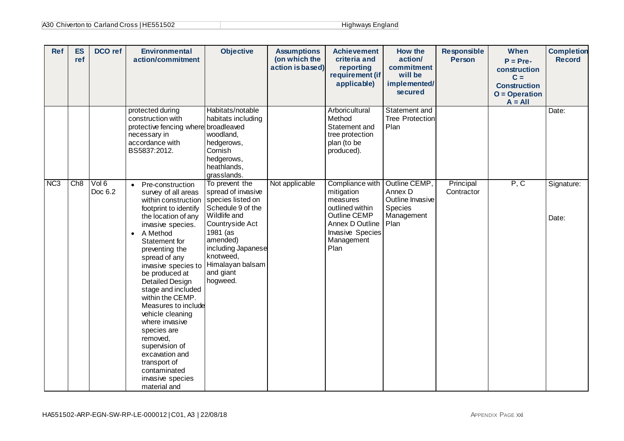| <b>Ref</b>      | <b>ES</b><br>ref | DCO ref          | <b>Environmental</b><br>action/commitment                                                                                                                                                                                                                                                                                                                                                                                                                                                                                                                    | <b>Objective</b>                                                                                                                                                                                     | <b>Assumptions</b><br>(on which the<br>action is based) | <b>Achievement</b><br>criteria and<br>reporting<br>requirement (if<br>applicable)                                                                | <b>How the</b><br>action/<br>commitment<br>will be<br>implemented/<br>secured | <b>Responsible</b><br><b>Person</b> | When<br>$P = Pre-$<br>construction<br>$C =$<br><b>Construction</b><br>$O = Operation$<br>$A = All$ | <b>Completion</b><br><b>Record</b> |
|-----------------|------------------|------------------|--------------------------------------------------------------------------------------------------------------------------------------------------------------------------------------------------------------------------------------------------------------------------------------------------------------------------------------------------------------------------------------------------------------------------------------------------------------------------------------------------------------------------------------------------------------|------------------------------------------------------------------------------------------------------------------------------------------------------------------------------------------------------|---------------------------------------------------------|--------------------------------------------------------------------------------------------------------------------------------------------------|-------------------------------------------------------------------------------|-------------------------------------|----------------------------------------------------------------------------------------------------|------------------------------------|
|                 |                  |                  | protected during<br>construction with<br>protective fencing where broadleaved<br>necessary in<br>accordance with<br>BS5837:2012.                                                                                                                                                                                                                                                                                                                                                                                                                             | Habitats/notable<br>habitats including<br>woodland,<br>hedgerows,<br>Cornish<br>hedgerows,<br>heathlands,<br>grasslands.                                                                             |                                                         | Arboricultural<br>Method<br>Statement and<br>tree protection<br>plan (to be<br>produced).                                                        | Statement and<br><b>Tree Protection</b><br>Plan                               |                                     |                                                                                                    | Date:                              |
| NC <sub>3</sub> | Ch8              | Vol 6<br>Doc 6.2 | Pre-construction<br>$\bullet$<br>survey of all areas<br>within construction species listed on<br>footprint to identify<br>the location of any<br>invasive species.<br>A Method<br>$\bullet$<br>Statement for<br>preventing the<br>spread of any<br>invasive species to<br>be produced at<br><b>Detailed Design</b><br>stage and included<br>within the CEMP.<br>Measures to include<br>vehicle cleaning<br>where invasive<br>species are<br>removed,<br>supervision of<br>excavation and<br>transport of<br>contaminated<br>invasive species<br>material and | To prevent the<br>spread of invasive<br>Schedule 9 of the<br>Wildlife and<br>Countryside Act<br>1981 (as<br>amended)<br>including Japanese<br>knotweed,<br>Himalayan balsam<br>and giant<br>hogweed. | Not applicable                                          | Compliance with<br>mitigation<br>measures<br>outlined within<br>Outline CEMP<br>Annex D Outline<br><b>Invasive Species</b><br>Management<br>Plan | Outline CEMP,<br>Annex D<br>Outline Invasive<br>Species<br>Management<br>Plan | Principal<br>Contractor             | P, C                                                                                               | Signature:<br>Date:                |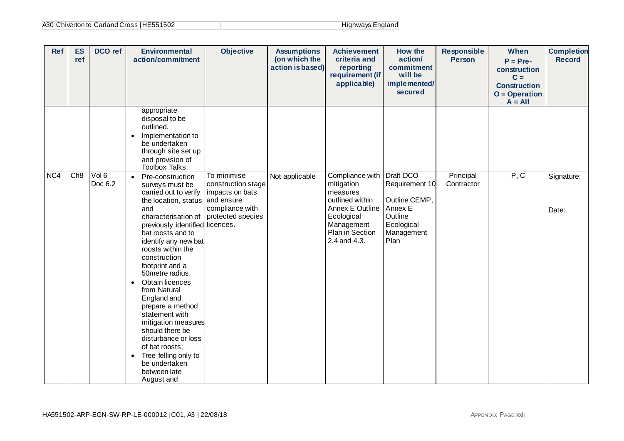| A30 Chiverton to Carland Cross   HE551502 | Highways England |
|-------------------------------------------|------------------|
|-------------------------------------------|------------------|

| <b>Ref</b> | <b>ES</b><br>ref | DCO ref          | <b>Environmental</b><br>action/commitment                                                                                                                                                                                                                                                                                                                                                                                                                                                                                                                              | <b>Objective</b>                                                                                           | <b>Assumptions</b><br>(on which the<br>action is based) | <b>Achievement</b><br>criteria and<br>reporting<br>requirement (if<br>applicable)                                                                     | <b>How the</b><br>action/<br>commitment<br>will be<br>implemented/<br>secured                          | <b>Responsible</b><br><b>Person</b> | When<br>$P = Pre-$<br>construction<br>$C =$<br><b>Construction</b><br>$O = Operation$<br>$A = All$ | <b>Completion</b><br><b>Record</b> |
|------------|------------------|------------------|------------------------------------------------------------------------------------------------------------------------------------------------------------------------------------------------------------------------------------------------------------------------------------------------------------------------------------------------------------------------------------------------------------------------------------------------------------------------------------------------------------------------------------------------------------------------|------------------------------------------------------------------------------------------------------------|---------------------------------------------------------|-------------------------------------------------------------------------------------------------------------------------------------------------------|--------------------------------------------------------------------------------------------------------|-------------------------------------|----------------------------------------------------------------------------------------------------|------------------------------------|
|            |                  |                  | appropriate<br>disposal to be<br>outlined.<br>Implementation to<br>$\bullet$<br>be undertaken<br>through site set up<br>and provision of<br>Toolbox Talks.                                                                                                                                                                                                                                                                                                                                                                                                             |                                                                                                            |                                                         |                                                                                                                                                       |                                                                                                        |                                     |                                                                                                    |                                    |
| NC4        | Ch8              | Vol 6<br>Doc 6.2 | Pre-construction<br>$\bullet$<br>surveys must be<br>carried out to verify<br>the location, status<br>and<br>characterisation of<br>previously identified licences.<br>bat roosts and to<br>identify any new bat<br>roosts within the<br>construction<br>footprint and a<br>50metre radius.<br>Obtain licences<br>$\bullet$<br>from Natural<br>England and<br>prepare a method<br>statement with<br>mitigation measures<br>should there be<br>disturbance or loss<br>of bat roosts;<br>Tree felling only to<br>$\bullet$<br>be undertaken<br>between late<br>August and | To minimise<br>construction stage<br>impacts on bats<br>and ensure<br>compliance with<br>protected species | Not applicable                                          | Compliance with<br>mitigation<br>measures<br>outlined within<br>Annex E Outline<br>Ecological<br>Management<br><b>Plan in Section</b><br>2.4 and 4.3. | Draft DCO<br>Requirement 10<br>Outline CEMP,<br>Annex E<br>Outline<br>Ecological<br>Management<br>Plan | Principal<br>Contractor             | P, C                                                                                               | Signature:<br>Date:                |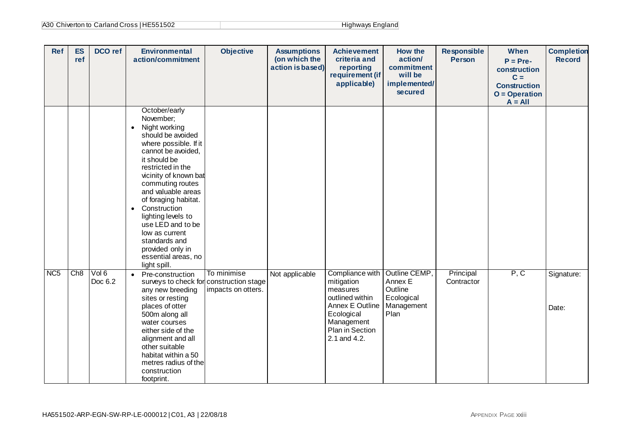| A30 Chiverton to Carland Cross   HE551502 | Highways England |
|-------------------------------------------|------------------|
|-------------------------------------------|------------------|

| <b>Ref</b>      | <b>ES</b><br>ref | <b>DCO</b> ref | <b>Environmental</b><br>action/commitment                                                                                                                                                                                                                                                                                                                                                                                          | <b>Objective</b>                  | <b>Assumptions</b><br>(on which the<br>action is based) | <b>Achievement</b><br>criteria and<br>reporting<br>requirement (if<br>applicable)                                                              | How the<br>action/<br>commitment<br>will be<br>implemented/<br>secured  | <b>Responsible</b><br><b>Person</b> | When<br>$P = Pre-$<br>construction<br>$C =$<br><b>Construction</b><br>$O = Operation$<br>$A = All$ | <b>Completion</b><br><b>Record</b> |
|-----------------|------------------|----------------|------------------------------------------------------------------------------------------------------------------------------------------------------------------------------------------------------------------------------------------------------------------------------------------------------------------------------------------------------------------------------------------------------------------------------------|-----------------------------------|---------------------------------------------------------|------------------------------------------------------------------------------------------------------------------------------------------------|-------------------------------------------------------------------------|-------------------------------------|----------------------------------------------------------------------------------------------------|------------------------------------|
|                 |                  | Vol 6          | October/early<br>November;<br>Night working<br>$\bullet$<br>should be avoided<br>where possible. If it<br>cannot be avoided,<br>it should be<br>restricted in the<br>vicinity of known bat<br>commuting routes<br>and valuable areas<br>of foraging habitat.<br>Construction<br>$\bullet$<br>lighting levels to<br>use LED and to be<br>low as current<br>standards and<br>provided only in<br>essential areas, no<br>light spill. |                                   |                                                         |                                                                                                                                                |                                                                         |                                     |                                                                                                    |                                    |
| NC <sub>5</sub> | Ch8              | Doc 6.2        | • Pre-construction<br>surveys to check for construction stage<br>any new breeding<br>sites or resting<br>places of otter<br>500m along all<br>water courses<br>either side of the<br>alignment and all<br>other suitable<br>habitat within a 50<br>metres radius of the<br>construction<br>footprint.                                                                                                                              | To minimise<br>impacts on otters. | Not applicable                                          | Compliance with<br>mitigation<br>measures<br>outlined within<br>Annex E Outline<br>Ecological<br>Management<br>Plan in Section<br>2.1 and 4.2. | Outline CEMP,<br>Annex E<br>Outline<br>Ecological<br>Management<br>Plan | Principal<br>Contractor             | P, C                                                                                               | Signature:<br>Date:                |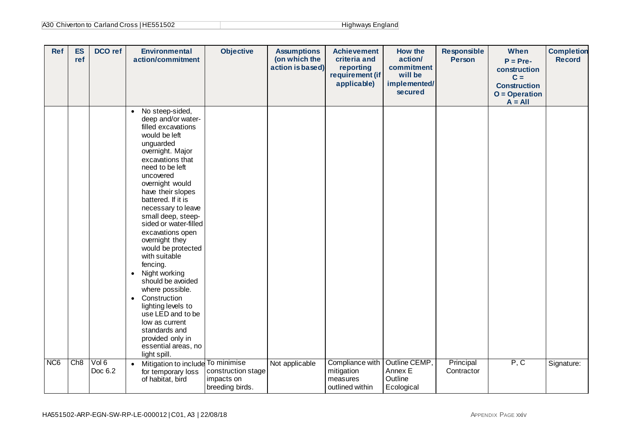| A30 Chiverton to Carland Cross   HE551502 | Highways England |
|-------------------------------------------|------------------|
|-------------------------------------------|------------------|

| <b>Ref</b>      | <b>ES</b><br>ref | DCO ref          | <b>Environmental</b><br>action/commitment                                                                                                                                                                                                                                                                                                                                                                                                                                                                                                                                                                                                   | <b>Objective</b>                                    | <b>Assumptions</b><br>(on which the<br>action is based) | <b>Achievement</b><br>criteria and<br>reporting<br>requirement (if<br>applicable) | How the<br>action/<br>commitment<br>will be<br>implemented/<br>secured | <b>Responsible</b><br><b>Person</b> | <b>When</b><br>$P = Pre-$<br>construction<br>$C =$<br><b>Construction</b><br>$O = Operation$<br>$A = All$ | <b>Completion</b><br><b>Record</b> |
|-----------------|------------------|------------------|---------------------------------------------------------------------------------------------------------------------------------------------------------------------------------------------------------------------------------------------------------------------------------------------------------------------------------------------------------------------------------------------------------------------------------------------------------------------------------------------------------------------------------------------------------------------------------------------------------------------------------------------|-----------------------------------------------------|---------------------------------------------------------|-----------------------------------------------------------------------------------|------------------------------------------------------------------------|-------------------------------------|-----------------------------------------------------------------------------------------------------------|------------------------------------|
|                 |                  |                  | No steep-sided,<br>$\bullet$<br>deep and/or water-<br>filled excavations<br>would be left<br>unguarded<br>overnight. Major<br>excavations that<br>need to be left<br>uncovered<br>overnight would<br>have their slopes<br>battered. If it is<br>necessary to leave<br>small deep, steep-<br>sided or water-filled<br>excavations open<br>overnight they<br>would be protected<br>with suitable<br>fencing.<br>• Night working<br>should be avoided<br>where possible.<br>Construction<br>$\bullet$<br>lighting levels to<br>use LED and to be<br>low as current<br>standards and<br>provided only in<br>essential areas, no<br>light spill. |                                                     |                                                         |                                                                                   |                                                                        |                                     |                                                                                                           |                                    |
| NC <sub>6</sub> | Ch8              | Vol 6<br>Doc 6.2 | Mitigation to include To minimise<br>$\bullet$<br>for temporary loss<br>of habitat, bird                                                                                                                                                                                                                                                                                                                                                                                                                                                                                                                                                    | construction stage<br>impacts on<br>breeding birds. | Not applicable                                          | Compliance with<br>mitigation<br>measures<br>outlined within                      | Outline CEMP,<br>Annex E<br>Outline<br>Ecological                      | Principal<br>Contractor             | P, C                                                                                                      | Signature:                         |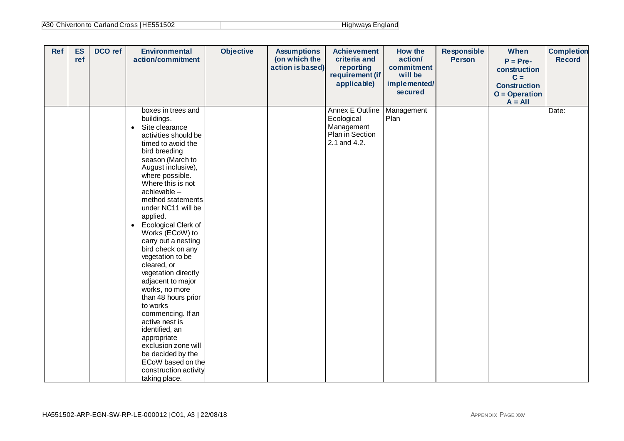| A30 Chiverton to Carland Cross   HE551502 | Highways England |
|-------------------------------------------|------------------|
|-------------------------------------------|------------------|

| <b>Ref</b> | <b>ES</b><br>ref | DCO ref | <b>Environmental</b><br>action/commitment                                                                                                                                                                                                                                                                                                                                                                                                                                                                                                                                                                                                                                                                         | <b>Objective</b> | <b>Assumptions</b><br>(on which the<br>action is based) | <b>Achievement</b><br>criteria and<br>reporting<br>requirement (if<br>applicable)     | <b>How the</b><br>action/<br>commitment<br>will be<br>implemented/<br>secured | <b>Responsible</b><br><b>Person</b> | When<br>$P = Pre-$<br>construction<br>$C =$<br><b>Construction</b><br>$O = Operation$<br>$A = All$ | <b>Completion</b><br><b>Record</b> |
|------------|------------------|---------|-------------------------------------------------------------------------------------------------------------------------------------------------------------------------------------------------------------------------------------------------------------------------------------------------------------------------------------------------------------------------------------------------------------------------------------------------------------------------------------------------------------------------------------------------------------------------------------------------------------------------------------------------------------------------------------------------------------------|------------------|---------------------------------------------------------|---------------------------------------------------------------------------------------|-------------------------------------------------------------------------------|-------------------------------------|----------------------------------------------------------------------------------------------------|------------------------------------|
|            |                  |         | boxes in trees and<br>buildings.<br>Site clearance<br>$\bullet$<br>activities should be<br>timed to avoid the<br>bird breeding<br>season (March to<br>August inclusive),<br>where possible.<br>Where this is not<br>achievable -<br>method statements<br>under NC11 will be<br>applied.<br>Ecological Clerk of<br>$\bullet$<br>Works (ECoW) to<br>carry out a nesting<br>bird check on any<br>vegetation to be<br>cleared, or<br>vegetation directly<br>adjacent to major<br>works, no more<br>than 48 hours prior<br>to works<br>commencing. If an<br>active nest is<br>identified, an<br>appropriate<br>exclusion zone will<br>be decided by the<br>ECoW based on the<br>construction activity<br>taking place. |                  |                                                         | <b>Annex E Outline</b><br>Ecological<br>Management<br>Plan in Section<br>2.1 and 4.2. | Management<br>Plan                                                            |                                     |                                                                                                    | Date:                              |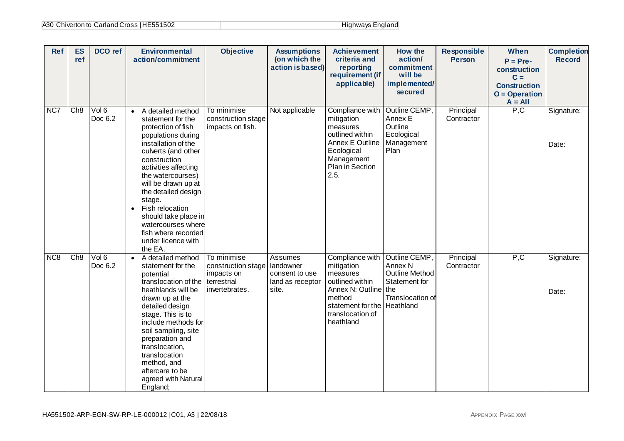| A30 Chiverton to Carland Cross   HE551502 | Highways England |
|-------------------------------------------|------------------|
|-------------------------------------------|------------------|

| <b>Ref</b>      | <b>ES</b><br>ref | <b>DCO</b> ref   | <b>Environmental</b><br>action/commitment                                                                                                                                                                                                                                                                                                                                                                | <b>Objective</b>                                                                 | <b>Assumptions</b><br>(on which the<br>action is based)             | <b>Achievement</b><br>criteria and<br>reporting<br>requirement (if<br>applicable)                                                                | <b>How the</b><br>action/<br>commitment<br>will be<br>implemented/<br>secured                              | <b>Responsible</b><br><b>Person</b> | When<br>$P = Pre-$<br>construction<br>$C =$<br><b>Construction</b><br>$O = Operation$<br>$A = All$ | <b>Completion</b><br><b>Record</b> |
|-----------------|------------------|------------------|----------------------------------------------------------------------------------------------------------------------------------------------------------------------------------------------------------------------------------------------------------------------------------------------------------------------------------------------------------------------------------------------------------|----------------------------------------------------------------------------------|---------------------------------------------------------------------|--------------------------------------------------------------------------------------------------------------------------------------------------|------------------------------------------------------------------------------------------------------------|-------------------------------------|----------------------------------------------------------------------------------------------------|------------------------------------|
| NC7             | Ch8              | Vol 6<br>Doc 6.2 | A detailed method<br>$\bullet$<br>statement for the<br>protection of fish<br>populations during<br>installation of the<br>culverts (and other<br>construction<br>activities affecting<br>the watercourses)<br>will be drawn up at<br>the detailed design<br>stage.<br>Fish relocation<br>$\bullet$<br>should take place in<br>watercourses where<br>fish where recorded<br>under licence with<br>the EA. | To minimise<br>construction stage<br>impacts on fish.                            | Not applicable                                                      | Compliance with<br>mitigation<br>measures<br>outlined within<br>Annex E Outline<br>Ecological<br>Management<br>Plan in Section<br>2.5.           | Outline CEMP,<br>Annex E<br>Outline<br>Ecological<br>Management<br>Plan                                    | Principal<br>Contractor             | P, C                                                                                               | Signature:<br>Date:                |
| NC <sub>8</sub> | Ch8              | Vol 6<br>Doc 6.2 | • A detailed method<br>statement for the<br>potential<br>translocation of the<br>heathlands will be<br>drawn up at the<br>detailed design<br>stage. This is to<br>include methods for<br>soil sampling, site<br>preparation and<br>translocation,<br>translocation<br>method, and<br>aftercare to be<br>agreed with Natural<br>England;                                                                  | To minimise<br>construction stage<br>impacts on<br>terrestrial<br>invertebrates. | Assumes<br>landowner<br>consent to use<br>land as receptor<br>site. | Compliance with<br>mitigation<br>measures<br>outlined within<br>Annex N: Outline<br>method<br>statement for the<br>translocation of<br>heathland | Outline CEMP,<br>Annex N<br><b>Outline Method</b><br>Statement for<br>the<br>Translocation of<br>Heathland | Principal<br>Contractor             | P, C                                                                                               | Signature:<br>Date:                |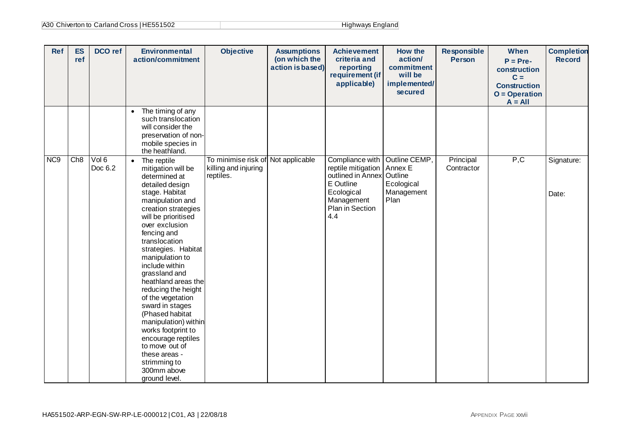| A30 Chiverton to Carland Cross   HE551502 | Highways England |
|-------------------------------------------|------------------|
|-------------------------------------------|------------------|

| <b>Ref</b>       | <b>ES</b><br>ref | DCO ref          | <b>Environmental</b><br>action/commitment                                                                                                                                                                                                                                                                                                                                                                                                                                                                                                                  | <b>Objective</b>                                                        | <b>Assumptions</b><br>(on which the<br>action is based) | <b>Achievement</b><br>criteria and<br>reporting<br>requirement (if<br>applicable)                                             | How the<br>action/<br>commitment<br>will be<br>implemented/<br>secured  | <b>Responsible</b><br><b>Person</b> | When<br>$P = Pre-$<br>construction<br>$C =$<br><b>Construction</b><br>$O = Operation$<br>$A = All$ | <b>Completion</b><br><b>Record</b> |
|------------------|------------------|------------------|------------------------------------------------------------------------------------------------------------------------------------------------------------------------------------------------------------------------------------------------------------------------------------------------------------------------------------------------------------------------------------------------------------------------------------------------------------------------------------------------------------------------------------------------------------|-------------------------------------------------------------------------|---------------------------------------------------------|-------------------------------------------------------------------------------------------------------------------------------|-------------------------------------------------------------------------|-------------------------------------|----------------------------------------------------------------------------------------------------|------------------------------------|
|                  |                  |                  | The timing of any<br>$\bullet$<br>such translocation<br>will consider the<br>preservation of non-<br>mobile species in<br>the heathland.                                                                                                                                                                                                                                                                                                                                                                                                                   |                                                                         |                                                         |                                                                                                                               |                                                                         |                                     |                                                                                                    |                                    |
| N <sub>C</sub> 9 | Ch8              | Vol 6<br>Doc 6.2 | • The reptile<br>mitigation will be<br>determined at<br>detailed design<br>stage. Habitat<br>manipulation and<br>creation strategies<br>will be prioritised<br>over exclusion<br>fencing and<br>translocation<br>strategies. Habitat<br>manipulation to<br>include within<br>grassland and<br>heathland areas the<br>reducing the height<br>of the vegetation<br>sward in stages<br>(Phased habitat<br>manipulation) within<br>works footprint to<br>encourage reptiles<br>to move out of<br>these areas -<br>strimming to<br>300mm above<br>ground level. | To minimise risk of Not applicable<br>killing and injuring<br>reptiles. |                                                         | Compliance with<br>reptile mitigation<br>outlined in Annex<br>E Outline<br>Ecological<br>Management<br>Plan in Section<br>4.4 | Outline CEMP,<br>Annex E<br>Outline<br>Ecological<br>Management<br>Plan | Principal<br>Contractor             | P, C                                                                                               | Signature:<br>Date:                |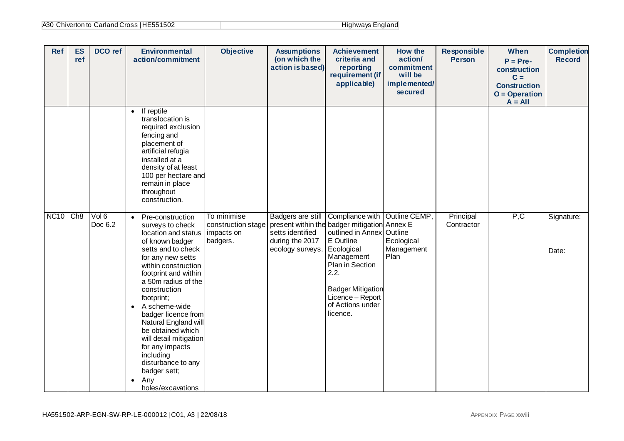| A30 Chiverton to Carland Cross   HE551502 | Highways England |
|-------------------------------------------|------------------|
|-------------------------------------------|------------------|

| <b>Ref</b>  | <b>ES</b><br>ref | DCO ref          | <b>Environmental</b><br>action/commitment                                                                                                                                                                                                                                                                                                                                                                                                                                             | <b>Objective</b>                                            | <b>Assumptions</b><br>(on which the<br>action is based)                      | <b>Achievement</b><br>criteria and<br>reporting<br>requirement (if<br>applicable)                                                                                                                                                        | How the<br>action/<br>commitment<br>will be<br>implemented/<br>secured | <b>Responsible</b><br><b>Person</b> | When<br>$P = Pre-$<br>construction<br>$C =$<br><b>Construction</b><br>$O = Operation$<br>$A = All$ | <b>Completion</b><br><b>Record</b> |
|-------------|------------------|------------------|---------------------------------------------------------------------------------------------------------------------------------------------------------------------------------------------------------------------------------------------------------------------------------------------------------------------------------------------------------------------------------------------------------------------------------------------------------------------------------------|-------------------------------------------------------------|------------------------------------------------------------------------------|------------------------------------------------------------------------------------------------------------------------------------------------------------------------------------------------------------------------------------------|------------------------------------------------------------------------|-------------------------------------|----------------------------------------------------------------------------------------------------|------------------------------------|
|             |                  |                  | If reptile<br>$\bullet$<br>translocation is<br>required exclusion<br>fencing and<br>placement of<br>artificial refugia<br>installed at a<br>density of at least<br>100 per hectare and<br>remain in place<br>throughout<br>construction.                                                                                                                                                                                                                                              |                                                             |                                                                              |                                                                                                                                                                                                                                          |                                                                        |                                     |                                                                                                    |                                    |
| <b>NC10</b> | Ch8              | Vol 6<br>Doc 6.2 | Pre-construction<br>$\bullet$<br>surveys to check<br>location and status<br>of known badger<br>setts and to check<br>for any new setts<br>within construction<br>footprint and within<br>a 50m radius of the<br>construction<br>footprint;<br>A scheme-wide<br>$\bullet$<br>badger licence from<br>Natural England will<br>be obtained which<br>will detail mitigation<br>for any impacts<br>including<br>disturbance to any<br>badger sett;<br>Any<br>$\bullet$<br>holes/excavations | To minimise<br>construction stage<br>impacts on<br>badgers. | Badgers are still<br>setts identified<br>during the 2017<br>ecology surveys. | Compliance with<br>present within the badger mitigation Annex E<br>outlined in Annex<br>E Outline<br>Ecological<br>Management<br>Plan in Section<br>2.2.<br><b>Badger Mitigation</b><br>Licence - Report<br>of Actions under<br>licence. | Outline CEMP,<br>Outline<br>Ecological<br>Management<br>Plan           | Principal<br>Contractor             | P, C                                                                                               | Signature:<br>Date:                |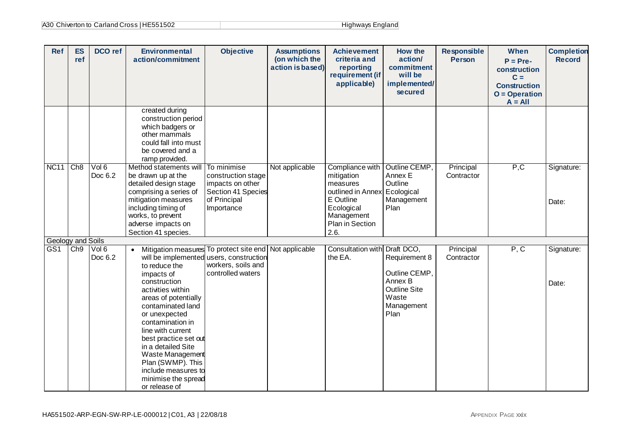| A30 Chiverton to Carland Cross   HE551502 | Highways England |
|-------------------------------------------|------------------|
|-------------------------------------------|------------------|

| <b>Ref</b>                           | <b>ES</b><br>ref | <b>DCO</b> ref   | <b>Environmental</b><br>action/commitment                                                                                                                                                                                                                                                                                                                                                 | <b>Objective</b>                                                                                          | <b>Assumptions</b><br>(on which the<br>action is based) | <b>Achievement</b><br>criteria and<br>reporting<br>requirement (if<br>applicable)                                                  | How the<br>action/<br>commitment<br>will be<br>implemented/<br>secured                          | <b>Responsible</b><br><b>Person</b> | When<br>$P = Pre-$<br>construction<br>$C =$<br><b>Construction</b><br>$O = Operation$<br>$A = All$ | <b>Completion</b><br><b>Record</b> |
|--------------------------------------|------------------|------------------|-------------------------------------------------------------------------------------------------------------------------------------------------------------------------------------------------------------------------------------------------------------------------------------------------------------------------------------------------------------------------------------------|-----------------------------------------------------------------------------------------------------------|---------------------------------------------------------|------------------------------------------------------------------------------------------------------------------------------------|-------------------------------------------------------------------------------------------------|-------------------------------------|----------------------------------------------------------------------------------------------------|------------------------------------|
|                                      |                  |                  | created during<br>construction period<br>which badgers or<br>other mammals<br>could fall into must<br>be covered and a<br>ramp provided.                                                                                                                                                                                                                                                  |                                                                                                           |                                                         |                                                                                                                                    |                                                                                                 |                                     |                                                                                                    |                                    |
| <b>NC11</b>                          | Ch8              | Vol 6<br>Doc 6.2 | Method statements will<br>be drawn up at the<br>detailed design stage<br>comprising a series of<br>mitigation measures<br>including timing of<br>works, to prevent<br>adverse impacts on<br>Section 41 species.                                                                                                                                                                           | To minimise<br>construction stage<br>impacts on other<br>Section 41 Species<br>of Principal<br>Importance | Not applicable                                          | Compliance with<br>mitigation<br>measures<br>outlined in Annex<br>E Outline<br>Ecological<br>Management<br>Plan in Section<br>2.6. | Outline CEMP,<br>Annex E<br>Outline<br>Ecological<br>Management<br>Plan                         | Principal<br>Contractor             | P, C                                                                                               | Signature:<br>Date:                |
| Geology and Soils<br>GS <sub>1</sub> | Ch9              | Vol 6<br>Doc 6.2 | Mitigation measures<br>$\bullet$<br>will be implemented<br>to reduce the<br>impacts of<br>construction<br>activities within<br>areas of potentially<br>contaminated land<br>or unexpected<br>contamination in<br>line with current<br>best practice set out<br>in a detailed Site<br>Waste Management<br>Plan (SWMP). This<br>include measures to<br>minimise the spread<br>or release of | To protect site end<br>users, construction<br>workers, soils and<br>controlled waters                     | Not applicable                                          | Consultation with Draft DCO,<br>the EA.                                                                                            | Requirement 8<br>Outline CEMP,<br>Annex B<br><b>Outline Site</b><br>Waste<br>Management<br>Plan | Principal<br>Contractor             | P, C                                                                                               | Signature:<br>Date:                |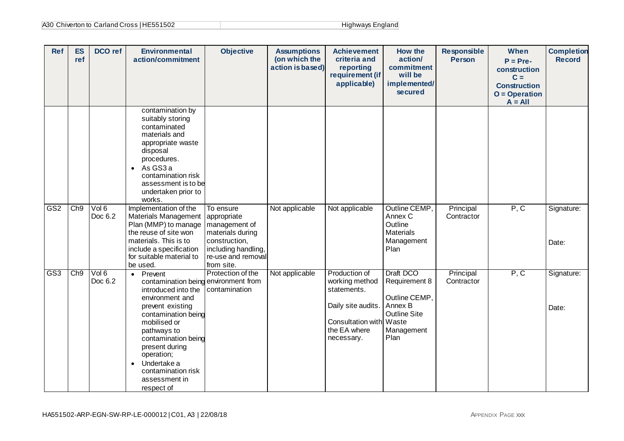| A30 Chiverton to Carland Cross   HE551502 | Highways England |
|-------------------------------------------|------------------|
|-------------------------------------------|------------------|

| <b>Ref</b>      | <b>ES</b><br>ref | <b>DCO</b> ref   | <b>Environmental</b><br>action/commitment                                                                                                                                                                                                                                                               | <b>Objective</b>                                                                                                             | <b>Assumptions</b><br>(on which the<br>action is based) | <b>Achievement</b><br>criteria and<br>reporting<br>requirement (if<br>applicable)                                             | How the<br>action/<br>commitment<br>will be<br>implemented/<br>secured                              | <b>Responsible</b><br><b>Person</b> | When<br>$P = Pre-$<br>construction<br>$C =$<br><b>Construction</b><br>$O = Operation$<br>$A = All$ | <b>Completion</b><br><b>Record</b> |
|-----------------|------------------|------------------|---------------------------------------------------------------------------------------------------------------------------------------------------------------------------------------------------------------------------------------------------------------------------------------------------------|------------------------------------------------------------------------------------------------------------------------------|---------------------------------------------------------|-------------------------------------------------------------------------------------------------------------------------------|-----------------------------------------------------------------------------------------------------|-------------------------------------|----------------------------------------------------------------------------------------------------|------------------------------------|
| GS <sub>2</sub> | Ch9              | Vol 6            | contamination by<br>suitably storing<br>contaminated<br>materials and<br>appropriate waste<br>disposal<br>procedures.<br>As GS3 a<br>$\bullet$<br>contamination risk<br>assessment is to be<br>undertaken prior to<br>works.<br>Implementation of the                                                   | To ensure                                                                                                                    | Not applicable                                          | Not applicable                                                                                                                | Outline CEMP,                                                                                       | Principal                           | $\overline{P, C}$                                                                                  | Signature:                         |
|                 |                  | Doc 6.2          | <b>Materials Management</b><br>Plan (MMP) to manage<br>the reuse of site won<br>materials. This is to<br>include a specification<br>for suitable material to<br>be used.                                                                                                                                | appropriate<br>management of<br>materials during<br>construction,<br>including handling,<br>re-use and removal<br>from site. |                                                         |                                                                                                                               | Annex C<br>Outline<br><b>Materials</b><br>Management<br>Plan                                        | Contractor                          |                                                                                                    | Date:                              |
| GS3             | Ch9              | Vol 6<br>Doc 6.2 | Prevent<br>$\bullet$<br>contamination being<br>introduced into the<br>environment and<br>prevent existing<br>contamination being<br>mobilised or<br>pathways to<br>contamination being<br>present during<br>operation;<br>Undertake a<br>$\bullet$<br>contamination risk<br>assessment in<br>respect of | Protection of the<br>environment from<br>contamination                                                                       | Not applicable                                          | Production of<br>working method<br>statements.<br>Daily site audits.<br>Consultation with Waste<br>the EA where<br>necessary. | Draft DCO<br>Requirement 8<br>Outline CEMP.<br>Annex B<br><b>Outline Site</b><br>Management<br>Plan | Principal<br>Contractor             | P, C                                                                                               | Signature:<br>Date:                |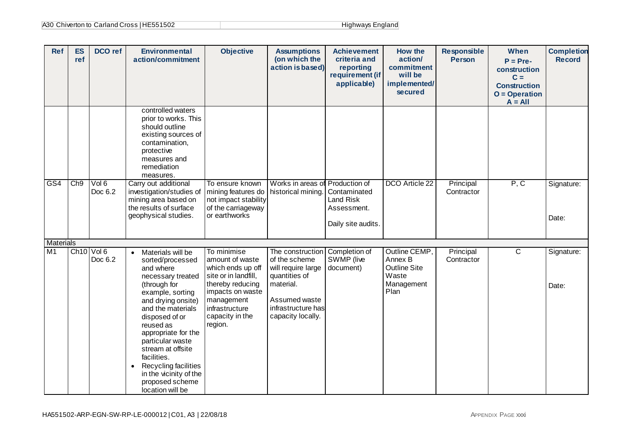| A30 Chiverton to Carland Cross   HE551502 | Highways England |
|-------------------------------------------|------------------|
|-------------------------------------------|------------------|

| <b>Ref</b>                         | <b>ES</b><br>ref | DCO ref                           | <b>Environmental</b><br>action/commitment                                                                                                                                                                                                                                                                                                                                               | <b>Objective</b>                                                                                                                                                                  | <b>Assumptions</b><br>(on which the<br>action is based)                                                                                           | <b>Achievement</b><br>criteria and<br>reporting<br>requirement (if<br>applicable) | How the<br>action/<br>commitment<br>will be<br>implemented/<br>secured         | <b>Responsible</b><br><b>Person</b> | When<br>$P = Pre-$<br>construction<br>$C =$<br><b>Construction</b><br>$O = Operation$<br>$A = All$ | <b>Completion</b><br><b>Record</b> |
|------------------------------------|------------------|-----------------------------------|-----------------------------------------------------------------------------------------------------------------------------------------------------------------------------------------------------------------------------------------------------------------------------------------------------------------------------------------------------------------------------------------|-----------------------------------------------------------------------------------------------------------------------------------------------------------------------------------|---------------------------------------------------------------------------------------------------------------------------------------------------|-----------------------------------------------------------------------------------|--------------------------------------------------------------------------------|-------------------------------------|----------------------------------------------------------------------------------------------------|------------------------------------|
|                                    |                  |                                   | controlled waters<br>prior to works. This<br>should outline<br>existing sources of<br>contamination,<br>protective<br>measures and<br>remediation<br>measures.                                                                                                                                                                                                                          |                                                                                                                                                                                   |                                                                                                                                                   |                                                                                   |                                                                                |                                     |                                                                                                    |                                    |
| GS4                                | Ch9              | Vol 6<br>Doc 6.2                  | Carry out additional<br>investigation/studies of<br>mining area based on<br>the results of surface<br>geophysical studies.                                                                                                                                                                                                                                                              | To ensure known<br>mining features do<br>not impact stability<br>of the carriageway<br>or earthworks                                                                              | Works in areas of Production of<br>historical mining.                                                                                             | Contaminated<br><b>Land Risk</b><br>Assessment.<br>Daily site audits.             | DCO Article 22                                                                 | Principal<br>Contractor             | P, C                                                                                               | Signature:<br>Date:                |
| <b>Materials</b><br>M <sub>1</sub> |                  | Ch <sub>10</sub> Vol 6<br>Doc 6.2 | Materials will be<br>$\bullet$<br>sorted/processed<br>and where<br>necessary treated<br>(through for<br>example, sorting<br>and drying onsite)<br>and the materials<br>disposed of or<br>reused as<br>appropriate for the<br>particular waste<br>stream at offsite<br>facilities.<br>Recycling facilities<br>$\bullet$<br>in the vicinity of the<br>proposed scheme<br>location will be | To minimise<br>amount of waste<br>which ends up off<br>site or in landfill,<br>thereby reducing<br>impacts on waste<br>management<br>infrastructure<br>capacity in the<br>region. | The construction<br>of the scheme<br>will require large<br>quantities of<br>material.<br>Assumed waste<br>infrastructure has<br>capacity locally. | Completion of<br>SWMP (live<br>document)                                          | Outline CEMP,<br>Annex B<br><b>Outline Site</b><br>Waste<br>Management<br>Plan | Principal<br>Contractor             | $\mathsf{C}$                                                                                       | Signature:<br>Date:                |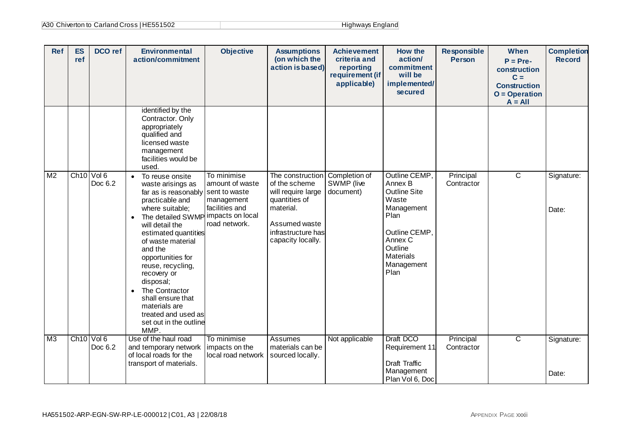| A30 Chiverton to Carland Cross   HE551502 | Highways England |
|-------------------------------------------|------------------|
|-------------------------------------------|------------------|

| <b>Ref</b>     | <b>ES</b><br>ref       | DCO ref | <b>Environmental</b><br>action/commitment                                                                                                                                                                                                                                                                                                                                                                                        | <b>Objective</b>                                                                                                     | <b>Assumptions</b><br>(on which the<br>action is based)                                                                                           | <b>Achievement</b><br>criteria and<br>reporting<br>requirement (if<br>applicable) | How the<br>action/<br>commitment<br>will be<br>implemented/<br>secured                                                                                   | <b>Responsible</b><br><b>Person</b> | When<br>$P = Pre-$<br>construction<br>$C =$<br><b>Construction</b><br>$O = Operation$<br>$A = All$ | <b>Completion</b><br><b>Record</b> |
|----------------|------------------------|---------|----------------------------------------------------------------------------------------------------------------------------------------------------------------------------------------------------------------------------------------------------------------------------------------------------------------------------------------------------------------------------------------------------------------------------------|----------------------------------------------------------------------------------------------------------------------|---------------------------------------------------------------------------------------------------------------------------------------------------|-----------------------------------------------------------------------------------|----------------------------------------------------------------------------------------------------------------------------------------------------------|-------------------------------------|----------------------------------------------------------------------------------------------------|------------------------------------|
|                |                        |         | identified by the<br>Contractor. Only<br>appropriately<br>qualified and<br>licensed waste<br>management<br>facilities would be<br>used.                                                                                                                                                                                                                                                                                          |                                                                                                                      |                                                                                                                                                   |                                                                                   |                                                                                                                                                          |                                     |                                                                                                    |                                    |
| M <sub>2</sub> | $Ch10$ Vol 6           | Doc 6.2 | To reuse onsite<br>$\bullet$<br>waste arisings as<br>far as is reasonably<br>practicable and<br>where suitable;<br>The detailed SWMP<br>$\bullet$<br>will detail the<br>estimated quantities<br>of waste material<br>and the<br>opportunities for<br>reuse, recycling,<br>recovery or<br>disposal;<br>The Contractor<br>$\bullet$<br>shall ensure that<br>materials are<br>treated and used as<br>set out in the outline<br>MMP. | To minimise<br>amount of waste<br>sent to waste<br>management<br>facilities and<br>impacts on local<br>road network. | The construction<br>of the scheme<br>will require large<br>quantities of<br>material.<br>Assumed waste<br>infrastructure has<br>capacity locally. | Completion of<br>SWMP (live<br>document)                                          | Outline CEMP,<br>Annex B<br>Outline Site<br>Waste<br>Management<br>Plan<br>Outline CEMP.<br>Annex C<br>Outline<br><b>Materials</b><br>Management<br>Plan | Principal<br>Contractor             | $\mathsf{C}$                                                                                       | Signature:<br>Date:                |
| M3             | Ch <sub>10</sub> Vol 6 | Doc 6.2 | Use of the haul road<br>and temporary network                                                                                                                                                                                                                                                                                                                                                                                    | To minimise<br>impacts on the                                                                                        | Assumes<br>materials can be                                                                                                                       | Not applicable                                                                    | Draft DCO<br>Requirement 11                                                                                                                              | Principal<br>Contractor             | $\overline{\text{c}}$                                                                              | Signature:                         |
|                |                        |         | of local roads for the<br>transport of materials.                                                                                                                                                                                                                                                                                                                                                                                | local road network                                                                                                   | sourced locally.                                                                                                                                  |                                                                                   | Draft Traffic                                                                                                                                            |                                     |                                                                                                    |                                    |
|                |                        |         |                                                                                                                                                                                                                                                                                                                                                                                                                                  |                                                                                                                      |                                                                                                                                                   |                                                                                   | Management<br>Plan Vol 6, Doc                                                                                                                            |                                     |                                                                                                    | Date:                              |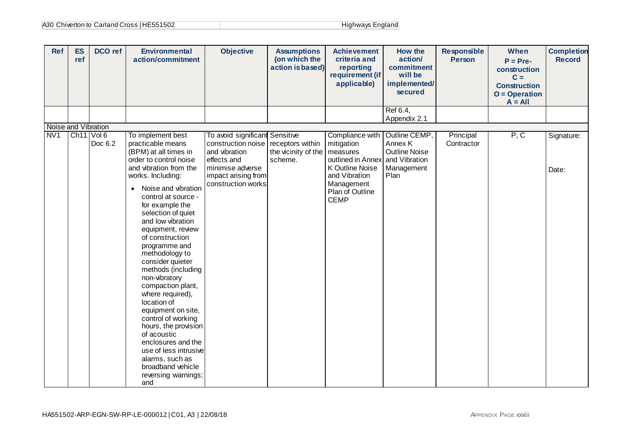| <b>Ref</b>          | <b>ES</b><br>ref       | DCO ref | <b>Environmental</b><br>action/commitment                                                                                                                                                                                                                                                                                                                                                                                                                                                                                                                                                                                                                               | <b>Objective</b>                                                                                                                                                        | <b>Assumptions</b><br>(on which the<br>action is based) | <b>Achievement</b><br>criteria and<br>reporting<br>requirement (if<br>applicable)                                                                  | How the<br>action/<br>commitment<br>will be<br>implemented/<br>secured                  | <b>Responsible</b><br><b>Person</b> | When<br>$P = Pre-$<br>construction<br>$C =$<br><b>Construction</b><br>$O = Operation$<br>$A = All$ | <b>Completion</b><br><b>Record</b> |
|---------------------|------------------------|---------|-------------------------------------------------------------------------------------------------------------------------------------------------------------------------------------------------------------------------------------------------------------------------------------------------------------------------------------------------------------------------------------------------------------------------------------------------------------------------------------------------------------------------------------------------------------------------------------------------------------------------------------------------------------------------|-------------------------------------------------------------------------------------------------------------------------------------------------------------------------|---------------------------------------------------------|----------------------------------------------------------------------------------------------------------------------------------------------------|-----------------------------------------------------------------------------------------|-------------------------------------|----------------------------------------------------------------------------------------------------|------------------------------------|
|                     |                        |         |                                                                                                                                                                                                                                                                                                                                                                                                                                                                                                                                                                                                                                                                         |                                                                                                                                                                         |                                                         |                                                                                                                                                    | Ref 6.4,<br>Appendix 2.1                                                                |                                     |                                                                                                    |                                    |
| Noise and Vibration |                        |         |                                                                                                                                                                                                                                                                                                                                                                                                                                                                                                                                                                                                                                                                         |                                                                                                                                                                         |                                                         |                                                                                                                                                    |                                                                                         |                                     |                                                                                                    |                                    |
| NV <sub>1</sub>     | Ch <sub>11</sub> Vol 6 | Doc 6.2 | To implement best<br>practicable means<br>(BPM) at all times in<br>order to control noise<br>and vibration from the<br>works. Including:<br>Noise and vibration<br>$\bullet$<br>control at source -<br>for example the<br>selection of quiet<br>and low vibration<br>equipment, review<br>of construction<br>programme and<br>methodology to<br>consider quieter<br>methods (including<br>non-vibratory<br>compaction plant,<br>where required),<br>location of<br>equipment on site,<br>control of working<br>hours, the provision<br>of acoustic<br>enclosures and the<br>use of less intrusive<br>alarms, such as<br>broadband vehicle<br>reversing warnings;<br>and | To avoid significant Sensitive<br>construction noise receptors within<br>and vibration<br>effects and<br>minimise adverse<br>impact arising from<br>construction works. | the vicinity of the<br>scheme.                          | Compliance with<br>mitigation<br>measures<br>outlined in Annex<br>K Outline Noise<br>and Vibration<br>Management<br>Plan of Outline<br><b>CEMP</b> | Outline CEMP,<br>Annex K<br><b>Outline Noise</b><br>and Vibration<br>Management<br>Plan | Principal<br>Contractor             | P, C                                                                                               | Signature:<br>Date:                |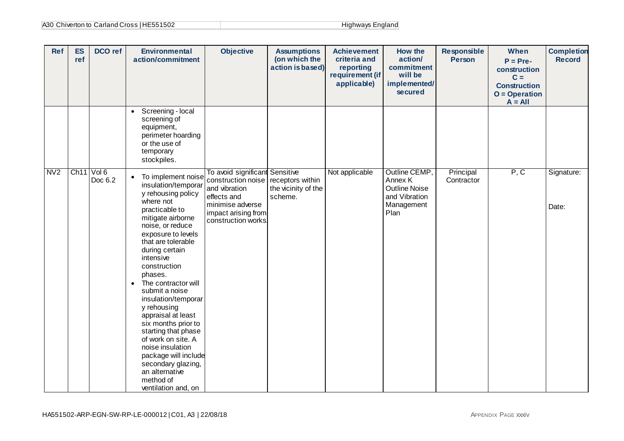| A30 Chiverton to Carland Cross   HE551502 | Highways England |
|-------------------------------------------|------------------|
|-------------------------------------------|------------------|

| <b>Ref</b>     | <b>ES</b><br>ref | DCO ref          | <b>Environmental</b><br>action/commitment                                                                                                                                                                                                                                                                                                                                                                                                                                                                                                                     | <b>Objective</b>                                                                                                                                       | <b>Assumptions</b><br>(on which the<br>action is based) | <b>Achievement</b><br>criteria and<br>reporting<br>requirement (if<br>applicable) | How the<br>action/<br>commitment<br>will be<br>implemented/<br>secured                  | <b>Responsible</b><br><b>Person</b> | When<br>$P = Pre-$<br>construction<br>$C =$<br><b>Construction</b><br>$O = Operation$<br>$A = All$ | <b>Completion</b><br><b>Record</b> |
|----------------|------------------|------------------|---------------------------------------------------------------------------------------------------------------------------------------------------------------------------------------------------------------------------------------------------------------------------------------------------------------------------------------------------------------------------------------------------------------------------------------------------------------------------------------------------------------------------------------------------------------|--------------------------------------------------------------------------------------------------------------------------------------------------------|---------------------------------------------------------|-----------------------------------------------------------------------------------|-----------------------------------------------------------------------------------------|-------------------------------------|----------------------------------------------------------------------------------------------------|------------------------------------|
|                |                  |                  | Screening - local<br>$\bullet$<br>screening of<br>equipment,<br>perimeter hoarding<br>or the use of<br>temporary<br>stockpiles.                                                                                                                                                                                                                                                                                                                                                                                                                               |                                                                                                                                                        |                                                         |                                                                                   |                                                                                         |                                     |                                                                                                    |                                    |
| N <sub>V</sub> | Ch11             | Vol 6<br>Doc 6.2 | To implement noise<br>$\bullet$<br>insulation/temporar<br>y rehousing policy<br>where not<br>practicable to<br>mitigate airborne<br>noise, or reduce<br>exposure to levels<br>that are tolerable<br>during certain<br>intensive<br>construction<br>phases.<br>• The contractor will<br>submit a noise<br>insulation/temporar<br>y rehousing<br>appraisal at least<br>six months prior to<br>starting that phase<br>of work on site. A<br>noise insulation<br>package will include<br>secondary glazing,<br>an alternative<br>method of<br>ventilation and, on | To avoid significant Sensitive<br>construction noise<br>and vibration<br>effects and<br>minimise adverse<br>impact arising from<br>construction works. | receptors within<br>the vicinity of the<br>scheme.      | Not applicable                                                                    | Outline CEMP,<br>Annex K<br><b>Outline Noise</b><br>and Vibration<br>Management<br>Plan | Principal<br>Contractor             | P, C                                                                                               | Signature:<br>Date:                |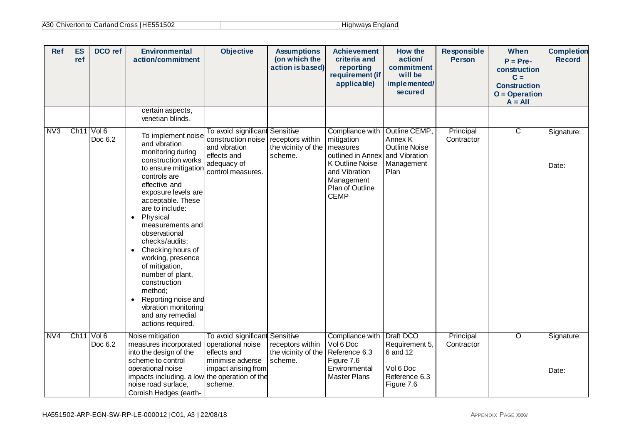| A30 Chiverton to Carland Cross   HE551502 | Highways England |
|-------------------------------------------|------------------|
|-------------------------------------------|------------------|

| <b>Ref</b>       | <b>ES</b><br>ref | DCO ref                           | <b>Environmental</b><br>action/commitment                                                                                                                                                                                                                                                                                                                                                                                                                                                                           | <b>Objective</b>                                                                                                         | <b>Assumptions</b><br>(on which the<br>action is based) | <b>Achievement</b><br>criteria and<br>reporting<br>requirement (if<br>applicable)                                                                  | <b>How the</b><br>action/<br>commitment<br>will be<br>implemented/<br>secured           | <b>Responsible</b><br><b>Person</b> | When<br>$P = Pre-$<br>construction<br>$C =$<br><b>Construction</b><br>$O = Operation$<br>$A = All$ | <b>Completion</b><br><b>Record</b> |
|------------------|------------------|-----------------------------------|---------------------------------------------------------------------------------------------------------------------------------------------------------------------------------------------------------------------------------------------------------------------------------------------------------------------------------------------------------------------------------------------------------------------------------------------------------------------------------------------------------------------|--------------------------------------------------------------------------------------------------------------------------|---------------------------------------------------------|----------------------------------------------------------------------------------------------------------------------------------------------------|-----------------------------------------------------------------------------------------|-------------------------------------|----------------------------------------------------------------------------------------------------|------------------------------------|
|                  |                  |                                   | certain aspects,<br>venetian blinds.                                                                                                                                                                                                                                                                                                                                                                                                                                                                                |                                                                                                                          |                                                         |                                                                                                                                                    |                                                                                         |                                     |                                                                                                    |                                    |
| N <sub>V</sub> 3 |                  | Ch11 Vol 6<br>Doc 6.2             | To implement noise<br>and vibration<br>monitoring during<br>construction works<br>to ensure mitigation<br>controls are<br>effective and<br>exposure levels are<br>acceptable. These<br>are to include:<br>Physical<br>$\bullet$<br>measurements and<br>observational<br>checks/audits;<br>Checking hours of<br>$\bullet$<br>working, presence<br>of mitigation,<br>number of plant,<br>construction<br>method;<br>Reporting noise and<br>$\bullet$<br>vibration monitoring<br>and any remedial<br>actions required. | To avoid significant Sensitive<br>construction noise<br>and vibration<br>effects and<br>adequacy of<br>control measures. | receptors within<br>the vicinity of the<br>scheme.      | Compliance with<br>mitigation<br>measures<br>outlined in Annex<br>K Outline Noise<br>and Vibration<br>Management<br>Plan of Outline<br><b>CEMP</b> | Outline CEMP,<br>Annex K<br><b>Outline Noise</b><br>and Vibration<br>Management<br>Plan | Principal<br>Contractor             | $\overline{\mathsf{C}}$                                                                            | Signature:<br>Date:                |
| NVA              |                  | Ch <sub>11</sub> Vol 6<br>Doc 6.2 | Noise mitigation<br>measures incorporated<br>into the design of the<br>scheme to control<br>operational noise<br>impacts including, a low the operation of the<br>noise road surface,<br>Cornish Hedges (earth-                                                                                                                                                                                                                                                                                                     | To avoid significant Sensitive<br>operational noise<br>effects and<br>minimise adverse<br>impact arising from<br>scheme. | receptors within<br>the vicinity of the<br>scheme.      | Compliance with<br>Vol 6 Doc<br>Reference 6.3<br>Figure 7.6<br>Environmental<br><b>Master Plans</b>                                                | Draft DCO<br>Requirement 5,<br>6 and 12<br>Vol 6 Doc<br>Reference 6.3<br>Figure 7.6     | Principal<br>Contractor             | $\overline{O}$                                                                                     | Signature:<br>Date:                |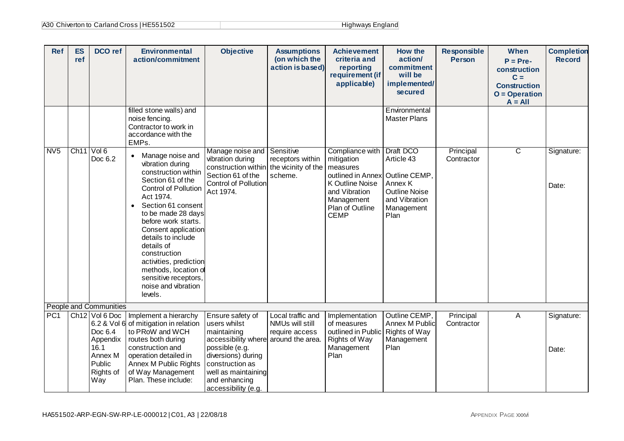| <b>Ref</b>      | ES<br>ref              | DCO ref                                                                                  | <b>Environmental</b><br>action/commitment                                                                                                                                                                                                                                                                                                                                                                        | <b>Objective</b>                                                                                                                                                                                                  | <b>Assumptions</b><br>(on which the<br>action is based) | <b>Achievement</b><br>criteria and<br>reporting<br>requirement (if<br>applicable)                                                                  | <b>How the</b><br>action/<br>commitment<br>will be<br>implemented/<br>secured                                      | <b>Responsible</b><br><b>Person</b> | When<br>$P = Pre-$<br>construction<br>$C =$<br><b>Construction</b><br>$O = Operation$<br>$A = All$ | <b>Completion</b><br><b>Record</b> |
|-----------------|------------------------|------------------------------------------------------------------------------------------|------------------------------------------------------------------------------------------------------------------------------------------------------------------------------------------------------------------------------------------------------------------------------------------------------------------------------------------------------------------------------------------------------------------|-------------------------------------------------------------------------------------------------------------------------------------------------------------------------------------------------------------------|---------------------------------------------------------|----------------------------------------------------------------------------------------------------------------------------------------------------|--------------------------------------------------------------------------------------------------------------------|-------------------------------------|----------------------------------------------------------------------------------------------------|------------------------------------|
|                 |                        |                                                                                          | filled stone walls) and<br>noise fencing.<br>Contractor to work in<br>accordance with the<br>EMPs.                                                                                                                                                                                                                                                                                                               |                                                                                                                                                                                                                   |                                                         |                                                                                                                                                    | Environmental<br><b>Master Plans</b>                                                                               |                                     |                                                                                                    |                                    |
| N <sub>V5</sub> | Ch <sub>11</sub> Vol 6 | Doc 6.2                                                                                  | Manage noise and<br>$\bullet$<br>vibration during<br>construction within<br>Section 61 of the<br><b>Control of Pollution</b><br>Act 1974.<br>Section 61 consent<br>$\bullet$<br>to be made 28 days<br>before work starts.<br>Consent application<br>details to include<br>details of<br>construction<br>activities, prediction<br>methods, location of<br>sensitive receptors,<br>noise and vibration<br>levels. | Manage noise and Sensitive<br>vibration during<br>construction within the vicinity of the<br>Section 61 of the<br>Control of Pollution<br>Act 1974.                                                               | receptors within<br>scheme.                             | Compliance with<br>mitigation<br>measures<br>outlined in Annex<br>K Outline Noise<br>and Vibration<br>Management<br>Plan of Outline<br><b>CEMP</b> | Draft DCO<br>Article 43<br>Outline CEMP.<br>Annex K<br><b>Outline Noise</b><br>and Vibration<br>Management<br>Plan | Principal<br>Contractor             | $\overline{\text{c}}$                                                                              | Signature:<br>Date:                |
|                 |                        | <b>People and Communities</b>                                                            |                                                                                                                                                                                                                                                                                                                                                                                                                  |                                                                                                                                                                                                                   |                                                         |                                                                                                                                                    |                                                                                                                    |                                     |                                                                                                    |                                    |
| PC <sub>1</sub> |                        | $Ch12$ Vol 6 Doc<br>Doc 6.4<br>Appendix<br>16.1<br>Annex M<br>Public<br>Rights of<br>Way | Implement a hierarchy<br>6.2 & Vol 6 of mitigation in relation<br>to PRoW and WCH<br>routes both during<br>construction and<br>operation detailed in<br>Annex M Public Rights<br>of Way Management<br>Plan. These include:                                                                                                                                                                                       | Ensure safety of<br>users whilst<br>maintaining<br>accessibility where around the area.<br>possible (e.g.<br>diversions) during<br>construction as<br>well as maintaining<br>and enhancing<br>accessibility (e.g. | Local traffic and<br>NMUs will still<br>require access  | Implementation<br>of measures<br>outlined in Public Rights of Way<br>Rights of Way<br>Management<br>Plan                                           | Outline CEMP,<br>Annex M Public<br>Management<br>Plan                                                              | Principal<br>Contractor             | A                                                                                                  | Signature:<br>Date:                |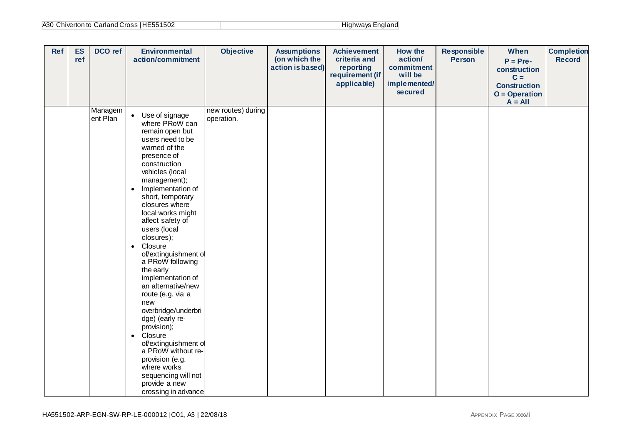| A30 Chiverton to Carland Cross   HE551502 | Highways England |
|-------------------------------------------|------------------|
|-------------------------------------------|------------------|

| <b>Ref</b> | <b>ES</b><br>ref | DCO ref             | <b>Environmental</b><br>action/commitment                                                                                                                                                                                                                                                                                                                                                                                                                                                                                                                                                                                                                                                           | <b>Objective</b>                 | <b>Assumptions</b><br>(on which the<br>action is based) | <b>Achievement</b><br>criteria and<br>reporting<br>requirement (if<br>applicable) | How the<br>action/<br>commitment<br>will be<br>implemented/<br>secured | <b>Responsible</b><br><b>Person</b> | When<br>$P = Pre-$<br>construction<br>$C =$<br><b>Construction</b><br>$O = Operation$<br>$A = All$ | <b>Completion</b><br><b>Record</b> |
|------------|------------------|---------------------|-----------------------------------------------------------------------------------------------------------------------------------------------------------------------------------------------------------------------------------------------------------------------------------------------------------------------------------------------------------------------------------------------------------------------------------------------------------------------------------------------------------------------------------------------------------------------------------------------------------------------------------------------------------------------------------------------------|----------------------------------|---------------------------------------------------------|-----------------------------------------------------------------------------------|------------------------------------------------------------------------|-------------------------------------|----------------------------------------------------------------------------------------------------|------------------------------------|
|            |                  | Managem<br>ent Plan | • Use of signage<br>where PRoW can<br>remain open but<br>users need to be<br>warned of the<br>presence of<br>construction<br>vehicles (local<br>management);<br>Implementation of<br>$\bullet$<br>short, temporary<br>closures where<br>local works might<br>affect safety of<br>users (local<br>closures);<br>Closure<br>$\bullet$<br>of/extinguishment of<br>a PRoW following<br>the early<br>implementation of<br>an alternative/new<br>route (e.g. via a<br>new<br>overbridge/underbri<br>dge) (early re-<br>provision);<br>Closure<br>$\bullet$<br>of/extinguishment of<br>a PRoW without re-<br>provision (e.g.<br>where works<br>sequencing will not<br>provide a new<br>crossing in advance | new routes) during<br>operation. |                                                         |                                                                                   |                                                                        |                                     |                                                                                                    |                                    |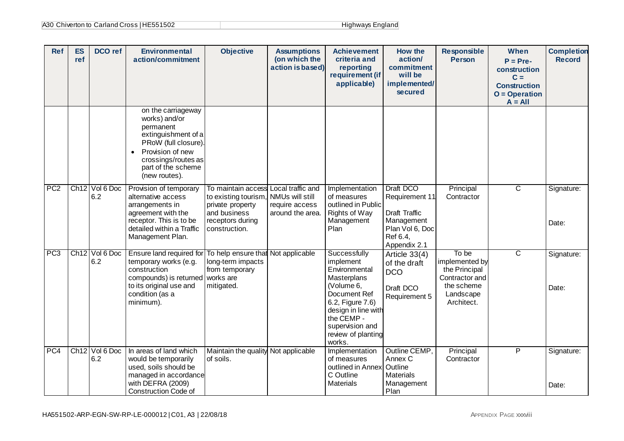| A30 Chiverton to Carland Cross   HE551502 | Highways England |
|-------------------------------------------|------------------|
|-------------------------------------------|------------------|

| <b>Ref</b>      | <b>ES</b><br>ref | DCO ref                           | <b>Environmental</b><br>action/commitment                                                                                                                                                     | <b>Objective</b>                                                                                                    | <b>Assumptions</b><br>(on which the<br>action is based)                    | <b>Achievement</b><br>criteria and<br>reporting<br>requirement (if<br>applicable)                                                                                                                   | <b>How the</b><br>action/<br>commitment<br>will be<br>implemented/<br>secured                             | <b>Responsible</b><br><b>Person</b>                                                                 | When<br>$P = Pre-$<br>construction<br>$C =$<br><b>Construction</b><br>$O = Operation$<br>$A = All$ | <b>Completion</b><br><b>Record</b> |
|-----------------|------------------|-----------------------------------|-----------------------------------------------------------------------------------------------------------------------------------------------------------------------------------------------|---------------------------------------------------------------------------------------------------------------------|----------------------------------------------------------------------------|-----------------------------------------------------------------------------------------------------------------------------------------------------------------------------------------------------|-----------------------------------------------------------------------------------------------------------|-----------------------------------------------------------------------------------------------------|----------------------------------------------------------------------------------------------------|------------------------------------|
|                 |                  |                                   | on the carriageway<br>works) and/or<br>permanent<br>extinguishment of a<br>PRoW (full closure)<br>Provision of new<br>$\bullet$<br>crossings/routes as<br>part of the scheme<br>(new routes). |                                                                                                                     |                                                                            |                                                                                                                                                                                                     |                                                                                                           |                                                                                                     |                                                                                                    |                                    |
| PC <sub>2</sub> |                  | Ch12 Vol 6 Doc<br>6.2             | Provision of temporary<br>alternative access<br>arrangements in<br>agreement with the<br>receptor. This is to be<br>detailed within a Traffic<br>Management Plan.                             | To maintain access<br>to existing tourism.<br>private property<br>and business<br>receptors during<br>construction. | Local traffic and<br>NMUs will still<br>require access<br>around the area. | Implementation<br>of measures<br>outlined in Public<br>Rights of Way<br>Management<br>Plan                                                                                                          | Draft DCO<br>Requirement 11<br>Draft Traffic<br>Management<br>Plan Vol 6, Doc<br>Ref 6.4,<br>Appendix 2.1 | Principal<br>Contractor                                                                             | $\overline{\text{c}}$                                                                              | Signature:<br>Date:                |
| PC3             |                  | Ch <sub>12</sub> Vol 6 Doc<br>6.2 | Ensure land required for<br>temporary works (e.g.<br>construction<br>compounds) is returned<br>to its original use and<br>condition (as a<br>minimum).                                        | To help ensure that Not applicable<br>long-term impacts<br>from temporary<br>works are<br>mitigated.                |                                                                            | Successfully<br>implement<br>Environmental<br>Masterplans<br>(Volume 6,<br>Document Ref<br>6.2, Figure 7.6)<br>design in line with<br>the CEMP -<br>supervision and<br>review of planting<br>works. | Article $33(4)$<br>of the draft<br><b>DCO</b><br>Draft DCO<br>Requirement 5                               | To be<br>implemented by<br>the Principal<br>Contractor and<br>the scheme<br>Landscape<br>Architect. | $\overline{\text{c}}$                                                                              | Signature:<br>Date:                |
| PC4             | Ch12             | Vol 6 Doc<br>6.2                  | In areas of land which<br>would be temporarily<br>used, soils should be<br>managed in accordance<br>with DEFRA (2009)<br><b>Construction Code of</b>                                          | Maintain the quality Not applicable<br>of soils.                                                                    |                                                                            | Implementation<br>of measures<br>outlined in Annex<br>C Outline<br><b>Materials</b>                                                                                                                 | Outline CEMP.<br>Annex C<br>Outline<br><b>Materials</b><br>Management<br>Plan                             | Principal<br>Contractor                                                                             | P                                                                                                  | Signature:<br>Date:                |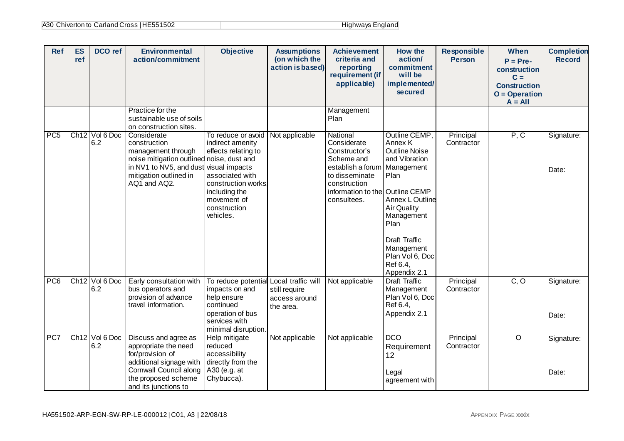| <b>Ref</b>      | <b>ES</b><br>ref | DCO ref          | <b>Environmental</b><br>action/commitment                                                                                                                            | <b>Objective</b>                                                                                                                                                                       | <b>Assumptions</b><br>(on which the<br>action is based) | <b>Achievement</b><br>criteria and<br>reporting<br>requirement (if<br>applicable)                                                                               | <b>How the</b><br>action/<br>commitment<br>will be<br>implemented/<br>secured                                                                                                                                                               | <b>Responsible</b><br>Person | When<br>$P = Pre-$<br>construction<br>$C =$<br><b>Construction</b><br>$O = Operation$<br>$A = All$ | <b>Completion</b><br><b>Record</b> |
|-----------------|------------------|------------------|----------------------------------------------------------------------------------------------------------------------------------------------------------------------|----------------------------------------------------------------------------------------------------------------------------------------------------------------------------------------|---------------------------------------------------------|-----------------------------------------------------------------------------------------------------------------------------------------------------------------|---------------------------------------------------------------------------------------------------------------------------------------------------------------------------------------------------------------------------------------------|------------------------------|----------------------------------------------------------------------------------------------------|------------------------------------|
|                 |                  |                  | Practice for the<br>sustainable use of soils<br>on construction sites.                                                                                               |                                                                                                                                                                                        |                                                         | Management<br>Plan                                                                                                                                              |                                                                                                                                                                                                                                             |                              |                                                                                                    |                                    |
| PC <sub>5</sub> | Ch12             | Vol 6 Doc<br>6.2 | Considerate<br>construction<br>management through<br>noise mitigation outlined noise, dust and<br>in NV1 to NV5, and dust<br>mitigation outlined in<br>AQ1 and AQ2.  | To reduce or avoid<br>indirect amenity<br>effects relating to<br>visual impacts<br>associated with<br>construction works,<br>including the<br>movement of<br>construction<br>vehicles. | Not applicable                                          | National<br>Considerate<br>Constructor's<br>Scheme and<br>establish a forum<br>to disseminate<br>construction<br>information to the Outline CEMP<br>consultees. | Outline CEMP,<br>Annex K<br><b>Outline Noise</b><br>and Vibration<br>Management<br>Plan<br>Annex L Outline<br><b>Air Quality</b><br>Management<br>Plan<br><b>Draft Traffic</b><br>Management<br>Plan Vol 6, Doc<br>Ref 6.4,<br>Appendix 2.1 | Principal<br>Contractor      | P, C                                                                                               | Signature:<br>Date:                |
| PC <sub>6</sub> | Ch12             | Vol 6 Doc<br>6.2 | Early consultation with<br>bus operators and<br>provision of advance<br>travel information.                                                                          | To reduce potential Local traffic will<br>impacts on and<br>help ensure<br>continued<br>operation of bus<br>services with<br>minimal disruption.                                       | still require<br>access around<br>the area.             | Not applicable                                                                                                                                                  | <b>Draft Traffic</b><br>Management<br>Plan Vol 6, Doc<br>Ref 6.4,<br>Appendix 2.1                                                                                                                                                           | Principal<br>Contractor      | $\overline{C, O}$                                                                                  | Signature:<br>Date:                |
| PC7             | Ch12             | Vol 6 Doc<br>6.2 | Discuss and agree as<br>appropriate the need<br>for/provision of<br>additional signage with<br>Cornwall Council along<br>the proposed scheme<br>and its junctions to | Help mitigate<br>reduced<br>accessibility<br>directly from the<br>A30 (e.g. at<br>Chybucca).                                                                                           | Not applicable                                          | Not applicable                                                                                                                                                  | <b>DCO</b><br>Requirement<br>12<br>Legal<br>agreement with                                                                                                                                                                                  | Principal<br>Contractor      | $\overline{O}$                                                                                     | Signature:<br>Date:                |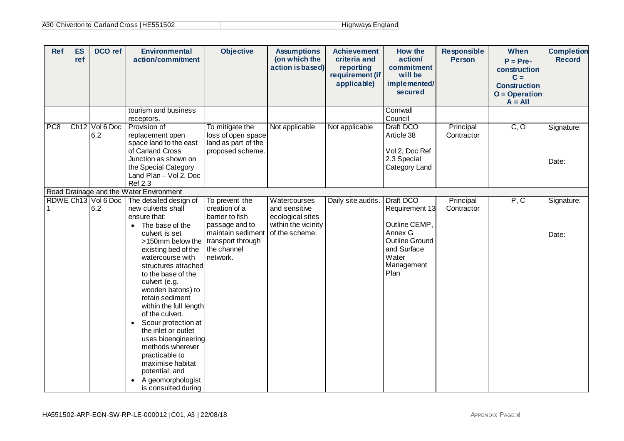| <b>Ref</b>      | <b>ES</b><br>ref | <b>DCO</b> ref             | <b>Environmental</b><br>action/commitment                                                                                                                                                                                                                                                                                                                                                                                                                                                                                                               | <b>Objective</b>                                                                                                                          | <b>Assumptions</b><br>(on which the<br>action is based)                                    | <b>Achievement</b><br>criteria and<br>reporting<br>requirement (if<br>applicable) | How the<br>action/<br>commitment<br>will be<br>implemented/<br>secured                                                  | <b>Responsible</b><br><b>Person</b> | When<br>$P = Pre-$<br>construction<br>$C =$<br><b>Construction</b><br>$O = Operation$<br>$A = All$ | <b>Completion</b><br><b>Record</b> |
|-----------------|------------------|----------------------------|---------------------------------------------------------------------------------------------------------------------------------------------------------------------------------------------------------------------------------------------------------------------------------------------------------------------------------------------------------------------------------------------------------------------------------------------------------------------------------------------------------------------------------------------------------|-------------------------------------------------------------------------------------------------------------------------------------------|--------------------------------------------------------------------------------------------|-----------------------------------------------------------------------------------|-------------------------------------------------------------------------------------------------------------------------|-------------------------------------|----------------------------------------------------------------------------------------------------|------------------------------------|
|                 |                  |                            | tourism and business<br>receptors.                                                                                                                                                                                                                                                                                                                                                                                                                                                                                                                      |                                                                                                                                           |                                                                                            |                                                                                   | Cornwall<br>Council                                                                                                     |                                     |                                                                                                    |                                    |
| PC <sub>8</sub> |                  | Ch12 Vol 6 Doc<br>6.2      | Provision of<br>replacement open<br>space land to the east<br>of Carland Cross<br>Junction as shown on<br>the Special Category<br>Land Plan - Vol 2, Doc<br><b>Ref 2.3</b>                                                                                                                                                                                                                                                                                                                                                                              | To mitigate the<br>loss of open space<br>land as part of the<br>proposed scheme.                                                          | Not applicable                                                                             | Not applicable                                                                    | Draft DCO<br>Article 38<br>Vol 2, Doc Ref<br>2.3 Special<br>Category Land                                               | Principal<br>Contractor             | C, O                                                                                               | Signature:<br>Date:                |
|                 |                  |                            | Road Drainage and the Water Environment                                                                                                                                                                                                                                                                                                                                                                                                                                                                                                                 |                                                                                                                                           |                                                                                            |                                                                                   |                                                                                                                         |                                     |                                                                                                    |                                    |
|                 |                  | RDWE Ch13 Vol 6 Doc<br>6.2 | The detailed design of<br>new culverts shall<br>ensure that:<br>The base of the<br>$\bullet$<br>culvert is set<br>>150mm below the<br>existing bed of the<br>watercourse with<br>structures attached<br>to the base of the<br>culvert (e.g.<br>wooden batons) to<br>retain sediment<br>within the full length<br>of the culvert.<br>Scour protection at<br>$\bullet$<br>the inlet or outlet<br>uses bioengineering<br>methods wherever<br>practicable to<br>maximise habitat<br>potential; and<br>A geomorphologist<br>$\bullet$<br>is consulted during | To prevent the<br>creation of a<br>barrier to fish<br>passage and to<br>maintain sediment<br>transport through<br>the channel<br>network. | Watercourses<br>and sensitive<br>ecological sites<br>within the vicinity<br>of the scheme. | Daily site audits.                                                                | Draft DCO<br>Requirement 13<br>Outline CEMP,<br>Annex G<br>Outline Ground<br>and Surface<br>Water<br>Management<br>Plan | Principal<br>Contractor             | P, C                                                                                               | Signature:<br>Date:                |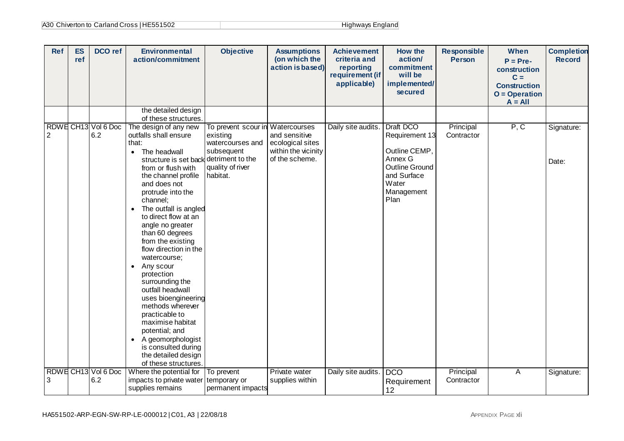| Highways England |  |
|------------------|--|
|------------------|--|

| <b>Ref</b>     | <b>ES</b><br>ref | DCO ref                    | <b>Environmental</b><br>action/commitment                                                                                                                                                                                                                                                                                                                                                                                                                                                                                                                                                                                           | <b>Objective</b>                                                                                                                   | <b>Assumptions</b><br>(on which the<br>action is based)                    | <b>Achievement</b><br>criteria and<br>reporting<br>requirement (if<br>applicable) | How the<br>action/<br>commitment<br>will be<br>implemented/<br>secured                                                  | <b>Responsible</b><br><b>Person</b> | When<br>$P = Pre-$<br>construction<br>$C =$<br><b>Construction</b><br>$O = Operator$<br>$A = All$ | <b>Completion</b><br><b>Record</b> |
|----------------|------------------|----------------------------|-------------------------------------------------------------------------------------------------------------------------------------------------------------------------------------------------------------------------------------------------------------------------------------------------------------------------------------------------------------------------------------------------------------------------------------------------------------------------------------------------------------------------------------------------------------------------------------------------------------------------------------|------------------------------------------------------------------------------------------------------------------------------------|----------------------------------------------------------------------------|-----------------------------------------------------------------------------------|-------------------------------------------------------------------------------------------------------------------------|-------------------------------------|---------------------------------------------------------------------------------------------------|------------------------------------|
|                |                  |                            | the detailed design<br>of these structures.                                                                                                                                                                                                                                                                                                                                                                                                                                                                                                                                                                                         |                                                                                                                                    |                                                                            |                                                                                   |                                                                                                                         |                                     |                                                                                                   |                                    |
| $\overline{2}$ |                  | RDWE CH13 Vol 6 Doc<br>6.2 | The design of any new<br>outfalls shall ensure<br>that:<br>The headwall<br>$\bullet$<br>structure is set back<br>from or flush with<br>the channel profile<br>and does not<br>protrude into the<br>channel;<br>The outfall is angled<br>$\bullet$<br>to direct flow at an<br>angle no greater<br>than 60 degrees<br>from the existing<br>flow direction in the<br>watercourse;<br>Any scour<br>$\bullet$<br>protection<br>surrounding the<br>outfall headwall<br>uses bioengineering<br>methods wherever<br>practicable to<br>maximise habitat<br>potential; and<br>A geomorphologist<br>is consulted during<br>the detailed design | To prevent scour in Watercourses<br>existing<br>watercourses and<br>subsequent<br>detriment to the<br>quality of river<br>habitat. | and sensitive<br>ecological sites<br>within the vicinity<br>of the scheme. | Daily site audits.                                                                | Draft DCO<br>Requirement 13<br>Outline CEMP,<br>Annex G<br>Outline Ground<br>and Surface<br>Water<br>Management<br>Plan | Principal<br>Contractor             | P, C                                                                                              | Signature:<br>Date:                |
|                |                  | RDWE CH13 Vol 6 Doc        | of these structures.<br>Where the potential for                                                                                                                                                                                                                                                                                                                                                                                                                                                                                                                                                                                     | To prevent                                                                                                                         | Private water                                                              | Daily site audits.                                                                | <b>DCO</b>                                                                                                              | Principal                           | А                                                                                                 | Signature:                         |
| 3              |                  | 6.2                        | impacts to private water   temporary or<br>supplies remains                                                                                                                                                                                                                                                                                                                                                                                                                                                                                                                                                                         | permanent impacts                                                                                                                  | supplies within                                                            |                                                                                   | Requirement<br>12                                                                                                       | Contractor                          |                                                                                                   |                                    |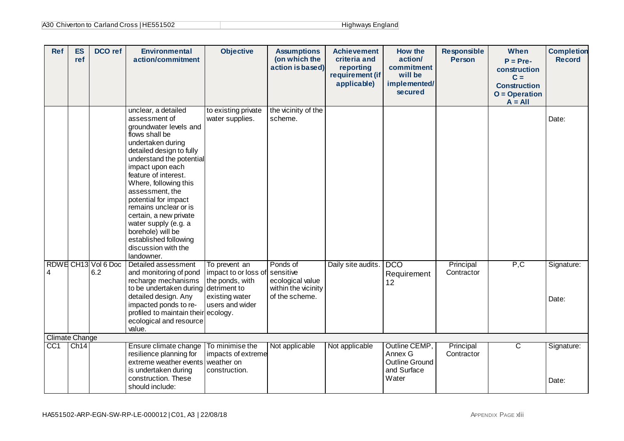| A30 Chiverton to Carland Cross   HE551502 | Highways England |
|-------------------------------------------|------------------|
|-------------------------------------------|------------------|

| <b>Ref</b>            | <b>ES</b><br>ref | <b>DCO</b> ref             | <b>Environmental</b><br>action/commitment                                                                                                                                                                                                                                                                                                                                                                                                   | <b>Objective</b>                                                                                              | <b>Assumptions</b><br>(on which the<br>action is based)                            | <b>Achievement</b><br>criteria and<br>reporting<br>requirement (if<br>applicable) | How the<br>action/<br>commitment<br>will be<br>implemented/<br>secured | <b>Responsible</b><br><b>Person</b> | When<br>$P = Pre-$<br>construction<br>$C =$<br><b>Construction</b><br>$O = Operation$<br>$A = All$ | <b>Completion</b><br><b>Record</b> |
|-----------------------|------------------|----------------------------|---------------------------------------------------------------------------------------------------------------------------------------------------------------------------------------------------------------------------------------------------------------------------------------------------------------------------------------------------------------------------------------------------------------------------------------------|---------------------------------------------------------------------------------------------------------------|------------------------------------------------------------------------------------|-----------------------------------------------------------------------------------|------------------------------------------------------------------------|-------------------------------------|----------------------------------------------------------------------------------------------------|------------------------------------|
|                       |                  |                            | unclear, a detailed<br>assessment of<br>groundwater levels and<br>flows shall be<br>undertaken during<br>detailed design to fully<br>understand the potential<br>impact upon each<br>feature of interest.<br>Where, following this<br>assessment, the<br>potential for impact<br>remains unclear or is<br>certain, a new private<br>water supply (e.g. a<br>borehole) will be<br>established following<br>discussion with the<br>landowner. | to existing private<br>water supplies.                                                                        | the vicinity of the<br>scheme.                                                     |                                                                                   |                                                                        |                                     |                                                                                                    | Date:                              |
| 4                     |                  | RDWE CH13 Vol 6 Doc<br>6.2 | Detailed assessment<br>and monitoring of pond<br>recharge mechanisms<br>to be undertaken during<br>detailed design. Any<br>impacted ponds to re-<br>profiled to maintain their ecology.<br>ecological and resource<br>value.                                                                                                                                                                                                                | To prevent an<br>impact to or loss of<br>the ponds, with<br>detriment to<br>existing water<br>users and wider | Ponds of<br>sensitive<br>ecological value<br>within the vicinity<br>of the scheme. | Daily site audits.                                                                | <b>DCO</b><br>Requirement<br>12                                        | Principal<br>Contractor             | P, C                                                                                               | Signature:<br>Date:                |
| <b>Climate Change</b> |                  |                            |                                                                                                                                                                                                                                                                                                                                                                                                                                             |                                                                                                               |                                                                                    |                                                                                   |                                                                        |                                     |                                                                                                    |                                    |
| CC1                   | Ch14             |                            | Ensure climate change<br>resilience planning for<br>extreme weather events<br>is undertaken during<br>construction. These<br>should include:                                                                                                                                                                                                                                                                                                | To minimise the<br>impacts of extreme<br>weather on<br>construction.                                          | Not applicable                                                                     | Not applicable                                                                    | Outline CEMP,<br>Annex G<br>Outline Ground<br>and Surface<br>Water     | Principal<br>Contractor             | $\overline{C}$                                                                                     | Signature:<br>Date:                |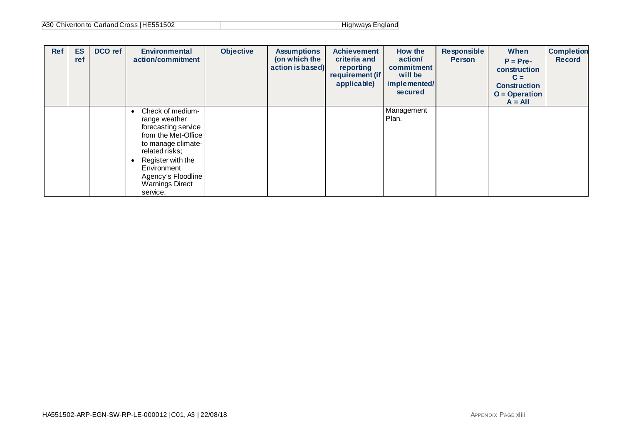| A30 Chiverton to Carland Cross   HE551502 | Highways England |
|-------------------------------------------|------------------|
|-------------------------------------------|------------------|

| <b>Ref</b> | <b>ES</b><br>ref | DCO ref | <b>Environmental</b><br>action/commitment                                                                                                                                                                               | <b>Objective</b> | <b>Assumptions</b><br>(on which the<br>action is based) | <b>Achievement</b><br>criteria and<br>reporting<br>requirement (if<br>applicable) | How the<br>action/<br>commitment<br>will be<br>implemented/<br>secured | Responsible<br><b>Person</b> | When<br>$P = Pre-$<br>construction<br>$C =$<br><b>Construction</b><br>$O = Operation$<br>$A = All$ | <b>Completion</b><br><b>Record</b> |
|------------|------------------|---------|-------------------------------------------------------------------------------------------------------------------------------------------------------------------------------------------------------------------------|------------------|---------------------------------------------------------|-----------------------------------------------------------------------------------|------------------------------------------------------------------------|------------------------------|----------------------------------------------------------------------------------------------------|------------------------------------|
|            |                  |         | Check of medium-<br>range weather<br>forecasting service<br>from the Met-Office<br>to manage climate-<br>related risks;<br>Register with the<br>Environment<br>Agency's Floodline<br><b>Warnings Direct</b><br>service. |                  |                                                         |                                                                                   | Management<br>Plan.                                                    |                              |                                                                                                    |                                    |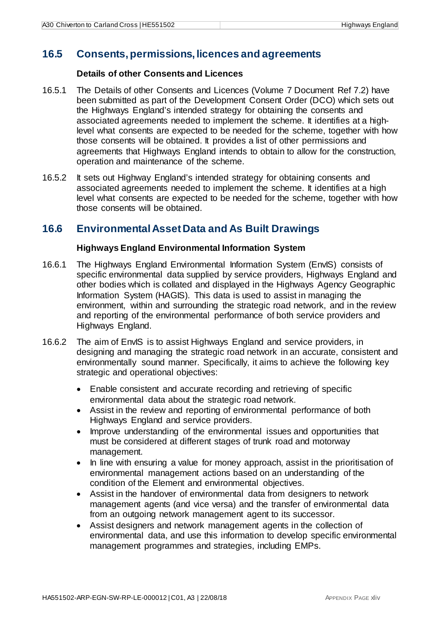### <span id="page-45-0"></span>**16.5 Consents, permissions, licences and agreements**

### **Details of other Consents and Licences**

- 16.5.1 The Details of other Consents and Licences (Volume 7 Document Ref 7.2) have been submitted as part of the Development Consent Order (DCO) which sets out the Highways England's intended strategy for obtaining the consents and associated agreements needed to implement the scheme. It identifies at a highlevel what consents are expected to be needed for the scheme, together with how those consents will be obtained. It provides a list of other permissions and agreements that Highways England intends to obtain to allow for the construction, operation and maintenance of the scheme.
- 16.5.2 It sets out Highway England's intended strategy for obtaining consents and associated agreements needed to implement the scheme. It identifies at a high level what consents are expected to be needed for the scheme, together with how those consents will be obtained.

### <span id="page-45-1"></span>**16.6 Environmental Asset Data and As Built Drawings**

### **Highways England Environmental Information System**

- 16.6.1 The Highways England Environmental Information System (EnvIS) consists of specific environmental data supplied by service providers, Highways England and other bodies which is collated and displayed in the Highways Agency Geographic Information System (HAGIS). This data is used to assist in managing the environment, within and surrounding the strategic road network, and in the review and reporting of the environmental performance of both service providers and Highways England.
- 16.6.2 The aim of EnvIS is to assist Highways England and service providers, in designing and managing the strategic road network in an accurate, consistent and environmentally sound manner. Specifically, it aims to achieve the following key strategic and operational objectives:
	- Enable consistent and accurate recording and retrieving of specific environmental data about the strategic road network.
	- Assist in the review and reporting of environmental performance of both Highways England and service providers.
	- Improve understanding of the environmental issues and opportunities that must be considered at different stages of trunk road and motorway management.
	- In line with ensuring a value for money approach, assist in the prioritisation of environmental management actions based on an understanding of the condition of the Element and environmental objectives.
	- Assist in the handover of environmental data from designers to network management agents (and vice versa) and the transfer of environmental data from an outgoing network management agent to its successor.
	- Assist designers and network management agents in the collection of environmental data, and use this information to develop specific environmental management programmes and strategies, including EMPs.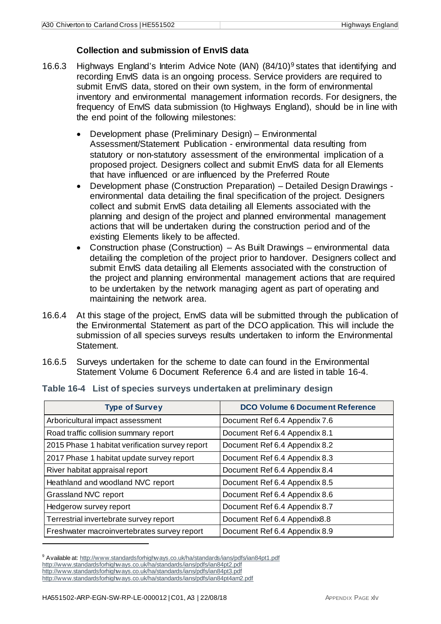### **Collection and submission of EnvIS data**

- 16.6.3 Highways England's Interim Advice Note  $(IAN)$   $(84/10)^9$  $(84/10)^9$  states that identifying and recording EnvIS data is an ongoing process. Service providers are required to submit EnvIS data, stored on their own system, in the form of environmental inventory and environmental management information records. For designers, the frequency of EnvIS data submission (to Highways England), should be in line with the end point of the following milestones:
	- Development phase (Preliminary Design) Environmental Assessment/Statement Publication - environmental data resulting from statutory or non-statutory assessment of the environmental implication of a proposed project. Designers collect and submit EnvIS data for all Elements that have influenced or are influenced by the Preferred Route
	- Development phase (Construction Preparation) Detailed Design Drawings environmental data detailing the final specification of the project. Designers collect and submit EnvIS data detailing all Elements associated with the planning and design of the project and planned environmental management actions that will be undertaken during the construction period and of the existing Elements likely to be affected.
	- Construction phase (Construction) As Built Drawings environmental data detailing the completion of the project prior to handover. Designers collect and submit EnvIS data detailing all Elements associated with the construction of the project and planning environmental management actions that are required to be undertaken by the network managing agent as part of operating and maintaining the network area.
- 16.6.4 At this stage of the project, EnvIS data will be submitted through the publication of the Environmental Statement as part of the DCO application. This will include the submission of all species surveys results undertaken to inform the Environmental Statement.
- 16.6.5 Surveys undertaken for the scheme to date can found in the Environmental Statement Volume 6 Document Reference 6.4 and are listed in table 16-4.

| <b>Type of Survey</b>                           | <b>DCO Volume 6 Document Reference</b> |
|-------------------------------------------------|----------------------------------------|
| Arboricultural impact assessment                | Document Ref 6.4 Appendix 7.6          |
| Road traffic collision summary report           | Document Ref 6.4 Appendix 8.1          |
| 2015 Phase 1 habitat verification survey report | Document Ref 6.4 Appendix 8.2          |
| 2017 Phase 1 habitat update survey report       | Document Ref 6.4 Appendix 8.3          |
| River habitat appraisal report                  | Document Ref 6.4 Appendix 8.4          |
| Heathland and woodland NVC report               | Document Ref 6.4 Appendix 8.5          |
| Grassland NVC report                            | Document Ref 6.4 Appendix 8.6          |
| Hedgerow survey report                          | Document Ref 6.4 Appendix 8.7          |
| Terrestrial invertebrate survey report          | Document Ref 6.4 Appendix8.8           |
| Freshwater macroinvertebrates survey report     | Document Ref 6.4 Appendix 8.9          |

### <span id="page-46-0"></span>**Table 16-4 List of species surveys undertaken at preliminary design**

<span id="page-46-1"></span><sup>&</sup>lt;sup>9</sup> Available at[: http://www.standardsforhighways.co.uk/ha/standards/ians/pdfs/ian84pt1.pdf](http://www.standardsforhighways.co.uk/ha/standards/ians/pdfs/ian84pt1.pdf) <http://www.standardsforhighways.co.uk/ha/standards/ians/pdfs/ian84pt2.pdf> <http://www.standardsforhighways.co.uk/ha/standards/ians/pdfs/ian84pt3.pdf> <http://www.standardsforhighways.co.uk/ha/standards/ians/pdfs/ian84pt4am2.pdf>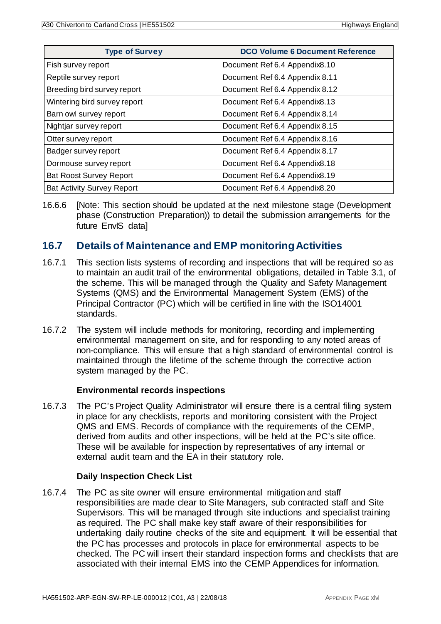| <b>Type of Survey</b>             | <b>DCO Volume 6 Document Reference</b> |
|-----------------------------------|----------------------------------------|
| Fish survey report                | Document Ref 6.4 Appendix8.10          |
| Reptile survey report             | Document Ref 6.4 Appendix 8.11         |
| Breeding bird survey report       | Document Ref 6.4 Appendix 8.12         |
| Wintering bird survey report      | Document Ref 6.4 Appendix8.13          |
| Barn owl survey report            | Document Ref 6.4 Appendix 8.14         |
| Nightjar survey report            | Document Ref 6.4 Appendix 8.15         |
| Otter survey report               | Document Ref 6.4 Appendix 8.16         |
| Badger survey report              | Document Ref 6.4 Appendix 8.17         |
| Dormouse survey report            | Document Ref 6.4 Appendix8.18          |
| <b>Bat Roost Survey Report</b>    | Document Ref 6.4 Appendix8.19          |
| <b>Bat Activity Survey Report</b> | Document Ref 6.4 Appendix8.20          |

16.6.6 [Note: This section should be updated at the next milestone stage (Development phase (Construction Preparation)) to detail the submission arrangements for the future EnvIS data]

### <span id="page-47-0"></span>**16.7 Details of Maintenance and EMP monitoring Activities**

- 16.7.1 This section lists systems of recording and inspections that will be required so as to maintain an audit trail of the environmental obligations, detailed in Table 3.1, of the scheme. This will be managed through the Quality and Safety Management Systems (QMS) and the Environmental Management System (EMS) of the Principal Contractor (PC) which will be certified in line with the ISO14001 standards.
- 16.7.2 The system will include methods for monitoring, recording and implementing environmental management on site, and for responding to any noted areas of non-compliance. This will ensure that a high standard of environmental control is maintained through the lifetime of the scheme through the corrective action system managed by the PC.

### **Environmental records inspections**

16.7.3 The PC's Project Quality Administrator will ensure there is a central filing system in place for any checklists, reports and monitoring consistent with the Project QMS and EMS. Records of compliance with the requirements of the CEMP, derived from audits and other inspections, will be held at the PC's site office. These will be available for inspection by representatives of any internal or external audit team and the EA in their statutory role.

### **Daily Inspection Check List**

16.7.4 The PC as site owner will ensure environmental mitigation and staff responsibilities are made clear to Site Managers, sub contracted staff and Site Supervisors. This will be managed through site inductions and specialist training as required. The PC shall make key staff aware of their responsibilities for undertaking daily routine checks of the site and equipment. It will be essential that the PC has processes and protocols in place for environmental aspects to be checked. The PC will insert their standard inspection forms and checklists that are associated with their internal EMS into the CEMP Appendices for information.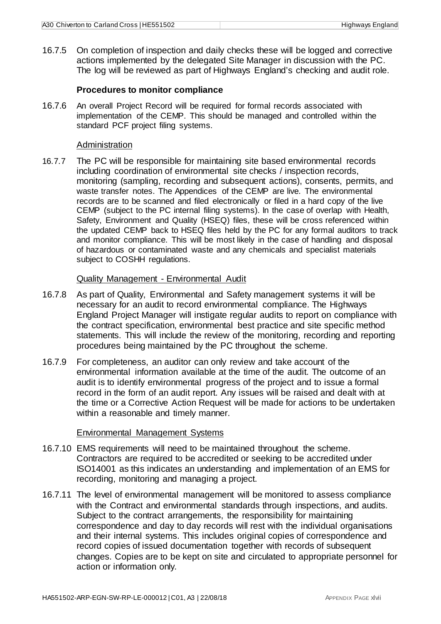16.7.5 On completion of inspection and daily checks these will be logged and corrective actions implemented by the delegated Site Manager in discussion with the PC. The log will be reviewed as part of Highways England's checking and audit role.

#### **Procedures to monitor compliance**

16.7.6 An overall Project Record will be required for formal records associated with implementation of the CEMP. This should be managed and controlled within the standard PCF project filing systems.

#### Administration

16.7.7 The PC will be responsible for maintaining site based environmental records including coordination of environmental site checks / inspection records, monitoring (sampling, recording and subsequent actions), consents, permits, and waste transfer notes. The Appendices of the CEMP are live. The environmental records are to be scanned and filed electronically or filed in a hard copy of the live CEMP (subject to the PC internal filing systems). In the case of overlap with Health, Safety, Environment and Quality (HSEQ) files, these will be cross referenced within the updated CEMP back to HSEQ files held by the PC for any formal auditors to track and monitor compliance. This will be most likely in the case of handling and disposal of hazardous or contaminated waste and any chemicals and specialist materials subject to COSHH regulations.

#### Quality Management - Environmental Audit

- 16.7.8 As part of Quality, Environmental and Safety management systems it will be necessary for an audit to record environmental compliance. The Highways England Project Manager will instigate regular audits to report on compliance with the contract specification, environmental best practice and site specific method statements. This will include the review of the monitoring, recording and reporting procedures being maintained by the PC throughout the scheme.
- 16.7.9 For completeness, an auditor can only review and take account of the environmental information available at the time of the audit. The outcome of an audit is to identify environmental progress of the project and to issue a formal record in the form of an audit report. Any issues will be raised and dealt with at the time or a Corrective Action Request will be made for actions to be undertaken within a reasonable and timely manner.

### Environmental Management Systems

- 16.7.10 EMS requirements will need to be maintained throughout the scheme. Contractors are required to be accredited or seeking to be accredited under ISO14001 as this indicates an understanding and implementation of an EMS for recording, monitoring and managing a project.
- 16.7.11 The level of environmental management will be monitored to assess compliance with the Contract and environmental standards through inspections, and audits. Subject to the contract arrangements, the responsibility for maintaining correspondence and day to day records will rest with the individual organisations and their internal systems. This includes original copies of correspondence and record copies of issued documentation together with records of subsequent changes. Copies are to be kept on site and circulated to appropriate personnel for action or information only.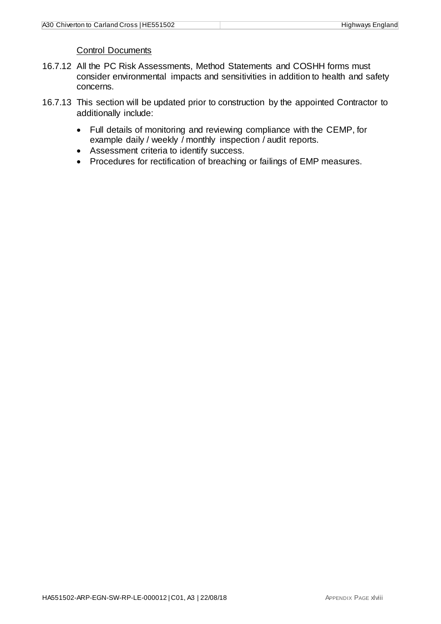### Control Documents

- 16.7.12 All the PC Risk Assessments, Method Statements and COSHH forms must consider environmental impacts and sensitivities in addition to health and safety concerns.
- 16.7.13 This section will be updated prior to construction by the appointed Contractor to additionally include:
	- Full details of monitoring and reviewing compliance with the CEMP, for example daily / weekly / monthly inspection / audit reports.
	- Assessment criteria to identify success.
	- Procedures for rectification of breaching or failings of EMP measures.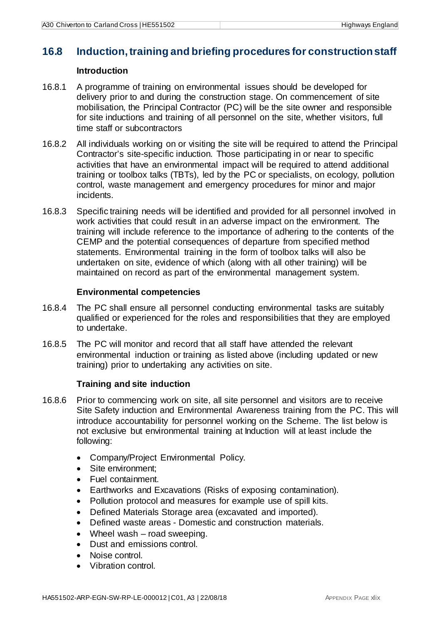### <span id="page-50-0"></span>**16.8 Induction, training and briefing procedures for construction staff**

### **Introduction**

- 16.8.1 A programme of training on environmental issues should be developed for delivery prior to and during the construction stage. On commencement of site mobilisation, the Principal Contractor (PC) will be the site owner and responsible for site inductions and training of all personnel on the site, whether visitors, full time staff or subcontractors
- 16.8.2 All individuals working on or visiting the site will be required to attend the Principal Contractor's site-specific induction. Those participating in or near to specific activities that have an environmental impact will be required to attend additional training or toolbox talks (TBTs), led by the PC or specialists, on ecology, pollution control, waste management and emergency procedures for minor and major incidents.
- 16.8.3 Specific training needs will be identified and provided for all personnel involved in work activities that could result in an adverse impact on the environment. The training will include reference to the importance of adhering to the contents of the CEMP and the potential consequences of departure from specified method statements. Environmental training in the form of toolbox talks will also be undertaken on site, evidence of which (along with all other training) will be maintained on record as part of the environmental management system.

### **Environmental competencies**

- 16.8.4 The PC shall ensure all personnel conducting environmental tasks are suitably qualified or experienced for the roles and responsibilities that they are employed to undertake.
- 16.8.5 The PC will monitor and record that all staff have attended the relevant environmental induction or training as listed above (including updated or new training) prior to undertaking any activities on site.

### **Training and site induction**

- 16.8.6 Prior to commencing work on site, all site personnel and visitors are to receive Site Safety induction and Environmental Awareness training from the PC. This will introduce accountability for personnel working on the Scheme. The list below is not exclusive but environmental training at Induction will at least include the following:
	- Company/Project Environmental Policy.
	- Site environment:
	- Fuel containment.
	- Earthworks and Excavations (Risks of exposing contamination).
	- Pollution protocol and measures for example use of spill kits.
	- Defined Materials Storage area (excavated and imported).
	- Defined waste areas Domestic and construction materials.
	- Wheel wash road sweeping.
	- Dust and emissions control.
	- Noise control.
	- Vibration control.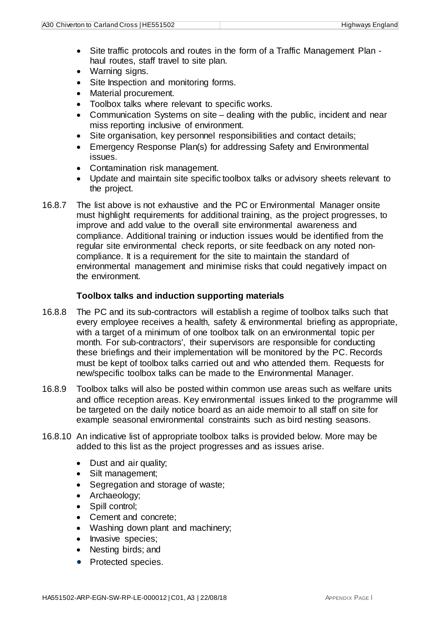- Site traffic protocols and routes in the form of a Traffic Management Plan haul routes, staff travel to site plan.
- Warning signs.
- Site Inspection and monitoring forms.
- Material procurement.
- Toolbox talks where relevant to specific works.
- Communication Systems on site dealing with the public, incident and near miss reporting inclusive of environment.
- Site organisation, key personnel responsibilities and contact details;
- Emergency Response Plan(s) for addressing Safety and Environmental issues.
- Contamination risk management.
- Update and maintain site specific toolbox talks or advisory sheets relevant to the project.
- 16.8.7 The list above is not exhaustive and the PC or Environmental Manager onsite must highlight requirements for additional training, as the project progresses, to improve and add value to the overall site environmental awareness and compliance. Additional training or induction issues would be identified from the regular site environmental check reports, or site feedback on any noted noncompliance. It is a requirement for the site to maintain the standard of environmental management and minimise risks that could negatively impact on the environment.

### **Toolbox talks and induction supporting materials**

- 16.8.8 The PC and its sub-contractors will establish a regime of toolbox talks such that every employee receives a health, safety & environmental briefing as appropriate, with a target of a minimum of one toolbox talk on an environmental topic per month. For sub-contractors', their supervisors are responsible for conducting these briefings and their implementation will be monitored by the PC. Records must be kept of toolbox talks carried out and who attended them. Requests for new/specific toolbox talks can be made to the Environmental Manager.
- 16.8.9 Toolbox talks will also be posted within common use areas such as welfare units and office reception areas. Key environmental issues linked to the programme will be targeted on the daily notice board as an aide memoir to all staff on site for example seasonal environmental constraints such as bird nesting seasons.
- 16.8.10 An indicative list of appropriate toolbox talks is provided below. More may be added to this list as the project progresses and as issues arise.
	- Dust and air quality;
	- Silt management;
	- Segregation and storage of waste;
	- Archaeology;
	- Spill control;
	- Cement and concrete;
	- Washing down plant and machinery;
	- Invasive species;
	- Nesting birds; and
	- Protected species.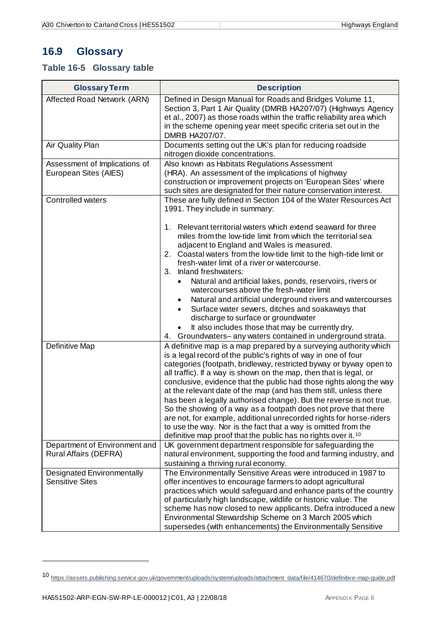### <span id="page-52-0"></span>**16.9 Glossary**

### <span id="page-52-1"></span>**Table 16-5 Glossary table**

| <b>Glossary Term</b>                                        | <b>Description</b>                                                                                                                                                                                                                                                                                                                                                                                                                                                                                 |
|-------------------------------------------------------------|----------------------------------------------------------------------------------------------------------------------------------------------------------------------------------------------------------------------------------------------------------------------------------------------------------------------------------------------------------------------------------------------------------------------------------------------------------------------------------------------------|
| Affected Road Network (ARN)                                 | Defined in Design Manual for Roads and Bridges Volume 11,<br>Section 3, Part 1 Air Quality (DMRB HA207/07) (Highways Agency<br>et al., 2007) as those roads within the traffic reliability area which<br>in the scheme opening year meet specific criteria set out in the<br>DMRB HA207/07.                                                                                                                                                                                                        |
| Air Quality Plan                                            | Documents setting out the UK's plan for reducing roadside<br>nitrogen dioxide concentrations.                                                                                                                                                                                                                                                                                                                                                                                                      |
| Assessment of Implications of<br>European Sites (AIES)      | Also known as Habitats Regulations Assessment<br>(HRA). An assessment of the implications of highway<br>construction or improvement projects on 'European Sites' where<br>such sites are designated for their nature conservation interest.                                                                                                                                                                                                                                                        |
| Controlled waters                                           | These are fully defined in Section 104 of the Water Resources Act<br>1991. They include in summary:<br>1. Relevant territorial waters which extend seaward for three                                                                                                                                                                                                                                                                                                                               |
|                                                             | miles from the low-tide limit from which the territorial sea<br>adjacent to England and Wales is measured.<br>2. Coastal waters from the low-tide limit to the high-tide limit or<br>fresh-water limit of a river or watercourse.<br>3. Inland freshwaters:                                                                                                                                                                                                                                        |
|                                                             | Natural and artificial lakes, ponds, reservoirs, rivers or<br>watercourses above the fresh-water limit<br>Natural and artificial underground rivers and watercourses<br>Surface water sewers, ditches and soakaways that<br>discharge to surface or groundwater                                                                                                                                                                                                                                    |
|                                                             | It also includes those that may be currently dry.<br>4. Groundwaters-any waters contained in underground strata.                                                                                                                                                                                                                                                                                                                                                                                   |
| Definitive Map                                              | A definitive map is a map prepared by a surveying authority which<br>is a legal record of the public's rights of way in one of four<br>categories (footpath, bridleway, restricted byway or byway open to<br>all traffic). If a way is shown on the map, then that is legal, or<br>conclusive, evidence that the public had those rights along the way<br>at the relevant date of the map (and has them still, unless there<br>has been a legally authorised change). But the reverse is not true. |
|                                                             | So the showing of a way as a footpath does not prove that there<br>are not, for example, additional unrecorded rights for horse-riders<br>to use the way. Nor is the fact that a way is omitted from the<br>definitive map proof that the public has no rights over it. 10                                                                                                                                                                                                                         |
| Department of Environment and<br>Rural Affairs (DEFRA)      | UK government department responsible for safeguarding the<br>natural environment, supporting the food and farming industry, and<br>sustaining a thriving rural economy.                                                                                                                                                                                                                                                                                                                            |
| <b>Designated Environmentally</b><br><b>Sensitive Sites</b> | The Environmentally Sensitive Areas were introduced in 1987 to<br>offer incentives to encourage farmers to adopt agricultural<br>practices which would safeguard and enhance parts of the country<br>of particularly high landscape, wildlife or historic value. The<br>scheme has now closed to new applicants. Defra introduced a new<br>Environmental Stewardship Scheme on 3 March 2005 which<br>supersedes (with enhancements) the Environmentally Sensitive                                  |

<span id="page-52-2"></span><sup>10</sup> [https://assets.publishing.service.gov.uk/government/uploads/system/uploads/attachment\\_data/file/414670/definitive-map-guide.pdf](https://assets.publishing.service.gov.uk/government/uploads/system/uploads/attachment_data/file/414670/definitive-map-guide.pdf)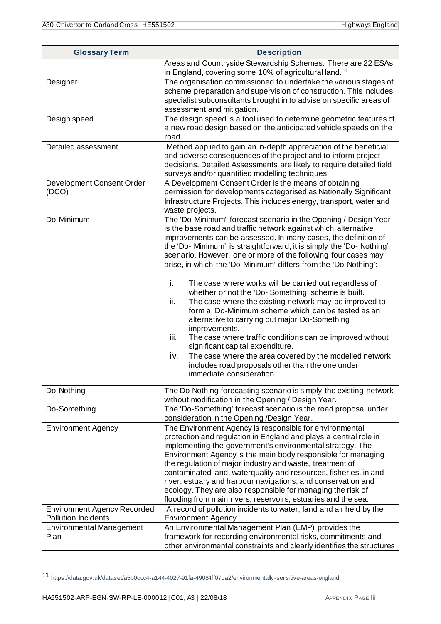| <b>Glossary Term</b>                                             | <b>Description</b>                                                                                                                                                                                                                                                                                                                                                                                                                                                                                                                                                                                                                                                                                                                                                                                                                                                                                                                                                                           |
|------------------------------------------------------------------|----------------------------------------------------------------------------------------------------------------------------------------------------------------------------------------------------------------------------------------------------------------------------------------------------------------------------------------------------------------------------------------------------------------------------------------------------------------------------------------------------------------------------------------------------------------------------------------------------------------------------------------------------------------------------------------------------------------------------------------------------------------------------------------------------------------------------------------------------------------------------------------------------------------------------------------------------------------------------------------------|
| Designer                                                         | Areas and Countryside Stewardship Schemes. There are 22 ESAs<br>in England, covering some 10% of agricultural land. <sup>11</sup><br>The organisation commissioned to undertake the various stages of<br>scheme preparation and supervision of construction. This includes<br>specialist subconsultants brought in to advise on specific areas of<br>assessment and mitigation.                                                                                                                                                                                                                                                                                                                                                                                                                                                                                                                                                                                                              |
| Design speed                                                     | The design speed is a tool used to determine geometric features of<br>a new road design based on the anticipated vehicle speeds on the<br>road.                                                                                                                                                                                                                                                                                                                                                                                                                                                                                                                                                                                                                                                                                                                                                                                                                                              |
| Detailed assessment                                              | Method applied to gain an in-depth appreciation of the beneficial<br>and adverse consequences of the project and to inform project<br>decisions. Detailed Assessments are likely to require detailed field<br>surveys and/or quantified modelling techniques.                                                                                                                                                                                                                                                                                                                                                                                                                                                                                                                                                                                                                                                                                                                                |
| Development Consent Order<br>(DCO)                               | A Development Consent Order is the means of obtaining<br>permission for developments categorised as Nationally Significant<br>Infrastructure Projects. This includes energy, transport, water and<br>waste projects.                                                                                                                                                                                                                                                                                                                                                                                                                                                                                                                                                                                                                                                                                                                                                                         |
| Do-Minimum                                                       | The 'Do-Minimum' forecast scenario in the Opening / Design Year<br>is the base road and traffic network against which alternative<br>improvements can be assessed. In many cases, the definition of<br>the 'Do- Minimum' is straightforward; it is simply the 'Do- Nothing'<br>scenario. However, one or more of the following four cases may<br>arise, in which the 'Do-Minimum' differs from the 'Do-Nothing':<br>i.<br>The case where works will be carried out regardless of<br>whether or not the 'Do-Something' scheme is built.<br>ii.<br>The case where the existing network may be improved to<br>form a 'Do-Minimum scheme which can be tested as an<br>alternative to carrying out major Do-Something<br>improvements.<br>iii.<br>The case where traffic conditions can be improved without<br>significant capital expenditure.<br>The case where the area covered by the modelled network<br>iv.<br>includes road proposals other than the one under<br>immediate consideration. |
| Do-Nothing<br>Do-Something                                       | The Do Nothing forecasting scenario is simply the existing network<br>without modification in the Opening / Design Year.<br>The 'Do-Something' forecast scenario is the road proposal under                                                                                                                                                                                                                                                                                                                                                                                                                                                                                                                                                                                                                                                                                                                                                                                                  |
| <b>Environment Agency</b>                                        | consideration in the Opening /Design Year.<br>The Environment Agency is responsible for environmental<br>protection and regulation in England and plays a central role in<br>implementing the government's environmental strategy. The<br>Environment Agency is the main body responsible for managing<br>the regulation of major industry and waste, treatment of<br>contaminated land, waterquality and resources, fisheries, inland<br>river, estuary and harbour navigations, and conservation and<br>ecology. They are also responsible for managing the risk of<br>flooding from main rivers, reservoirs, estuaries and the sea.                                                                                                                                                                                                                                                                                                                                                       |
| <b>Environment Agency Recorded</b><br><b>Pollution Incidents</b> | A record of pollution incidents to water, land and air held by the<br><b>Environment Agency</b>                                                                                                                                                                                                                                                                                                                                                                                                                                                                                                                                                                                                                                                                                                                                                                                                                                                                                              |
| <b>Environmental Management</b><br>Plan                          | An Environmental Management Plan (EMP) provides the<br>framework for recording environmental risks, commitments and<br>other environmental constraints and clearly identifies the structures                                                                                                                                                                                                                                                                                                                                                                                                                                                                                                                                                                                                                                                                                                                                                                                                 |

<span id="page-53-0"></span><sup>11</sup> <https://data.gov.uk/dataset/a5b0ccc4-a144-4027-91fa-49084ff07da2/environmentally-sensitive-areas-england>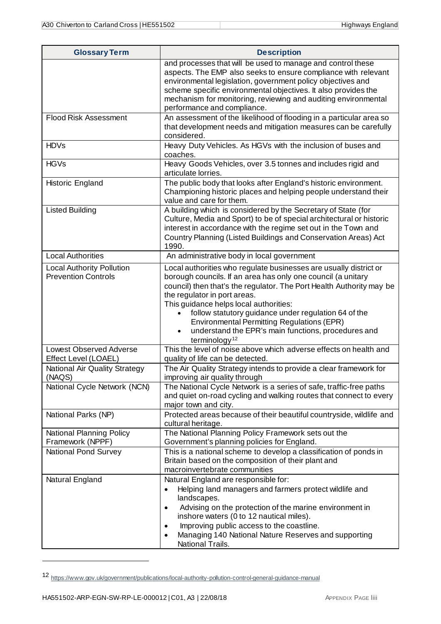| <b>Glossary Term</b>                                           | <b>Description</b>                                                                                                                                                                                                                                                                                                                                                                                                                                                                                |
|----------------------------------------------------------------|---------------------------------------------------------------------------------------------------------------------------------------------------------------------------------------------------------------------------------------------------------------------------------------------------------------------------------------------------------------------------------------------------------------------------------------------------------------------------------------------------|
|                                                                | and processes that will be used to manage and control these<br>aspects. The EMP also seeks to ensure compliance with relevant<br>environmental legislation, government policy objectives and<br>scheme specific environmental objectives. It also provides the<br>mechanism for monitoring, reviewing and auditing environmental<br>performance and compliance.                                                                                                                                   |
| <b>Flood Risk Assessment</b>                                   | An assessment of the likelihood of flooding in a particular area so<br>that development needs and mitigation measures can be carefully<br>considered.                                                                                                                                                                                                                                                                                                                                             |
| <b>HDVs</b>                                                    | Heavy Duty Vehicles. As HGVs with the inclusion of buses and<br>coaches.                                                                                                                                                                                                                                                                                                                                                                                                                          |
| <b>HGVs</b>                                                    | Heavy Goods Vehicles, over 3.5 tonnes and includes rigid and<br>articulate lorries.                                                                                                                                                                                                                                                                                                                                                                                                               |
| Historic England                                               | The public body that looks after England's historic environment.<br>Championing historic places and helping people understand their<br>value and care for them.                                                                                                                                                                                                                                                                                                                                   |
| <b>Listed Building</b>                                         | A building which is considered by the Secretary of State (for<br>Culture, Media and Sport) to be of special architectural or historic<br>interest in accordance with the regime set out in the Town and<br>Country Planning (Listed Buildings and Conservation Areas) Act<br>1990.                                                                                                                                                                                                                |
| <b>Local Authorities</b>                                       | An administrative body in local government                                                                                                                                                                                                                                                                                                                                                                                                                                                        |
| <b>Local Authority Pollution</b><br><b>Prevention Controls</b> | Local authorities who regulate businesses are usually district or<br>borough councils. If an area has only one council (a unitary<br>council) then that's the regulator. The Port Health Authority may be<br>the regulator in port areas.<br>This guidance helps local authorities:<br>follow statutory guidance under regulation 64 of the<br><b>Environmental Permitting Regulations (EPR)</b><br>understand the EPR's main functions, procedures and<br>$\bullet$<br>terminology <sup>12</sup> |
| <b>Lowest Observed Adverse</b><br>Effect Level (LOAEL)         | This the level of noise above which adverse effects on health and<br>quality of life can be detected.                                                                                                                                                                                                                                                                                                                                                                                             |
| <b>National Air Quality Strategy</b><br>(NAQS)                 | The Air Quality Strategy intends to provide a clear framework for<br>improving air quality through                                                                                                                                                                                                                                                                                                                                                                                                |
| National Cycle Network (NCN)                                   | The National Cycle Network is a series of safe, traffic-free paths<br>and quiet on-road cycling and walking routes that connect to every<br>major town and city.                                                                                                                                                                                                                                                                                                                                  |
| National Parks (NP)                                            | Protected areas because of their beautiful countryside, wildlife and<br>cultural heritage.                                                                                                                                                                                                                                                                                                                                                                                                        |
| <b>National Planning Policy</b><br>Framework (NPPF)            | The National Planning Policy Framework sets out the<br>Government's planning policies for England.                                                                                                                                                                                                                                                                                                                                                                                                |
| National Pond Survey                                           | This is a national scheme to develop a classification of ponds in<br>Britain based on the composition of their plant and<br>macroinvertebrate communities                                                                                                                                                                                                                                                                                                                                         |
| Natural England                                                | Natural England are responsible for:<br>Helping land managers and farmers protect wildlife and<br>landscapes.<br>Advising on the protection of the marine environment in<br>$\bullet$<br>inshore waters (0 to 12 nautical miles).<br>Improving public access to the coastline.<br>$\bullet$<br>Managing 140 National Nature Reserves and supporting<br>National Trails.                                                                                                                           |

<span id="page-54-0"></span><sup>12</sup> <https://www.gov.uk/government/publications/local-authority-pollution-control-general-guidance-manual>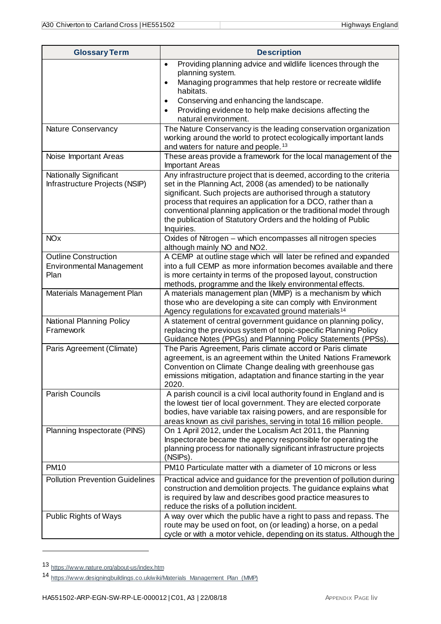| <b>Glossary Term</b>                                                   | <b>Description</b>                                                                                                                                                                                                                                                                                                                                                                                                         |
|------------------------------------------------------------------------|----------------------------------------------------------------------------------------------------------------------------------------------------------------------------------------------------------------------------------------------------------------------------------------------------------------------------------------------------------------------------------------------------------------------------|
|                                                                        | Providing planning advice and wildlife licences through the<br>$\bullet$                                                                                                                                                                                                                                                                                                                                                   |
|                                                                        | planning system.<br>Managing programmes that help restore or recreate wildlife<br>$\bullet$<br>habitats.                                                                                                                                                                                                                                                                                                                   |
|                                                                        | Conserving and enhancing the landscape.<br>$\bullet$<br>Providing evidence to help make decisions affecting the<br>$\bullet$<br>natural environment.                                                                                                                                                                                                                                                                       |
| Nature Conservancy                                                     | The Nature Conservancy is the leading conservation organization<br>working around the world to protect ecologically important lands<br>and waters for nature and people. <sup>13</sup>                                                                                                                                                                                                                                     |
| Noise Important Areas                                                  | These areas provide a framework for the local management of the<br><b>Important Areas</b>                                                                                                                                                                                                                                                                                                                                  |
| Nationally Significant<br>Infrastructure Projects (NSIP)               | Any infrastructure project that is deemed, according to the criteria<br>set in the Planning Act, 2008 (as amended) to be nationally<br>significant. Such projects are authorised through a statutory<br>process that requires an application for a DCO, rather than a<br>conventional planning application or the traditional model through<br>the publication of Statutory Orders and the holding of Public<br>Inquiries. |
| <b>NO<sub>x</sub></b>                                                  | Oxides of Nitrogen - which encompasses all nitrogen species<br>although mainly NO and NO2.                                                                                                                                                                                                                                                                                                                                 |
| <b>Outline Construction</b><br><b>Environmental Management</b><br>Plan | A CEMP at outline stage which will later be refined and expanded<br>into a full CEMP as more information becomes available and there<br>is more certainty in terms of the proposed layout, construction<br>methods, programme and the likely environmental effects.                                                                                                                                                        |
| Materials Management Plan                                              | A materials management plan (MMP) is a mechanism by which<br>those who are developing a site can comply with Environment<br>Agency regulations for excavated ground materials <sup>14</sup>                                                                                                                                                                                                                                |
| National Planning Policy<br>Framework                                  | A statement of central government guidance on planning policy,<br>replacing the previous system of topic-specific Planning Policy<br>Guidance Notes (PPGs) and Planning Policy Statements (PPSs).                                                                                                                                                                                                                          |
| Paris Agreement (Climate)                                              | The Paris Agreement, Paris climate accord or Paris climate<br>agreement, is an agreement within the United Nations Framework<br>Convention on Climate Change dealing with greenhouse gas<br>emissions mitigation, adaptation and finance starting in the year<br>2020.                                                                                                                                                     |
| Parish Councils                                                        | A parish council is a civil local authority found in England and is<br>the lowest tier of local government. They are elected corporate<br>bodies, have variable tax raising powers, and are responsible for<br>areas known as civil parishes, serving in total 16 million people.                                                                                                                                          |
| Planning Inspectorate (PINS)                                           | On 1 April 2012, under the Localism Act 2011, the Planning<br>Inspectorate became the agency responsible for operating the<br>planning process for nationally significant infrastructure projects<br>(NSIPs).                                                                                                                                                                                                              |
| <b>PM10</b>                                                            | PM10 Particulate matter with a diameter of 10 microns or less                                                                                                                                                                                                                                                                                                                                                              |
| <b>Pollution Prevention Guidelines</b>                                 | Practical advice and guidance for the prevention of pollution during<br>construction and demolition projects. The guidance explains what<br>is required by law and describes good practice measures to<br>reduce the risks of a pollution incident.                                                                                                                                                                        |
| Public Rights of Ways                                                  | A way over which the public have a right to pass and repass. The<br>route may be used on foot, on (or leading) a horse, on a pedal<br>cycle or with a motor vehicle, depending on its status. Although the                                                                                                                                                                                                                 |

<span id="page-55-0"></span><sup>13</sup> <https://www.nature.org/about-us/index.htm>

<span id="page-55-1"></span><sup>14</sup> [https://www.designingbuildings.co.uk/wiki/Materials\\_Management\\_Plan\\_\(MMP\)](https://www.designingbuildings.co.uk/wiki/Materials_Management_Plan_(MMP))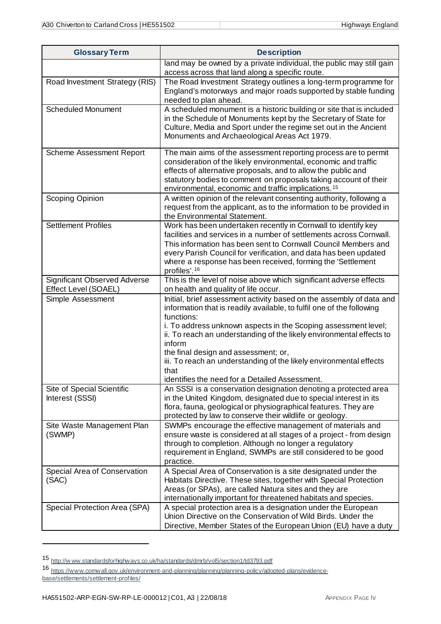| <b>Glossary Term</b>                                        | <b>Description</b>                                                                                                                                                                                                                                                                                                                                                                                                                                                                      |
|-------------------------------------------------------------|-----------------------------------------------------------------------------------------------------------------------------------------------------------------------------------------------------------------------------------------------------------------------------------------------------------------------------------------------------------------------------------------------------------------------------------------------------------------------------------------|
|                                                             | land may be owned by a private individual, the public may still gain<br>access across that land along a specific route.                                                                                                                                                                                                                                                                                                                                                                 |
| Road Investment Strategy (RIS)                              | The Road Investment Strategy outlines a long-term programme for<br>England's motorways and major roads supported by stable funding<br>needed to plan ahead.                                                                                                                                                                                                                                                                                                                             |
| <b>Scheduled Monument</b>                                   | A scheduled monument is a historic building or site that is included<br>in the Schedule of Monuments kept by the Secretary of State for<br>Culture, Media and Sport under the regime set out in the Ancient<br>Monuments and Archaeological Areas Act 1979.                                                                                                                                                                                                                             |
| Scheme Assessment Report                                    | The main aims of the assessment reporting process are to permit<br>consideration of the likely environmental, economic and traffic<br>effects of alternative proposals, and to allow the public and<br>statutory bodies to comment on proposals taking account of their<br>environmental, economic and traffic implications. <sup>15</sup>                                                                                                                                              |
| Scoping Opinion                                             | A written opinion of the relevant consenting authority, following a<br>request from the applicant, as to the information to be provided in<br>the Environmental Statement.                                                                                                                                                                                                                                                                                                              |
| <b>Settlement Profiles</b>                                  | Work has been undertaken recently in Cornwall to identify key<br>facilities and services in a number of settlements across Cornwall.<br>This information has been sent to Cornwall Council Members and<br>every Parish Council for verification, and data has been updated<br>where a response has been received, forming the 'Settlement<br>profiles'. <sup>16</sup>                                                                                                                   |
| <b>Significant Observed Adverse</b><br>Effect Level (SOAEL) | This is the level of noise above which significant adverse effects<br>on health and quality of life occur.                                                                                                                                                                                                                                                                                                                                                                              |
| Simple Assessment                                           | Initial, brief assessment activity based on the assembly of data and<br>information that is readily available, to fulfil one of the following<br>functions:<br>i. To address unknown aspects in the Scoping assessment level;<br>ii. To reach an understanding of the likely environmental effects to<br>inform<br>the final design and assessment; or,<br>iii. To reach an understanding of the likely environmental effects<br>that<br>identifies the need for a Detailed Assessment. |
| Site of Special Scientific<br>Interest (SSSI)               | An SSSI is a conservation designation denoting a protected area<br>in the United Kingdom, designated due to special interest in its<br>flora, fauna, geological or physiographical features. They are<br>protected by law to conserve their wildlife or geology.                                                                                                                                                                                                                        |
| Site Waste Management Plan<br>(SWMP)                        | SWMPs encourage the effective management of materials and<br>ensure waste is considered at all stages of a project - from design<br>through to completion. Although no longer a regulatory<br>requirement in England, SWMPs are still considered to be good<br>practice.                                                                                                                                                                                                                |
| Special Area of Conservation<br>(SAC)                       | A Special Area of Conservation is a site designated under the<br>Habitats Directive. These sites, together with Special Protection<br>Areas (or SPAs), are called Natura sites and they are<br>internationally important for threatened habitats and species.                                                                                                                                                                                                                           |
| Special Protection Area (SPA)                               | A special protection area is a designation under the European<br>Union Directive on the Conservation of Wild Birds. Under the<br>Directive, Member States of the European Union (EU) have a duty                                                                                                                                                                                                                                                                                        |

<span id="page-56-0"></span><sup>15</sup> [http://w ww.standardsforhighways.co.uk/ha/standards/dmrb/vol5/section1/td3793.pdf](http://www.standardsforhighways.co.uk/ha/standards/dmrb/vol5/section1/td3793.pdf)

<span id="page-56-1"></span><sup>16</sup> [https://www.cornwall.gov.uk/environment-and-planning/planning/planning-policy/adopted-plans/evidence](https://www.cornwall.gov.uk/environment-and-planning/planning/planning-policy/adopted-plans/evidence-base/settlements/settlement-profiles/)[base/settlements/settlement-profiles/](https://www.cornwall.gov.uk/environment-and-planning/planning/planning-policy/adopted-plans/evidence-base/settlements/settlement-profiles/)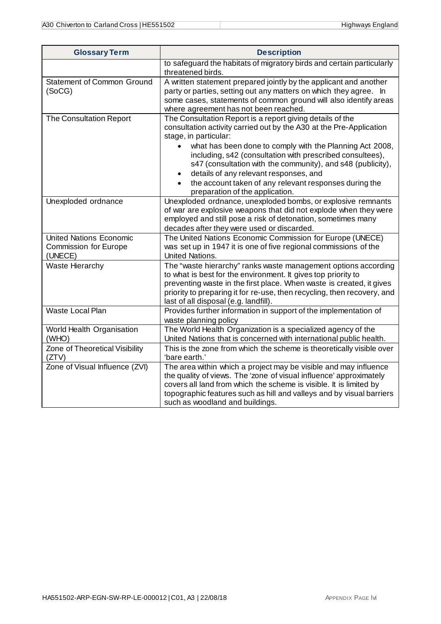| <b>Glossary Term</b>                                                      | <b>Description</b>                                                                                                                                                                                                                                                                                                                                                                                                                                                                            |
|---------------------------------------------------------------------------|-----------------------------------------------------------------------------------------------------------------------------------------------------------------------------------------------------------------------------------------------------------------------------------------------------------------------------------------------------------------------------------------------------------------------------------------------------------------------------------------------|
|                                                                           | to safeguard the habitats of migratory birds and certain particularly<br>threatened birds.                                                                                                                                                                                                                                                                                                                                                                                                    |
| <b>Statement of Common Ground</b><br>(SoCG)                               | A written statement prepared jointly by the applicant and another<br>party or parties, setting out any matters on which they agree. In<br>some cases, statements of common ground will also identify areas<br>where agreement has not been reached.                                                                                                                                                                                                                                           |
| The Consultation Report                                                   | The Consultation Report is a report giving details of the<br>consultation activity carried out by the A30 at the Pre-Application<br>stage, in particular:<br>what has been done to comply with the Planning Act 2008,<br>including, s42 (consultation with prescribed consultees),<br>s47 (consultation with the community), and s48 (publicity),<br>details of any relevant responses, and<br>٠<br>the account taken of any relevant responses during the<br>preparation of the application. |
| Unexploded ordnance                                                       | Unexploded ordnance, unexploded bombs, or explosive remnants<br>of war are explosive weapons that did not explode when they were<br>employed and still pose a risk of detonation, sometimes many<br>decades after they were used or discarded.                                                                                                                                                                                                                                                |
| <b>United Nations Economic</b><br><b>Commission for Europe</b><br>(UNECE) | The United Nations Economic Commission for Europe (UNECE)<br>was set up in 1947 it is one of five regional commissions of the<br>United Nations.                                                                                                                                                                                                                                                                                                                                              |
| Waste Hierarchy                                                           | The "waste hierarchy" ranks waste management options according<br>to what is best for the environment. It gives top priority to<br>preventing waste in the first place. When waste is created, it gives<br>priority to preparing it for re-use, then recycling, then recovery, and<br>last of all disposal (e.g. landfill).                                                                                                                                                                   |
| Waste Local Plan                                                          | Provides further information in support of the implementation of<br>waste planning policy                                                                                                                                                                                                                                                                                                                                                                                                     |
| World Health Organisation<br>(WHO)                                        | The World Health Organization is a specialized agency of the<br>United Nations that is concerned with international public health.                                                                                                                                                                                                                                                                                                                                                            |
| Zone of Theoretical Visibility<br>(ZTV)                                   | This is the zone from which the scheme is theoretically visible over<br>'bare earth.'                                                                                                                                                                                                                                                                                                                                                                                                         |
| Zone of Visual Influence (ZVI)                                            | The area within which a project may be visible and may influence<br>the quality of views. The 'zone of visual influence' approximately<br>covers all land from which the scheme is visible. It is limited by<br>topographic features such as hill and valleys and by visual barriers<br>such as woodland and buildings.                                                                                                                                                                       |